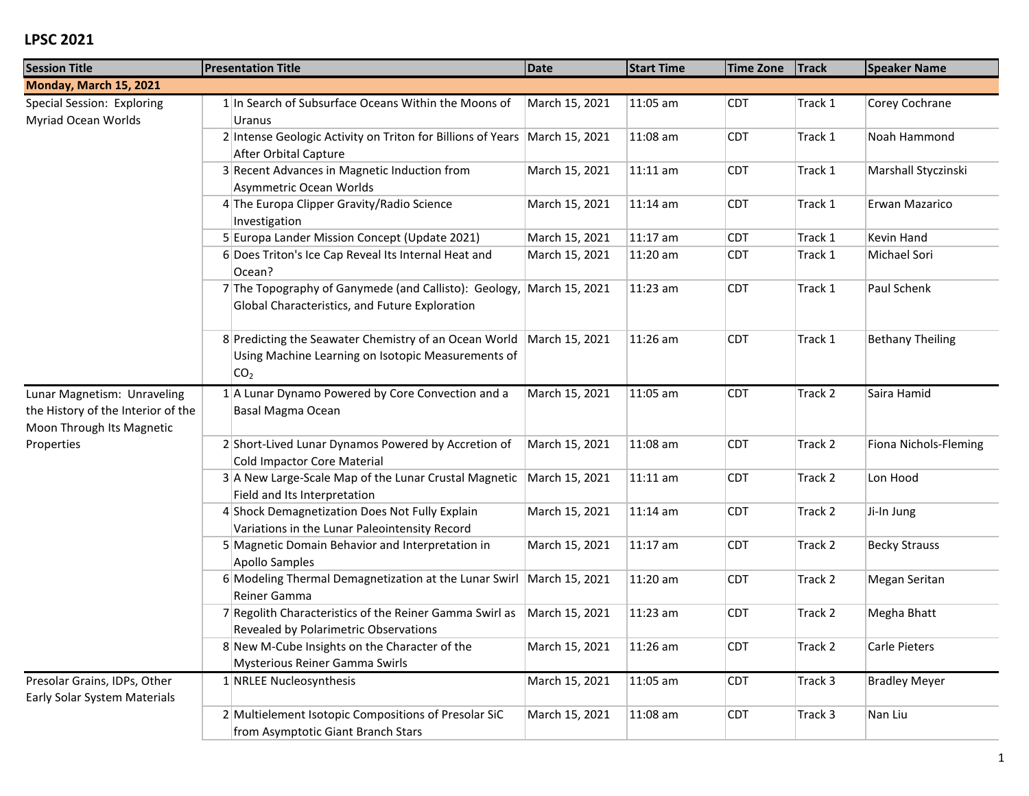| <b>Session Title</b>                                                                           | <b>Presentation Title</b>                                                                                                      | Date           | <b>Start Time</b> | <b>Time Zone</b> | <b>Track</b> | <b>Speaker Name</b>     |
|------------------------------------------------------------------------------------------------|--------------------------------------------------------------------------------------------------------------------------------|----------------|-------------------|------------------|--------------|-------------------------|
| Monday, March 15, 2021                                                                         |                                                                                                                                |                |                   |                  |              |                         |
| Special Session: Exploring<br><b>Myriad Ocean Worlds</b>                                       | 1 In Search of Subsurface Oceans Within the Moons of<br>Uranus                                                                 | March 15, 2021 | 11:05 am          | <b>CDT</b>       | Track 1      | Corey Cochrane          |
|                                                                                                | 2 Intense Geologic Activity on Triton for Billions of Years<br>After Orbital Capture                                           | March 15, 2021 | 11:08 am          | <b>CDT</b>       | Track 1      | Noah Hammond            |
|                                                                                                | 3 Recent Advances in Magnetic Induction from<br>Asymmetric Ocean Worlds                                                        | March 15, 2021 | $11:11$ am        | <b>CDT</b>       | Track 1      | Marshall Styczinski     |
|                                                                                                | 4 The Europa Clipper Gravity/Radio Science<br>Investigation                                                                    | March 15, 2021 | 11:14 am          | <b>CDT</b>       | Track 1      | Erwan Mazarico          |
|                                                                                                | 5 Europa Lander Mission Concept (Update 2021)                                                                                  | March 15, 2021 | 11:17 am          | <b>CDT</b>       | Track 1      | Kevin Hand              |
|                                                                                                | 6 Does Triton's Ice Cap Reveal Its Internal Heat and<br>Ocean?                                                                 | March 15, 2021 | 11:20 am          | <b>CDT</b>       | Track 1      | Michael Sori            |
|                                                                                                | 7 The Topography of Ganymede (and Callisto): Geology,<br>Global Characteristics, and Future Exploration                        | March 15, 2021 | 11:23 am          | <b>CDT</b>       | Track 1      | Paul Schenk             |
|                                                                                                | 8 Predicting the Seawater Chemistry of an Ocean World<br>Using Machine Learning on Isotopic Measurements of<br>CO <sub>2</sub> | March 15, 2021 | 11:26 am          | <b>CDT</b>       | Track 1      | <b>Bethany Theiling</b> |
| Lunar Magnetism: Unraveling<br>the History of the Interior of the<br>Moon Through Its Magnetic | 1 A Lunar Dynamo Powered by Core Convection and a<br>Basal Magma Ocean                                                         | March 15, 2021 | 11:05 am          | <b>CDT</b>       | Track 2      | Saira Hamid             |
| Properties                                                                                     | 2 Short-Lived Lunar Dynamos Powered by Accretion of<br>Cold Impactor Core Material                                             | March 15, 2021 | 11:08 am          | <b>CDT</b>       | Track 2      | Fiona Nichols-Fleming   |
|                                                                                                | 3 A New Large-Scale Map of the Lunar Crustal Magnetic<br>Field and Its Interpretation                                          | March 15, 2021 | $11:11$ am        | <b>CDT</b>       | Track 2      | Lon Hood                |
|                                                                                                | 4 Shock Demagnetization Does Not Fully Explain<br>Variations in the Lunar Paleointensity Record                                | March 15, 2021 | $11:14$ am        | <b>CDT</b>       | Track 2      | Ji-In Jung              |
|                                                                                                | 5 Magnetic Domain Behavior and Interpretation in<br>Apollo Samples                                                             | March 15, 2021 | $11:17$ am        | <b>CDT</b>       | Track 2      | <b>Becky Strauss</b>    |
|                                                                                                | 6 Modeling Thermal Demagnetization at the Lunar Swirl<br>Reiner Gamma                                                          | March 15, 2021 | 11:20 am          | <b>CDT</b>       | Track 2      | Megan Seritan           |
|                                                                                                | 7 Regolith Characteristics of the Reiner Gamma Swirl as<br>Revealed by Polarimetric Observations                               | March 15, 2021 | 11:23 am          | <b>CDT</b>       | Track 2      | Megha Bhatt             |
|                                                                                                | 8 New M-Cube Insights on the Character of the<br>Mysterious Reiner Gamma Swirls                                                | March 15, 2021 | $ 11:26$ am       | <b>CDT</b>       | Track 2      | Carle Pieters           |
| Presolar Grains, IDPs, Other<br>Early Solar System Materials                                   | $1$ NRLEE Nucleosynthesis                                                                                                      | March 15, 2021 | $11:05$ am        | <b>CDT</b>       | Track 3      | <b>Bradley Meyer</b>    |
|                                                                                                | 2 Multielement Isotopic Compositions of Presolar SiC<br>from Asymptotic Giant Branch Stars                                     | March 15, 2021 | $11:08$ am        | <b>CDT</b>       | Track 3      | Nan Liu                 |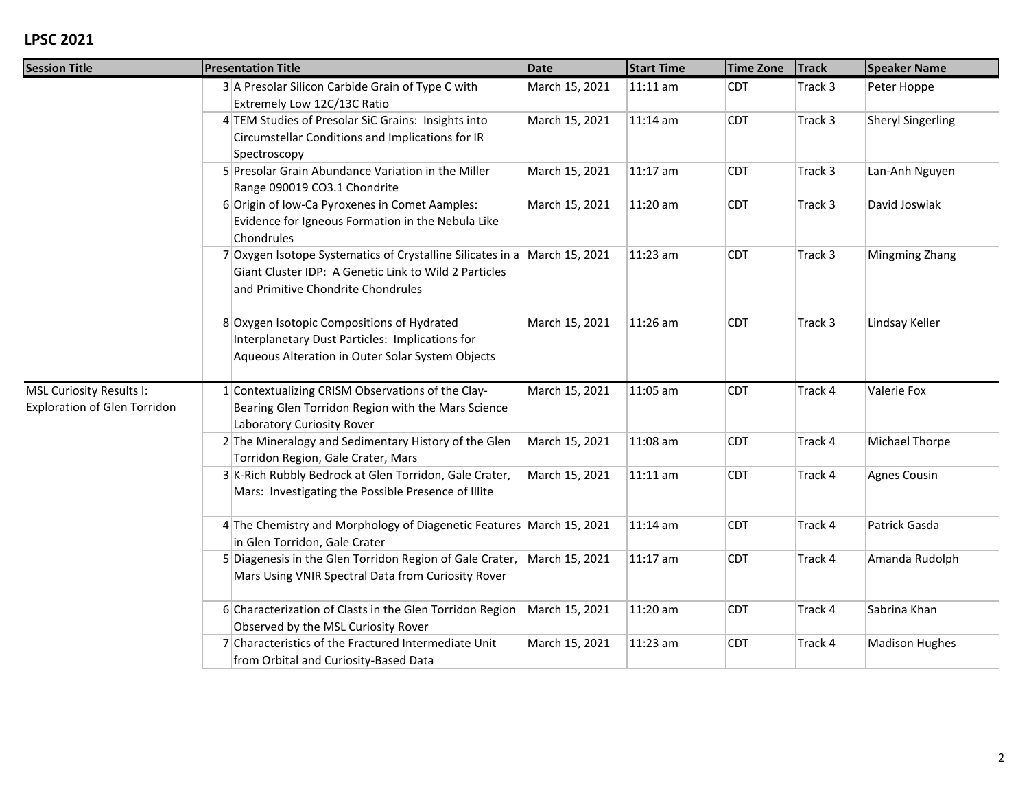| <b>Session Title</b>                                            | <b>Presentation Title</b>                                                                                                                                                | <b>Date</b>    | <b>Start Time</b> | <b>Time Zone</b> | <b>Track</b> | <b>Speaker Name</b>      |
|-----------------------------------------------------------------|--------------------------------------------------------------------------------------------------------------------------------------------------------------------------|----------------|-------------------|------------------|--------------|--------------------------|
|                                                                 | 3 A Presolar Silicon Carbide Grain of Type C with<br>Extremely Low 12C/13C Ratio                                                                                         | March 15, 2021 | $11:11$ am        | <b>CDT</b>       | Track 3      | Peter Hoppe              |
|                                                                 | 4 TEM Studies of Presolar SiC Grains: Insights into<br>Circumstellar Conditions and Implications for IR<br>Spectroscopy                                                  | March 15, 2021 | 11:14 am          | <b>CDT</b>       | Track 3      | <b>Sheryl Singerling</b> |
|                                                                 | 5 Presolar Grain Abundance Variation in the Miller<br>Range 090019 CO3.1 Chondrite                                                                                       | March 15, 2021 | 11:17 am          | <b>CDT</b>       | Track 3      | Lan-Anh Nguyen           |
|                                                                 | 6 Origin of low-Ca Pyroxenes in Comet Aamples:<br>Evidence for Igneous Formation in the Nebula Like<br>Chondrules                                                        | March 15, 2021 | 11:20 am          | <b>CDT</b>       | Track 3      | David Joswiak            |
|                                                                 | 7 Oxygen Isotope Systematics of Crystalline Silicates in a March 15, 2021<br>Giant Cluster IDP: A Genetic Link to Wild 2 Particles<br>and Primitive Chondrite Chondrules |                | 11:23 am          | <b>CDT</b>       | Track 3      | Mingming Zhang           |
|                                                                 | 8 Oxygen Isotopic Compositions of Hydrated<br>Interplanetary Dust Particles: Implications for<br>Aqueous Alteration in Outer Solar System Objects                        | March 15, 2021 | 11:26 am          | <b>CDT</b>       | Track 3      | Lindsay Keller           |
| MSL Curiosity Results I:<br><b>Exploration of Glen Torridon</b> | 1 Contextualizing CRISM Observations of the Clay-<br>Bearing Glen Torridon Region with the Mars Science<br>Laboratory Curiosity Rover                                    | March 15, 2021 | 11:05 am          | <b>CDT</b>       | Track 4      | Valerie Fox              |
|                                                                 | 2 The Mineralogy and Sedimentary History of the Glen<br>Torridon Region, Gale Crater, Mars                                                                               | March 15, 2021 | 11:08 am          | <b>CDT</b>       | Track 4      | Michael Thorpe           |
|                                                                 | 3 K-Rich Rubbly Bedrock at Glen Torridon, Gale Crater,<br>Mars: Investigating the Possible Presence of Illite                                                            | March 15, 2021 | 11:11 am          | <b>CDT</b>       | Track 4      | <b>Agnes Cousin</b>      |
|                                                                 | 4 The Chemistry and Morphology of Diagenetic Features March 15, 2021<br>in Glen Torridon, Gale Crater                                                                    |                | 11:14 am          | <b>CDT</b>       | Track 4      | Patrick Gasda            |
|                                                                 | 5 Diagenesis in the Glen Torridon Region of Gale Crater,<br>Mars Using VNIR Spectral Data from Curiosity Rover                                                           | March 15, 2021 | 11:17 am          | <b>CDT</b>       | Track 4      | Amanda Rudolph           |
|                                                                 | 6 Characterization of Clasts in the Glen Torridon Region<br>Observed by the MSL Curiosity Rover                                                                          | March 15, 2021 | 11:20 am          | <b>CDT</b>       | Track 4      | Sabrina Khan             |
|                                                                 | 7 Characteristics of the Fractured Intermediate Unit<br>from Orbital and Curiosity-Based Data                                                                            | March 15, 2021 | 11:23 am          | <b>CDT</b>       | Track 4      | <b>Madison Hughes</b>    |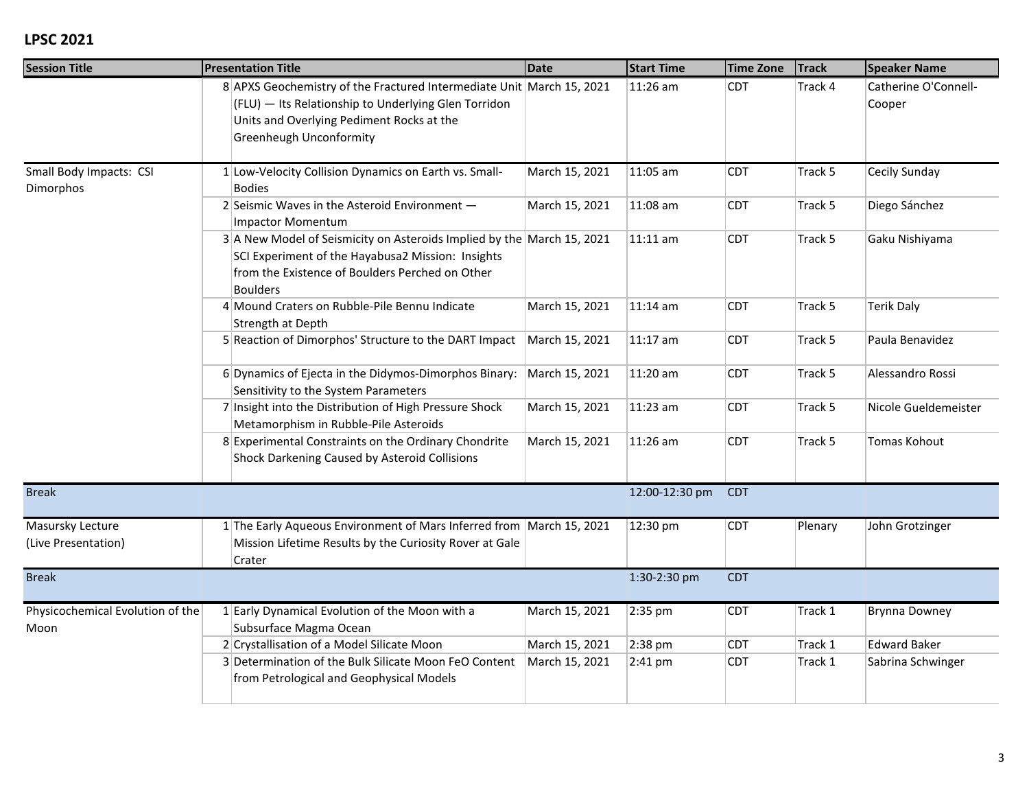| <b>Session Title</b>                     | <b>Presentation Title</b>                                                                                                                                                                             | <b>Date</b>    | <b>Start Time</b> | <b>Time Zone</b> | <b>Track</b> | <b>Speaker Name</b>            |
|------------------------------------------|-------------------------------------------------------------------------------------------------------------------------------------------------------------------------------------------------------|----------------|-------------------|------------------|--------------|--------------------------------|
|                                          | 8 APXS Geochemistry of the Fractured Intermediate Unit March 15, 2021<br>(FLU) - Its Relationship to Underlying Glen Torridon<br>Units and Overlying Pediment Rocks at the<br>Greenheugh Unconformity |                | 11:26 am          | <b>CDT</b>       | Track 4      | Catherine O'Connell-<br>Cooper |
| Small Body Impacts: CSI<br>Dimorphos     | 1 Low-Velocity Collision Dynamics on Earth vs. Small-<br><b>Bodies</b>                                                                                                                                | March 15, 2021 | 11:05 am          | <b>CDT</b>       | Track 5      | Cecily Sunday                  |
|                                          | 2 Seismic Waves in the Asteroid Environment $-$<br><b>Impactor Momentum</b>                                                                                                                           | March 15, 2021 | 11:08 am          | <b>CDT</b>       | Track 5      | Diego Sánchez                  |
|                                          | 3 A New Model of Seismicity on Asteroids Implied by the March 15, 2021<br>SCI Experiment of the Hayabusa2 Mission: Insights<br>from the Existence of Boulders Perched on Other<br><b>Boulders</b>     |                | 11:11 am          | <b>CDT</b>       | Track 5      | Gaku Nishiyama                 |
|                                          | 4 Mound Craters on Rubble-Pile Bennu Indicate<br>Strength at Depth                                                                                                                                    | March 15, 2021 | 11:14 am          | <b>CDT</b>       | Track 5      | <b>Terik Daly</b>              |
|                                          | 5 Reaction of Dimorphos' Structure to the DART Impact                                                                                                                                                 | March 15, 2021 | 11:17 am          | <b>CDT</b>       | Track 5      | Paula Benavidez                |
|                                          | 6 Dynamics of Ejecta in the Didymos-Dimorphos Binary:<br>Sensitivity to the System Parameters                                                                                                         | March 15, 2021 | 11:20 am          | <b>CDT</b>       | Track 5      | Alessandro Rossi               |
|                                          | 7 Insight into the Distribution of High Pressure Shock<br>Metamorphism in Rubble-Pile Asteroids                                                                                                       | March 15, 2021 | 11:23 am          | <b>CDT</b>       | Track 5      | Nicole Gueldemeister           |
|                                          | 8 Experimental Constraints on the Ordinary Chondrite<br>Shock Darkening Caused by Asteroid Collisions                                                                                                 | March 15, 2021 | 11:26 am          | <b>CDT</b>       | Track 5      | Tomas Kohout                   |
| <b>Break</b>                             |                                                                                                                                                                                                       |                | 12:00-12:30 pm    | <b>CDT</b>       |              |                                |
| Masursky Lecture<br>(Live Presentation)  | 1 The Early Aqueous Environment of Mars Inferred from March 15, 2021<br>Mission Lifetime Results by the Curiosity Rover at Gale<br>Crater                                                             |                | 12:30 pm          | <b>CDT</b>       | Plenary      | John Grotzinger                |
| <b>Break</b>                             |                                                                                                                                                                                                       |                | 1:30-2:30 pm      | <b>CDT</b>       |              |                                |
| Physicochemical Evolution of the<br>Moon | 1 Early Dynamical Evolution of the Moon with a<br>Subsurface Magma Ocean                                                                                                                              | March 15, 2021 | 2:35 pm           | <b>CDT</b>       | Track 1      | <b>Brynna Downey</b>           |
|                                          | 2 Crystallisation of a Model Silicate Moon                                                                                                                                                            | March 15, 2021 | 2:38 pm           | <b>CDT</b>       | Track 1      | <b>Edward Baker</b>            |
|                                          | 3 Determination of the Bulk Silicate Moon FeO Content<br>from Petrological and Geophysical Models                                                                                                     | March 15, 2021 | 2:41 pm           | <b>CDT</b>       | Track 1      | Sabrina Schwinger              |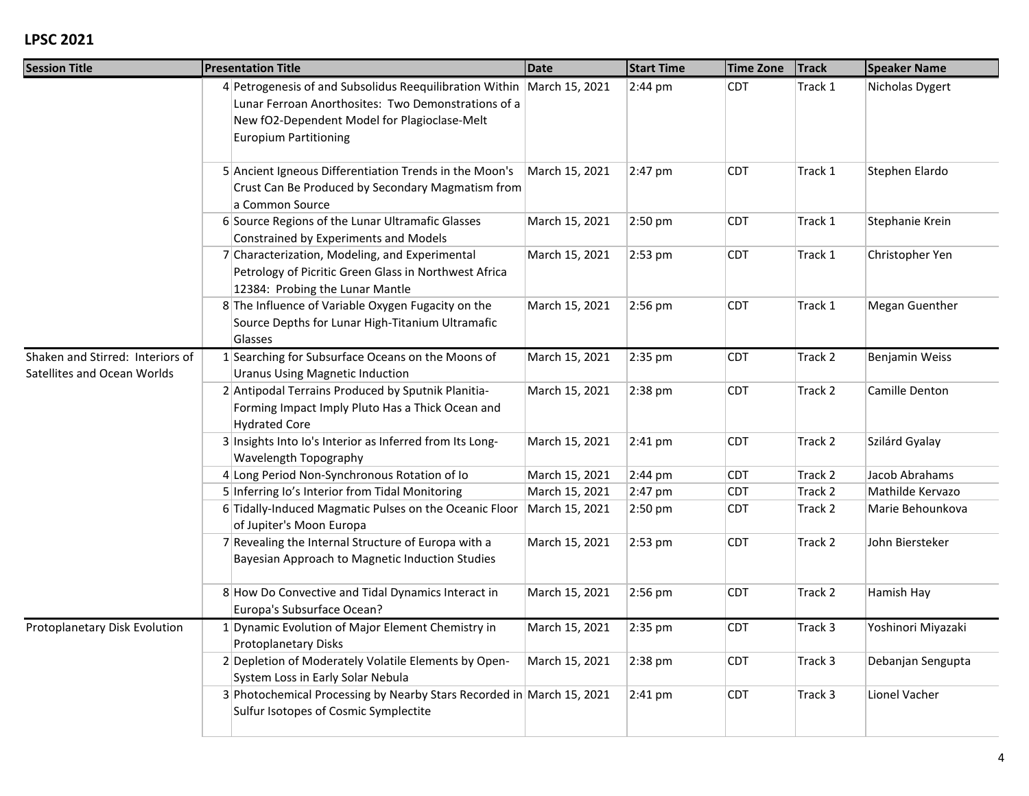| <b>Session Title</b>                                            | <b>Presentation Title</b>                                                                                                                                                                                     | <b>Date</b>    | <b>Start Time</b> | <b>Time Zone</b> | <b>Track</b> | <b>Speaker Name</b> |
|-----------------------------------------------------------------|---------------------------------------------------------------------------------------------------------------------------------------------------------------------------------------------------------------|----------------|-------------------|------------------|--------------|---------------------|
|                                                                 | 4 Petrogenesis of and Subsolidus Reequilibration Within March 15, 2021<br>Lunar Ferroan Anorthosites: Two Demonstrations of a<br>New fO2-Dependent Model for Plagioclase-Melt<br><b>Europium Partitioning</b> |                | 2:44 pm           | <b>CDT</b>       | Track 1      | Nicholas Dygert     |
|                                                                 | 5 Ancient Igneous Differentiation Trends in the Moon's<br>Crust Can Be Produced by Secondary Magmatism from<br>a Common Source                                                                                | March 15, 2021 | 2:47 pm           | <b>CDT</b>       | Track 1      | Stephen Elardo      |
|                                                                 | 6 Source Regions of the Lunar Ultramafic Glasses<br>Constrained by Experiments and Models                                                                                                                     | March 15, 2021 | 2:50 pm           | <b>CDT</b>       | Track 1      | Stephanie Krein     |
|                                                                 | 7 Characterization, Modeling, and Experimental<br>Petrology of Picritic Green Glass in Northwest Africa<br>12384: Probing the Lunar Mantle                                                                    | March 15, 2021 | 2:53 pm           | <b>CDT</b>       | Track 1      | Christopher Yen     |
|                                                                 | 8 The Influence of Variable Oxygen Fugacity on the<br>Source Depths for Lunar High-Titanium Ultramafic<br>Glasses                                                                                             | March 15, 2021 | 2:56 pm           | <b>CDT</b>       | Track 1      | Megan Guenther      |
| Shaken and Stirred: Interiors of<br>Satellites and Ocean Worlds | 1 Searching for Subsurface Oceans on the Moons of<br><b>Uranus Using Magnetic Induction</b>                                                                                                                   | March 15, 2021 | 2:35 pm           | <b>CDT</b>       | Track 2      | Benjamin Weiss      |
|                                                                 | 2 Antipodal Terrains Produced by Sputnik Planitia-<br>Forming Impact Imply Pluto Has a Thick Ocean and<br><b>Hydrated Core</b>                                                                                | March 15, 2021 | $2:38$ pm         | <b>CDT</b>       | Track 2      | Camille Denton      |
|                                                                 | 3 Insights Into Io's Interior as Inferred from Its Long-<br>Wavelength Topography                                                                                                                             | March 15, 2021 | 2:41 pm           | <b>CDT</b>       | Track 2      | Szilárd Gyalay      |
|                                                                 | 4 Long Period Non-Synchronous Rotation of Io                                                                                                                                                                  | March 15, 2021 | 2:44 pm           | <b>CDT</b>       | Track 2      | Jacob Abrahams      |
|                                                                 | 5 Inferring Io's Interior from Tidal Monitoring                                                                                                                                                               | March 15, 2021 | 2:47 pm           | <b>CDT</b>       | Track 2      | Mathilde Kervazo    |
|                                                                 | 6 Tidally-Induced Magmatic Pulses on the Oceanic Floor<br>of Jupiter's Moon Europa                                                                                                                            | March 15, 2021 | $2:50$ pm         | <b>CDT</b>       | Track 2      | Marie Behounkova    |
|                                                                 | 7 Revealing the Internal Structure of Europa with a<br>Bayesian Approach to Magnetic Induction Studies                                                                                                        | March 15, 2021 | 2:53 pm           | <b>CDT</b>       | Track 2      | John Biersteker     |
|                                                                 | 8 How Do Convective and Tidal Dynamics Interact in<br>Europa's Subsurface Ocean?                                                                                                                              | March 15, 2021 | 2:56 pm           | <b>CDT</b>       | Track 2      | Hamish Hay          |
| Protoplanetary Disk Evolution                                   | 1 Dynamic Evolution of Major Element Chemistry in<br>Protoplanetary Disks                                                                                                                                     | March 15, 2021 | 2:35 pm           | <b>CDT</b>       | Track 3      | Yoshinori Miyazaki  |
|                                                                 | 2 Depletion of Moderately Volatile Elements by Open-<br>System Loss in Early Solar Nebula                                                                                                                     | March 15, 2021 | 2:38 pm           | <b>CDT</b>       | Track 3      | Debanjan Sengupta   |
|                                                                 | 3 Photochemical Processing by Nearby Stars Recorded in March 15, 2021<br>Sulfur Isotopes of Cosmic Symplectite                                                                                                |                | 2:41 pm           | <b>CDT</b>       | Track 3      | Lionel Vacher       |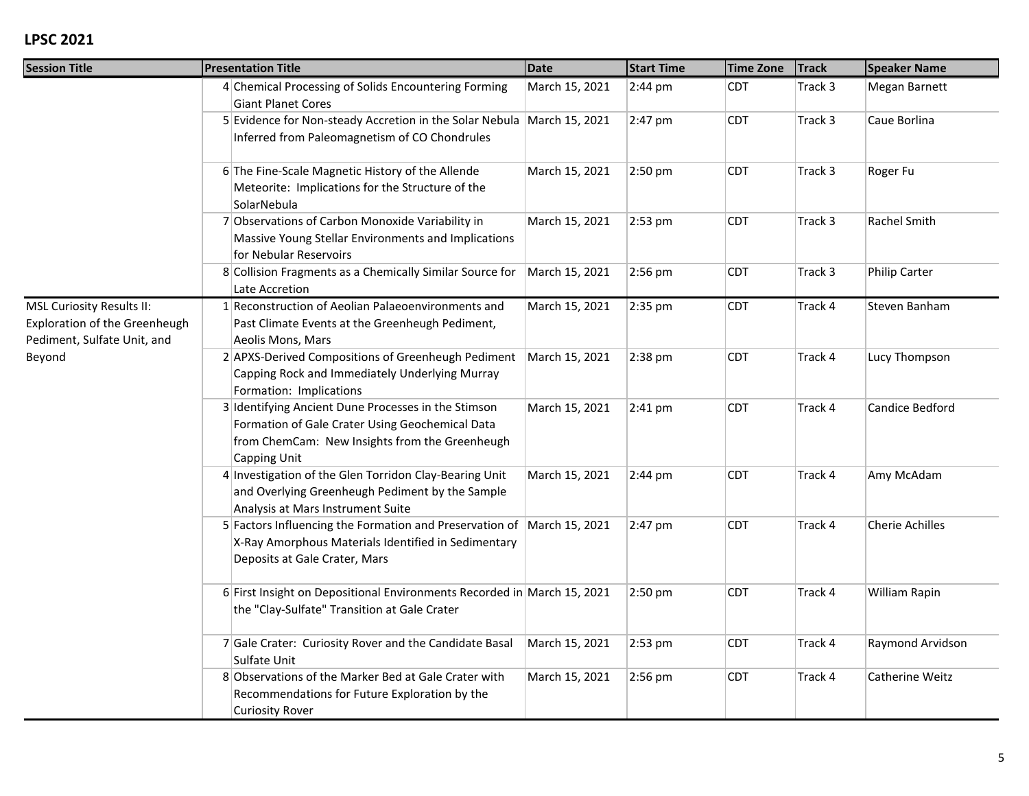| <b>Session Title</b>                                                                                       | <b>Presentation Title</b>                                                                                                                                                | <b>Date</b>    | <b>Start Time</b> | <b>Time Zone</b> | <b>Track</b> | <b>Speaker Name</b>    |
|------------------------------------------------------------------------------------------------------------|--------------------------------------------------------------------------------------------------------------------------------------------------------------------------|----------------|-------------------|------------------|--------------|------------------------|
|                                                                                                            | 4 Chemical Processing of Solids Encountering Forming<br><b>Giant Planet Cores</b>                                                                                        | March 15, 2021 | 2:44 pm           | <b>CDT</b>       | Track 3      | Megan Barnett          |
|                                                                                                            | 5 Evidence for Non-steady Accretion in the Solar Nebula March 15, 2021<br>Inferred from Paleomagnetism of CO Chondrules                                                  |                | 2:47 pm           | <b>CDT</b>       | Track 3      | Caue Borlina           |
|                                                                                                            | 6 The Fine-Scale Magnetic History of the Allende<br>Meteorite: Implications for the Structure of the<br>SolarNebula                                                      | March 15, 2021 | 2:50 pm           | <b>CDT</b>       | Track 3      | Roger Fu               |
|                                                                                                            | 7 Observations of Carbon Monoxide Variability in<br>Massive Young Stellar Environments and Implications<br>for Nebular Reservoirs                                        | March 15, 2021 | 2:53 pm           | <b>CDT</b>       | Track 3      | Rachel Smith           |
|                                                                                                            | 8 Collision Fragments as a Chemically Similar Source for<br>Late Accretion                                                                                               | March 15, 2021 | 2:56 pm           | <b>CDT</b>       | Track 3      | <b>Philip Carter</b>   |
| <b>MSL Curiosity Results II:</b><br>Exploration of the Greenheugh<br>Pediment, Sulfate Unit, and<br>Beyond | 1 Reconstruction of Aeolian Palaeoenvironments and<br>Past Climate Events at the Greenheugh Pediment,<br>Aeolis Mons, Mars                                               | March 15, 2021 | 2:35 pm           | <b>CDT</b>       | Track 4      | Steven Banham          |
|                                                                                                            | 2 APXS-Derived Compositions of Greenheugh Pediment<br>Capping Rock and Immediately Underlying Murray<br>Formation: Implications                                          | March 15, 2021 | 2:38 pm           | <b>CDT</b>       | Track 4      | Lucy Thompson          |
|                                                                                                            | 3 Identifying Ancient Dune Processes in the Stimson<br>Formation of Gale Crater Using Geochemical Data<br>from ChemCam: New Insights from the Greenheugh<br>Capping Unit | March 15, 2021 | $2:41$ pm         | <b>CDT</b>       | Track 4      | Candice Bedford        |
|                                                                                                            | 4 Investigation of the Glen Torridon Clay-Bearing Unit<br>and Overlying Greenheugh Pediment by the Sample<br>Analysis at Mars Instrument Suite                           | March 15, 2021 | $2:44 \text{ pm}$ | <b>CDT</b>       | Track 4      | Amy McAdam             |
|                                                                                                            | 5 Factors Influencing the Formation and Preservation of March 15, 2021<br>X-Ray Amorphous Materials Identified in Sedimentary<br>Deposits at Gale Crater, Mars           |                | 2:47 pm           | <b>CDT</b>       | Track 4      | <b>Cherie Achilles</b> |
|                                                                                                            | 6 First Insight on Depositional Environments Recorded in March 15, 2021<br>the "Clay-Sulfate" Transition at Gale Crater                                                  |                | $2:50$ pm         | <b>CDT</b>       | Track 4      | William Rapin          |
|                                                                                                            | 7 Gale Crater: Curiosity Rover and the Candidate Basal<br>Sulfate Unit                                                                                                   | March 15, 2021 | 2:53 pm           | <b>CDT</b>       | Track 4      | Raymond Arvidson       |
|                                                                                                            | 8 Observations of the Marker Bed at Gale Crater with<br>Recommendations for Future Exploration by the<br><b>Curiosity Rover</b>                                          | March 15, 2021 | 2:56 pm           | <b>CDT</b>       | Track 4      | Catherine Weitz        |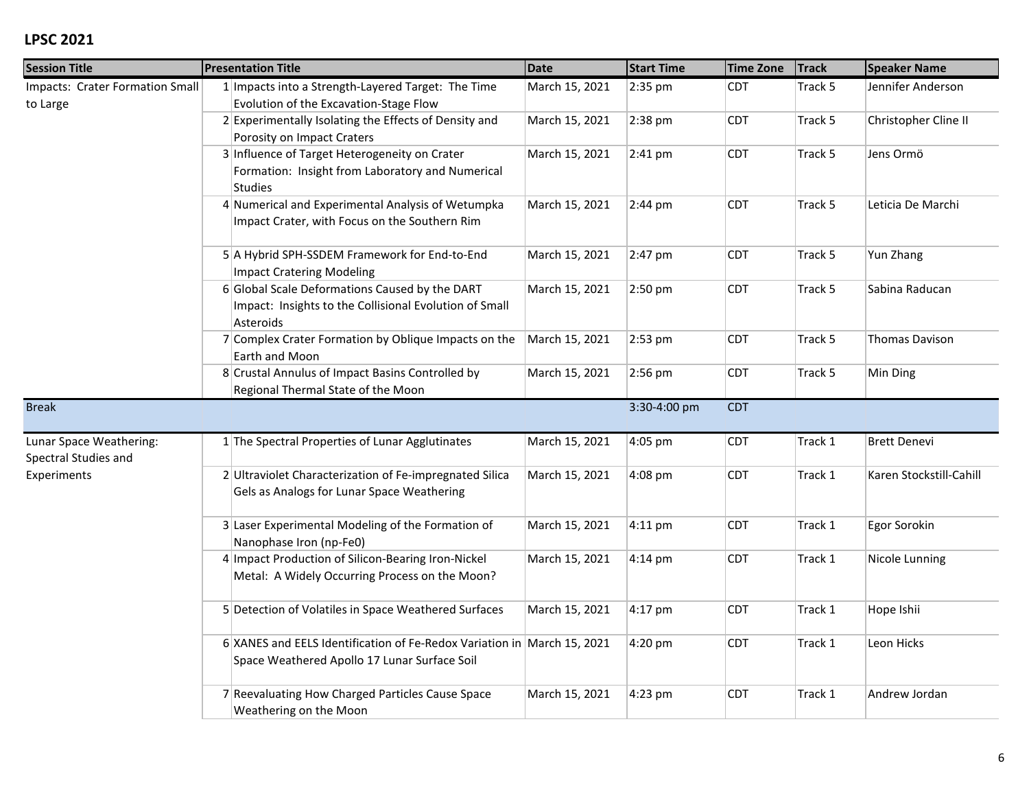| <b>Session Title</b>                            | <b>Presentation Title</b>                                                                                               | <b>Date</b>    | <b>Start Time</b> | <b>Time Zone</b> | <b>Track</b> | <b>Speaker Name</b>     |
|-------------------------------------------------|-------------------------------------------------------------------------------------------------------------------------|----------------|-------------------|------------------|--------------|-------------------------|
| Impacts: Crater Formation Small<br>to Large     | 1 Impacts into a Strength-Layered Target: The Time<br>Evolution of the Excavation-Stage Flow                            | March 15, 2021 | 2:35 pm           | <b>CDT</b>       | Track 5      | Jennifer Anderson       |
|                                                 | 2 Experimentally Isolating the Effects of Density and<br>Porosity on Impact Craters                                     | March 15, 2021 | 2:38 pm           | CDT              | Track 5      | Christopher Cline II    |
|                                                 | 3 Influence of Target Heterogeneity on Crater<br>Formation: Insight from Laboratory and Numerical<br>Studies            | March 15, 2021 | $2:41$ pm         | CDT              | Track 5      | Jens Ormö               |
|                                                 | 4 Numerical and Experimental Analysis of Wetumpka<br>Impact Crater, with Focus on the Southern Rim                      | March 15, 2021 | 2:44 pm           | <b>CDT</b>       | Track 5      | Leticia De Marchi       |
|                                                 | 5 A Hybrid SPH-SSDEM Framework for End-to-End<br>Impact Cratering Modeling                                              | March 15, 2021 | 2:47 pm           | <b>CDT</b>       | Track 5      | Yun Zhang               |
|                                                 | 6 Global Scale Deformations Caused by the DART<br>Impact: Insights to the Collisional Evolution of Small<br>Asteroids   | March 15, 2021 | 2:50 pm           | <b>CDT</b>       | Track 5      | Sabina Raducan          |
|                                                 | 7 Complex Crater Formation by Oblique Impacts on the<br>Earth and Moon                                                  | March 15, 2021 | 2:53 pm           | <b>CDT</b>       | Track 5      | <b>Thomas Davison</b>   |
|                                                 | 8 Crustal Annulus of Impact Basins Controlled by<br>Regional Thermal State of the Moon                                  | March 15, 2021 | 2:56 pm           | CDT              | Track 5      | Min Ding                |
| <b>Break</b>                                    |                                                                                                                         |                | 3:30-4:00 pm      | <b>CDT</b>       |              |                         |
| Lunar Space Weathering:<br>Spectral Studies and | 1 The Spectral Properties of Lunar Agglutinates                                                                         | March 15, 2021 | 4:05 pm           | <b>CDT</b>       | Track 1      | <b>Brett Denevi</b>     |
| Experiments                                     | 2 Ultraviolet Characterization of Fe-impregnated Silica<br>Gels as Analogs for Lunar Space Weathering                   | March 15, 2021 | 4:08 pm           | <b>CDT</b>       | Track 1      | Karen Stockstill-Cahill |
|                                                 | 3 Laser Experimental Modeling of the Formation of<br>Nanophase Iron (np-Fe0)                                            | March 15, 2021 | $4:11$ pm         | <b>CDT</b>       | Track 1      | Egor Sorokin            |
|                                                 | 4 Impact Production of Silicon-Bearing Iron-Nickel<br>Metal: A Widely Occurring Process on the Moon?                    | March 15, 2021 | 4:14 pm           | <b>CDT</b>       | Track 1      | Nicole Lunning          |
|                                                 | 5 Detection of Volatiles in Space Weathered Surfaces                                                                    | March 15, 2021 | 4:17 pm           | <b>CDT</b>       | Track 1      | Hope Ishii              |
|                                                 | 6 XANES and EELS Identification of Fe-Redox Variation in March 15, 2021<br>Space Weathered Apollo 17 Lunar Surface Soil |                | 4:20 pm           | <b>CDT</b>       | Track 1      | Leon Hicks              |
|                                                 | 7 Reevaluating How Charged Particles Cause Space<br>Weathering on the Moon                                              | March 15, 2021 | 4:23 pm           | <b>CDT</b>       | Track 1      | Andrew Jordan           |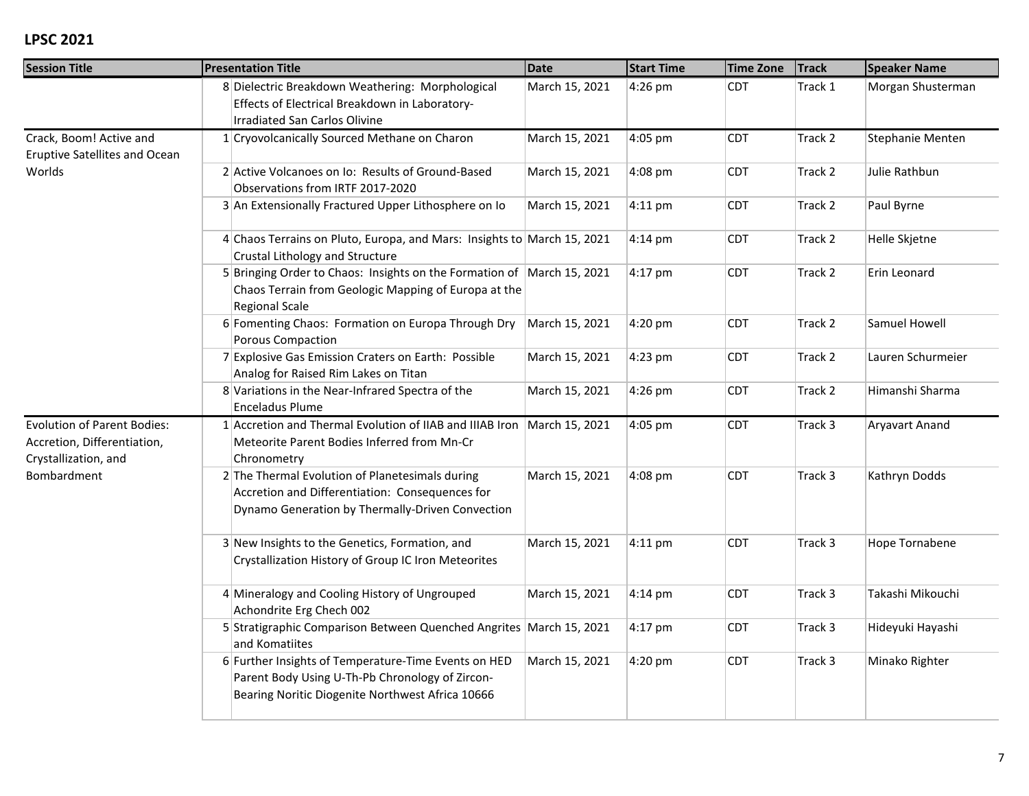| <b>Session Title</b>                                                                      | <b>Presentation Title</b>                                                                                                                                   | <b>Date</b>    | <b>Start Time</b> | <b>Time Zone</b> | <b>Track</b> | <b>Speaker Name</b>   |
|-------------------------------------------------------------------------------------------|-------------------------------------------------------------------------------------------------------------------------------------------------------------|----------------|-------------------|------------------|--------------|-----------------------|
|                                                                                           | 8 Dielectric Breakdown Weathering: Morphological<br>Effects of Electrical Breakdown in Laboratory-<br>Irradiated San Carlos Olivine                         | March 15, 2021 | 4:26 pm           | <b>CDT</b>       | Track 1      | Morgan Shusterman     |
| Crack, Boom! Active and<br><b>Eruptive Satellites and Ocean</b>                           | 1 Cryovolcanically Sourced Methane on Charon                                                                                                                | March 15, 2021 | 4:05 pm           | <b>CDT</b>       | Track 2      | Stephanie Menten      |
| Worlds                                                                                    | 2 Active Volcanoes on Io: Results of Ground-Based<br>Observations from IRTF 2017-2020                                                                       | March 15, 2021 | 4:08 pm           | <b>CDT</b>       | Track 2      | Julie Rathbun         |
|                                                                                           | 3 An Extensionally Fractured Upper Lithosphere on Io                                                                                                        | March 15, 2021 | $4:11$ pm         | <b>CDT</b>       | Track 2      | Paul Byrne            |
|                                                                                           | 4 Chaos Terrains on Pluto, Europa, and Mars: Insights to March 15, 2021<br>Crustal Lithology and Structure                                                  |                | $4:14 \text{ pm}$ | <b>CDT</b>       | Track 2      | Helle Skjetne         |
|                                                                                           | 5 Bringing Order to Chaos: Insights on the Formation of March 15, 2021<br>Chaos Terrain from Geologic Mapping of Europa at the<br><b>Regional Scale</b>     |                | $4:17$ pm         | <b>CDT</b>       | Track 2      | Erin Leonard          |
|                                                                                           | 6 Fomenting Chaos: Formation on Europa Through Dry<br>Porous Compaction                                                                                     | March 15, 2021 | $4:20$ pm         | <b>CDT</b>       | Track 2      | Samuel Howell         |
|                                                                                           | 7 Explosive Gas Emission Craters on Earth: Possible<br>Analog for Raised Rim Lakes on Titan                                                                 | March 15, 2021 | 4:23 pm           | <b>CDT</b>       | Track 2      | Lauren Schurmeier     |
|                                                                                           | 8 Variations in the Near-Infrared Spectra of the<br><b>Enceladus Plume</b>                                                                                  | March 15, 2021 | 4:26 pm           | <b>CDT</b>       | Track 2      | Himanshi Sharma       |
| <b>Evolution of Parent Bodies:</b><br>Accretion, Differentiation,<br>Crystallization, and | 1 Accretion and Thermal Evolution of IIAB and IIIAB Iron March 15, 2021<br>Meteorite Parent Bodies Inferred from Mn-Cr<br>Chronometry                       |                | 4:05 pm           | <b>CDT</b>       | Track 3      | <b>Aryavart Anand</b> |
| Bombardment                                                                               | 2 The Thermal Evolution of Planetesimals during<br>Accretion and Differentiation: Consequences for<br>Dynamo Generation by Thermally-Driven Convection      | March 15, 2021 | 4:08 pm           | <b>CDT</b>       | Track 3      | Kathryn Dodds         |
|                                                                                           | 3 New Insights to the Genetics, Formation, and<br>Crystallization History of Group IC Iron Meteorites                                                       | March 15, 2021 | $4:11$ pm         | <b>CDT</b>       | Track 3      | Hope Tornabene        |
|                                                                                           | 4 Mineralogy and Cooling History of Ungrouped<br>Achondrite Erg Chech 002                                                                                   | March 15, 2021 | $4:14 \text{ pm}$ | <b>CDT</b>       | Track 3      | Takashi Mikouchi      |
|                                                                                           | 5 Stratigraphic Comparison Between Quenched Angrites March 15, 2021<br>and Komatiites                                                                       |                | 4:17 pm           | <b>CDT</b>       | Track 3      | Hideyuki Hayashi      |
|                                                                                           | 6 Further Insights of Temperature-Time Events on HED<br>Parent Body Using U-Th-Pb Chronology of Zircon-<br>Bearing Noritic Diogenite Northwest Africa 10666 | March 15, 2021 | 4:20 pm           | <b>CDT</b>       | Track 3      | Minako Righter        |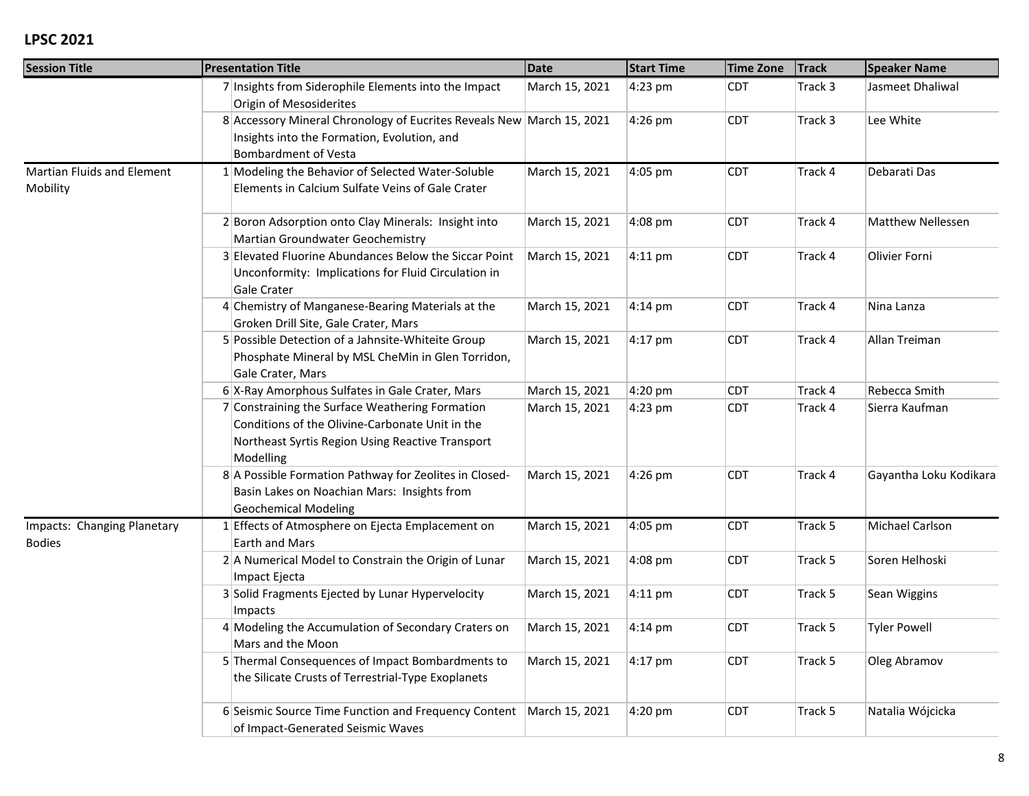| <b>Session Title</b>                          | <b>Presentation Title</b>                                                                                                                                           | <b>Date</b>    | <b>Start Time</b> | <b>Time Zone</b> | <b>Track</b> | <b>Speaker Name</b>      |
|-----------------------------------------------|---------------------------------------------------------------------------------------------------------------------------------------------------------------------|----------------|-------------------|------------------|--------------|--------------------------|
|                                               | 7 Insights from Siderophile Elements into the Impact<br>Origin of Mesosiderites                                                                                     | March 15, 2021 | 4:23 pm           | <b>CDT</b>       | Track 3      | Jasmeet Dhaliwal         |
|                                               | 8 Accessory Mineral Chronology of Eucrites Reveals New March 15, 2021<br>Insights into the Formation, Evolution, and<br><b>Bombardment of Vesta</b>                 |                | 4:26 pm           | <b>CDT</b>       | Track 3      | Lee White                |
| <b>Martian Fluids and Element</b><br>Mobility | 1 Modeling the Behavior of Selected Water-Soluble<br>Elements in Calcium Sulfate Veins of Gale Crater                                                               | March 15, 2021 | 4:05 pm           | <b>CDT</b>       | Track 4      | Debarati Das             |
|                                               | 2 Boron Adsorption onto Clay Minerals: Insight into<br>Martian Groundwater Geochemistry                                                                             | March 15, 2021 | 4:08 pm           | <b>CDT</b>       | Track 4      | <b>Matthew Nellessen</b> |
|                                               | 3 Elevated Fluorine Abundances Below the Siccar Point<br>Unconformity: Implications for Fluid Circulation in<br>Gale Crater                                         | March 15, 2021 | $4:11$ pm         | <b>CDT</b>       | Track 4      | Olivier Forni            |
|                                               | 4 Chemistry of Manganese-Bearing Materials at the<br>Groken Drill Site, Gale Crater, Mars                                                                           | March 15, 2021 | $4:14 \text{ pm}$ | <b>CDT</b>       | Track 4      | Nina Lanza               |
|                                               | 5 Possible Detection of a Jahnsite-Whiteite Group<br>Phosphate Mineral by MSL CheMin in Glen Torridon,<br>Gale Crater, Mars                                         | March 15, 2021 | 4:17 pm           | <b>CDT</b>       | Track 4      | Allan Treiman            |
|                                               | 6 X-Ray Amorphous Sulfates in Gale Crater, Mars                                                                                                                     | March 15, 2021 | 4:20 pm           | <b>CDT</b>       | Track 4      | Rebecca Smith            |
|                                               | 7 Constraining the Surface Weathering Formation<br>Conditions of the Olivine-Carbonate Unit in the<br>Northeast Syrtis Region Using Reactive Transport<br>Modelling | March 15, 2021 | 4:23 pm           | <b>CDT</b>       | Track 4      | Sierra Kaufman           |
|                                               | 8 A Possible Formation Pathway for Zeolites in Closed-<br>Basin Lakes on Noachian Mars: Insights from<br><b>Geochemical Modeling</b>                                | March 15, 2021 | 4:26 pm           | <b>CDT</b>       | Track 4      | Gayantha Loku Kodikara   |
| Impacts: Changing Planetary<br><b>Bodies</b>  | 1 Effects of Atmosphere on Ejecta Emplacement on<br><b>Earth and Mars</b>                                                                                           | March 15, 2021 | 4:05 pm           | <b>CDT</b>       | Track 5      | Michael Carlson          |
|                                               | 2 A Numerical Model to Constrain the Origin of Lunar<br>Impact Ejecta                                                                                               | March 15, 2021 | 4:08 pm           | <b>CDT</b>       | Track 5      | Soren Helhoski           |
|                                               | 3 Solid Fragments Ejected by Lunar Hypervelocity<br>Impacts                                                                                                         | March 15, 2021 | $4:11$ pm         | <b>CDT</b>       | Track 5      | Sean Wiggins             |
|                                               | 4 Modeling the Accumulation of Secondary Craters on<br>Mars and the Moon                                                                                            | March 15, 2021 | 4:14 pm           | <b>CDT</b>       | Track 5      | <b>Tyler Powell</b>      |
|                                               | 5 Thermal Consequences of Impact Bombardments to<br>the Silicate Crusts of Terrestrial-Type Exoplanets                                                              | March 15, 2021 | 4:17 pm           | <b>CDT</b>       | Track 5      | Oleg Abramov             |
|                                               | 6 Seismic Source Time Function and Frequency Content   March 15, 2021<br>of Impact-Generated Seismic Waves                                                          |                | 4:20 pm           | <b>CDT</b>       | Track 5      | Natalia Wójcicka         |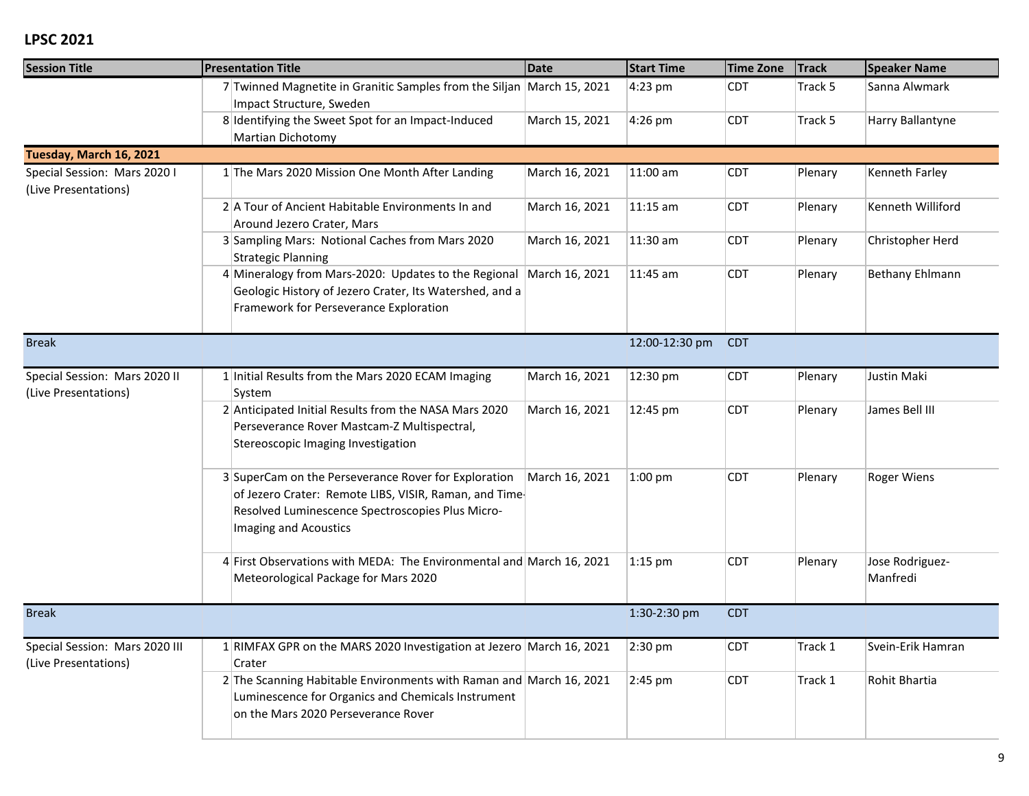| <b>Session Title</b>                                   | <b>Presentation Title</b>                                                                                                                                                                  | <b>Date</b>    | <b>Start Time</b> | <b>Time Zone</b> | <b>Track</b> | <b>Speaker Name</b>         |
|--------------------------------------------------------|--------------------------------------------------------------------------------------------------------------------------------------------------------------------------------------------|----------------|-------------------|------------------|--------------|-----------------------------|
|                                                        | 7 Twinned Magnetite in Granitic Samples from the Siljan March 15, 2021<br>Impact Structure, Sweden                                                                                         |                | 4:23 pm           | <b>CDT</b>       | Track 5      | Sanna Alwmark               |
|                                                        | 8 Identifying the Sweet Spot for an Impact-Induced<br>Martian Dichotomy                                                                                                                    | March 15, 2021 | 4:26 pm           | <b>CDT</b>       | Track 5      | Harry Ballantyne            |
| Tuesday, March 16, 2021                                |                                                                                                                                                                                            |                |                   |                  |              |                             |
| Special Session: Mars 2020 I<br>(Live Presentations)   | 1 The Mars 2020 Mission One Month After Landing                                                                                                                                            | March 16, 2021 | 11:00 am          | <b>CDT</b>       | Plenary      | Kenneth Farley              |
|                                                        | 2 A Tour of Ancient Habitable Environments In and<br>Around Jezero Crater, Mars                                                                                                            | March 16, 2021 | $11:15$ am        | <b>CDT</b>       | Plenary      | Kenneth Williford           |
|                                                        | 3 Sampling Mars: Notional Caches from Mars 2020<br><b>Strategic Planning</b>                                                                                                               | March 16, 2021 | 11:30 am          | <b>CDT</b>       | Plenary      | Christopher Herd            |
|                                                        | 4 Mineralogy from Mars-2020: Updates to the Regional<br>Geologic History of Jezero Crater, Its Watershed, and a<br>Framework for Perseverance Exploration                                  | March 16, 2021 | 11:45 am          | <b>CDT</b>       | Plenary      | Bethany Ehlmann             |
| <b>Break</b>                                           |                                                                                                                                                                                            |                | 12:00-12:30 pm    | <b>CDT</b>       |              |                             |
| Special Session: Mars 2020 II<br>(Live Presentations)  | 1 Initial Results from the Mars 2020 ECAM Imaging<br>System                                                                                                                                | March 16, 2021 | 12:30 pm          | <b>CDT</b>       | Plenary      | Justin Maki                 |
|                                                        | 2 Anticipated Initial Results from the NASA Mars 2020<br>Perseverance Rover Mastcam-Z Multispectral,<br>Stereoscopic Imaging Investigation                                                 | March 16, 2021 | 12:45 pm          | <b>CDT</b>       | Plenary      | James Bell III              |
|                                                        | 3 SuperCam on the Perseverance Rover for Exploration<br>of Jezero Crater: Remote LIBS, VISIR, Raman, and Time<br>Resolved Luminescence Spectroscopies Plus Micro-<br>Imaging and Acoustics | March 16, 2021 | $1:00$ pm         | <b>CDT</b>       | Plenary      | <b>Roger Wiens</b>          |
|                                                        | 4 First Observations with MEDA: The Environmental and March 16, 2021<br>Meteorological Package for Mars 2020                                                                               |                | $1:15$ pm         | <b>CDT</b>       | Plenary      | Jose Rodriguez-<br>Manfredi |
| <b>Break</b>                                           |                                                                                                                                                                                            |                | 1:30-2:30 pm      | <b>CDT</b>       |              |                             |
| Special Session: Mars 2020 III<br>(Live Presentations) | 1 RIMFAX GPR on the MARS 2020 Investigation at Jezero March 16, 2021<br>Crater                                                                                                             |                | $ 2:30$ pm        | <b>CDT</b>       | Track 1      | Svein-Erik Hamran           |
|                                                        | 2 The Scanning Habitable Environments with Raman and March 16, 2021<br>Luminescence for Organics and Chemicals Instrument<br>on the Mars 2020 Perseverance Rover                           |                | 2:45 pm           | <b>CDT</b>       | Track 1      | Rohit Bhartia               |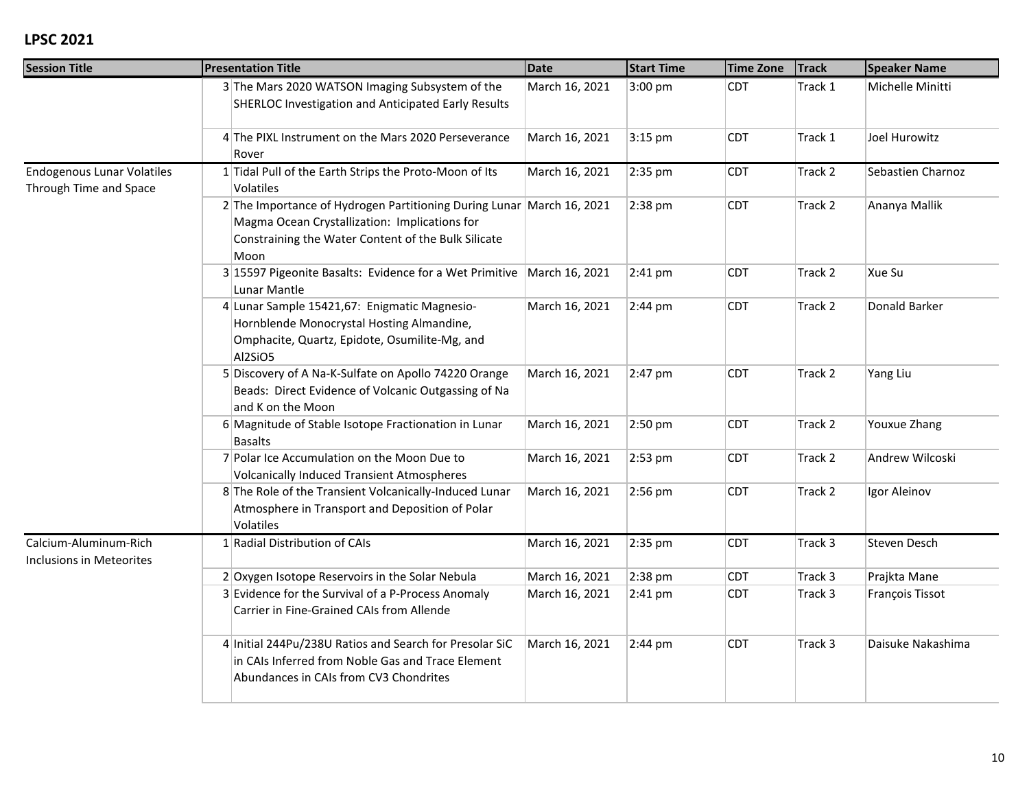| <b>Session Title</b>                                        | <b>Presentation Title</b>                                                                                                                                                             | <b>Date</b>    | <b>Start Time</b> | <b>Time Zone</b> | <b>Track</b> | <b>Speaker Name</b> |
|-------------------------------------------------------------|---------------------------------------------------------------------------------------------------------------------------------------------------------------------------------------|----------------|-------------------|------------------|--------------|---------------------|
|                                                             | 3 The Mars 2020 WATSON Imaging Subsystem of the<br><b>SHERLOC Investigation and Anticipated Early Results</b>                                                                         | March 16, 2021 | 3:00 pm           | <b>CDT</b>       | Track 1      | Michelle Minitti    |
|                                                             | 4 The PIXL Instrument on the Mars 2020 Perseverance<br>Rover                                                                                                                          | March 16, 2021 | $3:15$ pm         | <b>CDT</b>       | Track 1      | Joel Hurowitz       |
| <b>Endogenous Lunar Volatiles</b><br>Through Time and Space | 1 Tidal Pull of the Earth Strips the Proto-Moon of Its<br><b>Volatiles</b>                                                                                                            | March 16, 2021 | 2:35 pm           | <b>CDT</b>       | Track 2      | Sebastien Charnoz   |
|                                                             | 2 The Importance of Hydrogen Partitioning During Lunar March 16, 2021<br>Magma Ocean Crystallization: Implications for<br>Constraining the Water Content of the Bulk Silicate<br>Moon |                | 2:38 pm           | <b>CDT</b>       | Track 2      | Ananya Mallik       |
|                                                             | 3 15597 Pigeonite Basalts: Evidence for a Wet Primitive   March 16, 2021<br>Lunar Mantle                                                                                              |                | 2:41 pm           | <b>CDT</b>       | Track 2      | Xue Su              |
|                                                             | 4 Lunar Sample 15421,67: Enigmatic Magnesio-<br>Hornblende Monocrystal Hosting Almandine,<br>Omphacite, Quartz, Epidote, Osumilite-Mg, and<br>Al2SiO5                                 | March 16, 2021 | $2:44 \text{ pm}$ | <b>CDT</b>       | Track 2      | Donald Barker       |
|                                                             | 5 Discovery of A Na-K-Sulfate on Apollo 74220 Orange<br>Beads: Direct Evidence of Volcanic Outgassing of Na<br>and K on the Moon                                                      | March 16, 2021 | 2:47 pm           | <b>CDT</b>       | Track 2      | Yang Liu            |
|                                                             | 6 Magnitude of Stable Isotope Fractionation in Lunar<br><b>Basalts</b>                                                                                                                | March 16, 2021 | 2:50 pm           | <b>CDT</b>       | Track 2      | Youxue Zhang        |
|                                                             | 7 Polar Ice Accumulation on the Moon Due to<br>Volcanically Induced Transient Atmospheres                                                                                             | March 16, 2021 | 2:53 pm           | <b>CDT</b>       | Track 2      | Andrew Wilcoski     |
|                                                             | 8 The Role of the Transient Volcanically-Induced Lunar<br>Atmosphere in Transport and Deposition of Polar<br>Volatiles                                                                | March 16, 2021 | 2:56 pm           | <b>CDT</b>       | Track 2      | Igor Aleinov        |
| Calcium-Aluminum-Rich<br>Inclusions in Meteorites           | 1 Radial Distribution of CAIs                                                                                                                                                         | March 16, 2021 | 2:35 pm           | <b>CDT</b>       | Track 3      | Steven Desch        |
|                                                             | 2 Oxygen Isotope Reservoirs in the Solar Nebula                                                                                                                                       | March 16, 2021 | 2:38 pm           | <b>CDT</b>       | Track 3      | Prajkta Mane        |
|                                                             | 3 Evidence for the Survival of a P-Process Anomaly<br>Carrier in Fine-Grained CAIs from Allende                                                                                       | March 16, 2021 | $2:41$ pm         | <b>CDT</b>       | Track 3      | François Tissot     |
|                                                             | 4 Initial 244Pu/238U Ratios and Search for Presolar SiC<br>in CAIs Inferred from Noble Gas and Trace Element<br>Abundances in CAIs from CV3 Chondrites                                | March 16, 2021 | $2:44 \text{ pm}$ | <b>CDT</b>       | Track 3      | Daisuke Nakashima   |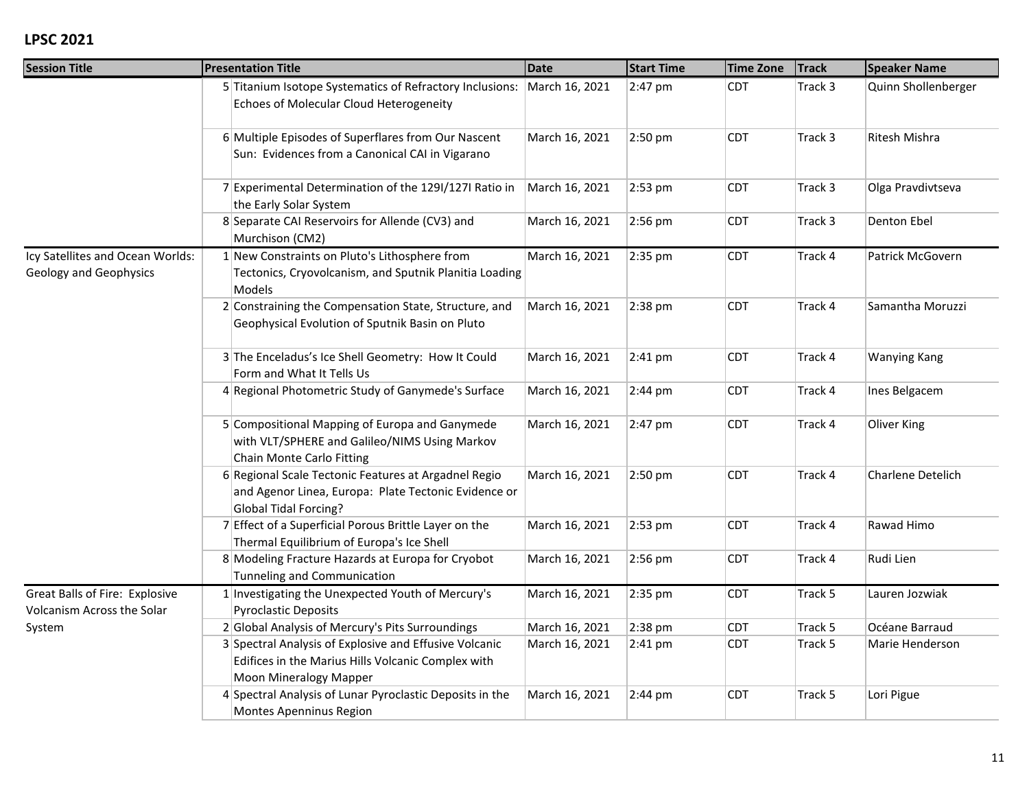| <b>Session Title</b>                                                | <b>Presentation Title</b>                                                                                                                     | <b>Date</b>    | <b>Start Time</b> | <b>Time Zone</b> | <b>Track</b> | <b>Speaker Name</b> |
|---------------------------------------------------------------------|-----------------------------------------------------------------------------------------------------------------------------------------------|----------------|-------------------|------------------|--------------|---------------------|
|                                                                     | 5 Titanium Isotope Systematics of Refractory Inclusions:<br>Echoes of Molecular Cloud Heterogeneity                                           | March 16, 2021 | 2:47 pm           | <b>CDT</b>       | Track 3      | Quinn Shollenberger |
|                                                                     | 6 Multiple Episodes of Superflares from Our Nascent<br>Sun: Evidences from a Canonical CAI in Vigarano                                        | March 16, 2021 | 2:50 pm           | <b>CDT</b>       | Track 3      | Ritesh Mishra       |
|                                                                     | 7 Experimental Determination of the 1291/1271 Ratio in<br>the Early Solar System                                                              | March 16, 2021 | 2:53 pm           | <b>CDT</b>       | Track 3      | Olga Pravdivtseva   |
|                                                                     | 8 Separate CAI Reservoirs for Allende (CV3) and<br>Murchison (CM2)                                                                            | March 16, 2021 | 2:56 pm           | <b>CDT</b>       | Track 3      | Denton Ebel         |
| Icy Satellites and Ocean Worlds:<br>Geology and Geophysics          | 1 New Constraints on Pluto's Lithosphere from<br>Tectonics, Cryovolcanism, and Sputnik Planitia Loading<br>Models                             | March 16, 2021 | 2:35 pm           | <b>CDT</b>       | Track 4      | Patrick McGovern    |
|                                                                     | 2 Constraining the Compensation State, Structure, and<br>Geophysical Evolution of Sputnik Basin on Pluto                                      | March 16, 2021 | 2:38 pm           | <b>CDT</b>       | Track 4      | Samantha Moruzzi    |
|                                                                     | 3 The Enceladus's Ice Shell Geometry: How It Could<br>Form and What It Tells Us                                                               | March 16, 2021 | $2:41$ pm         | <b>CDT</b>       | Track 4      | <b>Wanying Kang</b> |
|                                                                     | 4 Regional Photometric Study of Ganymede's Surface                                                                                            | March 16, 2021 | 2:44 pm           | <b>CDT</b>       | Track 4      | Ines Belgacem       |
|                                                                     | 5 Compositional Mapping of Europa and Ganymede<br>with VLT/SPHERE and Galileo/NIMS Using Markov<br>Chain Monte Carlo Fitting                  | March 16, 2021 | 2:47 pm           | <b>CDT</b>       | Track 4      | Oliver King         |
|                                                                     | 6 Regional Scale Tectonic Features at Argadnel Regio<br>and Agenor Linea, Europa: Plate Tectonic Evidence or<br>Global Tidal Forcing?         | March 16, 2021 | 2:50 pm           | <b>CDT</b>       | Track 4      | Charlene Detelich   |
|                                                                     | 7 Effect of a Superficial Porous Brittle Layer on the<br>Thermal Equilibrium of Europa's Ice Shell                                            | March 16, 2021 | 2:53 pm           | <b>CDT</b>       | Track 4      | Rawad Himo          |
|                                                                     | 8 Modeling Fracture Hazards at Europa for Cryobot<br>Tunneling and Communication                                                              | March 16, 2021 | 2:56 pm           | <b>CDT</b>       | Track 4      | Rudi Lien           |
| <b>Great Balls of Fire: Explosive</b><br>Volcanism Across the Solar | 1 Investigating the Unexpected Youth of Mercury's<br><b>Pyroclastic Deposits</b>                                                              | March 16, 2021 | 2:35 pm           | <b>CDT</b>       | Track 5      | Lauren Jozwiak      |
| System                                                              | 2 Global Analysis of Mercury's Pits Surroundings                                                                                              | March 16, 2021 | 2:38 pm           | <b>CDT</b>       | Track 5      | Océane Barraud      |
|                                                                     | 3 Spectral Analysis of Explosive and Effusive Volcanic<br>Edifices in the Marius Hills Volcanic Complex with<br><b>Moon Mineralogy Mapper</b> | March 16, 2021 | $2:41$ pm         | <b>CDT</b>       | Track 5      | Marie Henderson     |
|                                                                     | 4 Spectral Analysis of Lunar Pyroclastic Deposits in the<br>Montes Apenninus Region                                                           | March 16, 2021 | 2:44 pm           | <b>CDT</b>       | Track 5      | Lori Pigue          |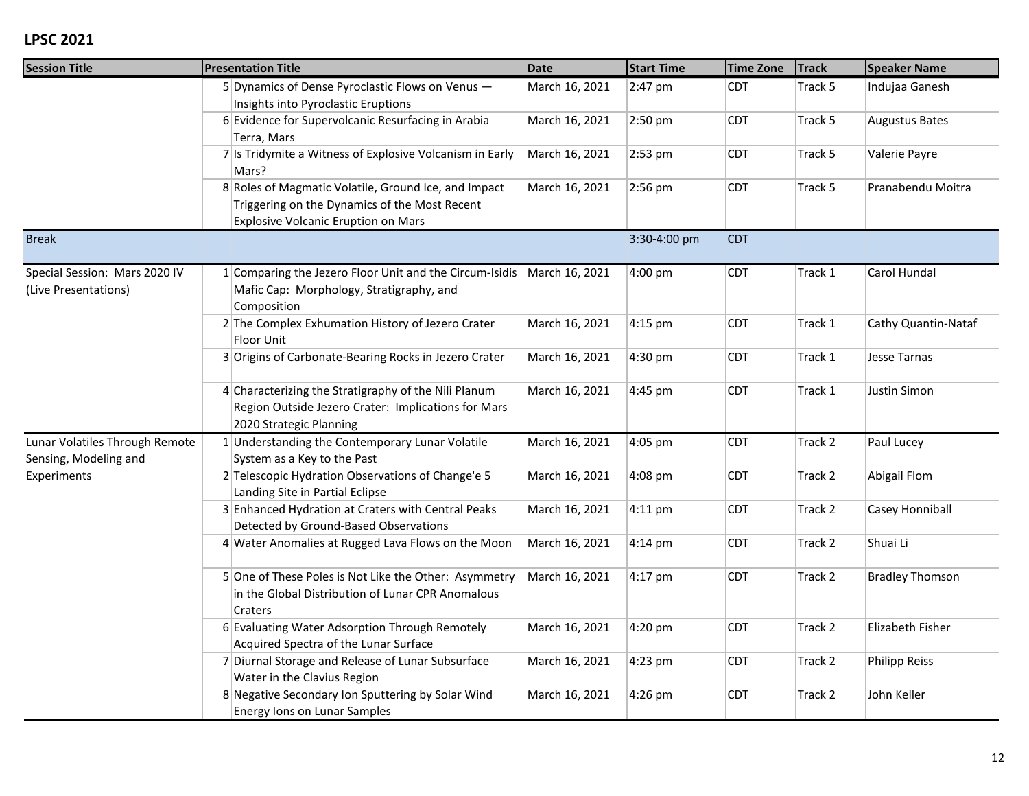| <b>Session Title</b>                                    | <b>Presentation Title</b>                                                                                                                           | <b>Date</b>    | <b>Start Time</b> | <b>Time Zone</b> | <b>Track</b> | <b>Speaker Name</b>    |
|---------------------------------------------------------|-----------------------------------------------------------------------------------------------------------------------------------------------------|----------------|-------------------|------------------|--------------|------------------------|
|                                                         | 5 Dynamics of Dense Pyroclastic Flows on Venus -<br>Insights into Pyroclastic Eruptions                                                             | March 16, 2021 | 2:47 pm           | <b>CDT</b>       | Track 5      | Indujaa Ganesh         |
|                                                         | 6 Evidence for Supervolcanic Resurfacing in Arabia<br>Terra, Mars                                                                                   | March 16, 2021 | 2:50 pm           | <b>CDT</b>       | Track 5      | <b>Augustus Bates</b>  |
|                                                         | 7 Is Tridymite a Witness of Explosive Volcanism in Early<br>Mars?                                                                                   | March 16, 2021 | 2:53 pm           | <b>CDT</b>       | Track 5      | Valerie Payre          |
|                                                         | 8 Roles of Magmatic Volatile, Ground Ice, and Impact<br>Triggering on the Dynamics of the Most Recent<br><b>Explosive Volcanic Eruption on Mars</b> | March 16, 2021 | 2:56 pm           | <b>CDT</b>       | Track 5      | Pranabendu Moitra      |
| <b>Break</b>                                            |                                                                                                                                                     |                | 3:30-4:00 pm      | <b>CDT</b>       |              |                        |
| Special Session: Mars 2020 IV<br>(Live Presentations)   | 1 Comparing the Jezero Floor Unit and the Circum-Isidis<br>Mafic Cap: Morphology, Stratigraphy, and<br>Composition                                  | March 16, 2021 | 4:00 pm           | <b>CDT</b>       | Track 1      | Carol Hundal           |
|                                                         | 2 The Complex Exhumation History of Jezero Crater<br>Floor Unit                                                                                     | March 16, 2021 | $4:15$ pm         | <b>CDT</b>       | Track 1      | Cathy Quantin-Nataf    |
|                                                         | 3 Origins of Carbonate-Bearing Rocks in Jezero Crater                                                                                               | March 16, 2021 | 4:30 pm           | <b>CDT</b>       | Track 1      | Jesse Tarnas           |
|                                                         | 4 Characterizing the Stratigraphy of the Nili Planum<br>Region Outside Jezero Crater: Implications for Mars<br>2020 Strategic Planning              | March 16, 2021 | 4:45 pm           | CDT              | Track 1      | Justin Simon           |
| Lunar Volatiles Through Remote<br>Sensing, Modeling and | 1 Understanding the Contemporary Lunar Volatile<br>System as a Key to the Past                                                                      | March 16, 2021 | 4:05 pm           | <b>CDT</b>       | Track 2      | Paul Lucey             |
| Experiments                                             | 2 Telescopic Hydration Observations of Change'e 5<br>Landing Site in Partial Eclipse                                                                | March 16, 2021 | 4:08 pm           | <b>CDT</b>       | Track 2      | Abigail Flom           |
|                                                         | 3 Enhanced Hydration at Craters with Central Peaks<br>Detected by Ground-Based Observations                                                         | March 16, 2021 | $4:11$ pm         | <b>CDT</b>       | Track 2      | Casey Honniball        |
|                                                         | 4 Water Anomalies at Rugged Lava Flows on the Moon                                                                                                  | March 16, 2021 | 4:14 pm           | <b>CDT</b>       | Track 2      | Shuai Li               |
|                                                         | 5 One of These Poles is Not Like the Other: Asymmetry<br>in the Global Distribution of Lunar CPR Anomalous<br>Craters                               | March 16, 2021 | $4:17$ pm         | <b>CDT</b>       | Track 2      | <b>Bradley Thomson</b> |
|                                                         | 6 Evaluating Water Adsorption Through Remotely<br>Acquired Spectra of the Lunar Surface                                                             | March 16, 2021 | 4:20 pm           | <b>CDT</b>       | Track 2      | Elizabeth Fisher       |
|                                                         | 7 Diurnal Storage and Release of Lunar Subsurface<br>Water in the Clavius Region                                                                    | March 16, 2021 | 4:23 pm           | <b>CDT</b>       | Track 2      | <b>Philipp Reiss</b>   |
|                                                         | 8 Negative Secondary Ion Sputtering by Solar Wind<br><b>Energy lons on Lunar Samples</b>                                                            | March 16, 2021 | 4:26 pm           | CDT              | Track 2      | John Keller            |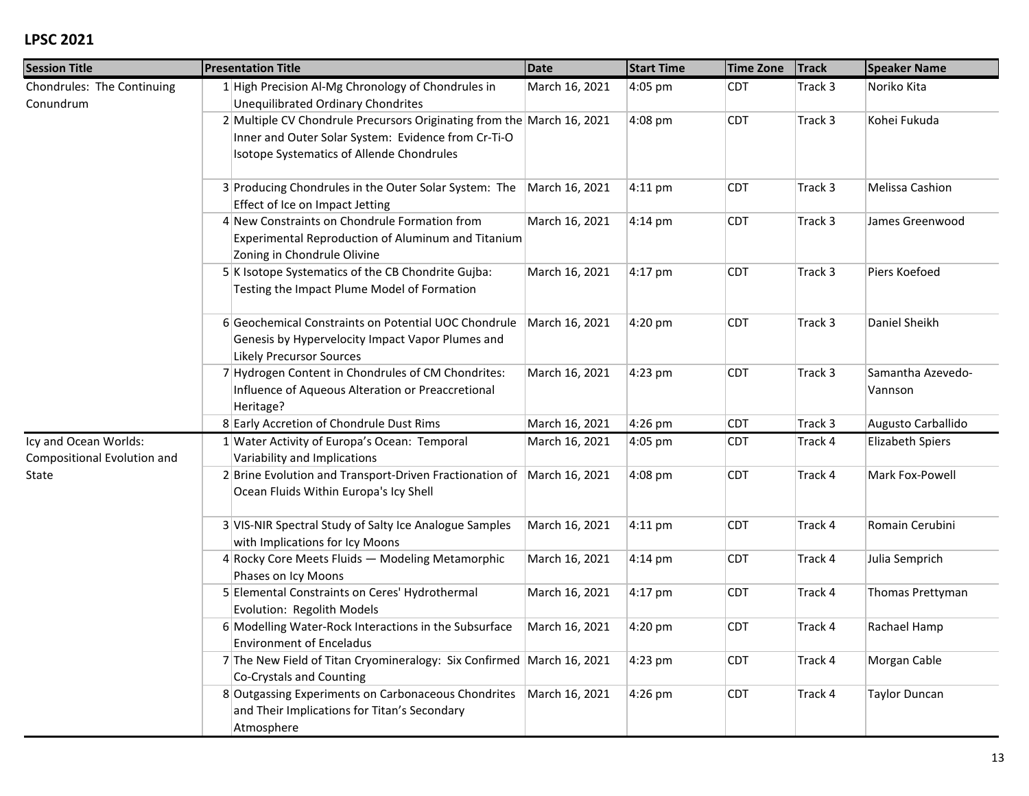| <b>Session Title</b>                                 | <b>Presentation Title</b>                                                                                                                                                  | <b>Date</b>    | <b>Start Time</b> | <b>Time Zone</b> | <b>Track</b> | <b>Speaker Name</b>          |
|------------------------------------------------------|----------------------------------------------------------------------------------------------------------------------------------------------------------------------------|----------------|-------------------|------------------|--------------|------------------------------|
| Chondrules: The Continuing<br>Conundrum              | 1 High Precision Al-Mg Chronology of Chondrules in<br>Unequilibrated Ordinary Chondrites                                                                                   | March 16, 2021 | 4:05 pm           | <b>CDT</b>       | Track 3      | Noriko Kita                  |
|                                                      | 2 Multiple CV Chondrule Precursors Originating from the March 16, 2021<br>Inner and Outer Solar System: Evidence from Cr-Ti-O<br>Isotope Systematics of Allende Chondrules |                | 4:08 pm           | <b>CDT</b>       | Track 3      | Kohei Fukuda                 |
|                                                      | 3 Producing Chondrules in the Outer Solar System: The March 16, 2021<br>Effect of Ice on Impact Jetting                                                                    |                | $4:11$ pm         | <b>CDT</b>       | Track 3      | Melissa Cashion              |
|                                                      | 4 New Constraints on Chondrule Formation from<br>Experimental Reproduction of Aluminum and Titanium<br>Zoning in Chondrule Olivine                                         | March 16, 2021 | 4:14 pm           | <b>CDT</b>       | Track 3      | James Greenwood              |
|                                                      | 5 K Isotope Systematics of the CB Chondrite Gujba:<br>Testing the Impact Plume Model of Formation                                                                          | March 16, 2021 | $4:17$ pm         | <b>CDT</b>       | Track 3      | Piers Koefoed                |
|                                                      | 6 Geochemical Constraints on Potential UOC Chondrule<br>Genesis by Hypervelocity Impact Vapor Plumes and<br><b>Likely Precursor Sources</b>                                | March 16, 2021 | 4:20 pm           | <b>CDT</b>       | Track 3      | Daniel Sheikh                |
|                                                      | 7 Hydrogen Content in Chondrules of CM Chondrites:<br>Influence of Aqueous Alteration or Preaccretional<br>Heritage?                                                       | March 16, 2021 | 4:23 pm           | <b>CDT</b>       | Track 3      | Samantha Azevedo-<br>Vannson |
|                                                      | 8 Early Accretion of Chondrule Dust Rims                                                                                                                                   | March 16, 2021 | 4:26 pm           | <b>CDT</b>       | Track 3      | Augusto Carballido           |
| Icy and Ocean Worlds:<br>Compositional Evolution and | 1 Water Activity of Europa's Ocean: Temporal<br>Variability and Implications                                                                                               | March 16, 2021 | 4:05 pm           | <b>CDT</b>       | Track 4      | <b>Elizabeth Spiers</b>      |
| State                                                | 2 Brine Evolution and Transport-Driven Fractionation of<br>Ocean Fluids Within Europa's Icy Shell                                                                          | March 16, 2021 | 4:08 pm           | <b>CDT</b>       | Track 4      | Mark Fox-Powell              |
|                                                      | 3 VIS-NIR Spectral Study of Salty Ice Analogue Samples<br>with Implications for Icy Moons                                                                                  | March 16, 2021 | $4:11$ pm         | <b>CDT</b>       | Track 4      | Romain Cerubini              |
|                                                      | 4 Rocky Core Meets Fluids - Modeling Metamorphic<br>Phases on Icy Moons                                                                                                    | March 16, 2021 | $4:14 \text{ pm}$ | <b>CDT</b>       | Track 4      | Julia Semprich               |
|                                                      | 5 Elemental Constraints on Ceres' Hydrothermal<br>Evolution: Regolith Models                                                                                               | March 16, 2021 | 4:17 pm           | <b>CDT</b>       | Track 4      | Thomas Prettyman             |
|                                                      | 6 Modelling Water-Rock Interactions in the Subsurface<br><b>Environment of Enceladus</b>                                                                                   | March 16, 2021 | 4:20 pm           | <b>CDT</b>       | Track 4      | Rachael Hamp                 |
|                                                      | 7 The New Field of Titan Cryomineralogy: Six Confirmed March 16, 2021<br>Co-Crystals and Counting                                                                          |                | $4:23$ pm         | <b>CDT</b>       | Track 4      | Morgan Cable                 |
|                                                      | 8 Outgassing Experiments on Carbonaceous Chondrites<br>and Their Implications for Titan's Secondary<br>Atmosphere                                                          | March 16, 2021 | 4:26 pm           | <b>CDT</b>       | Track 4      | <b>Taylor Duncan</b>         |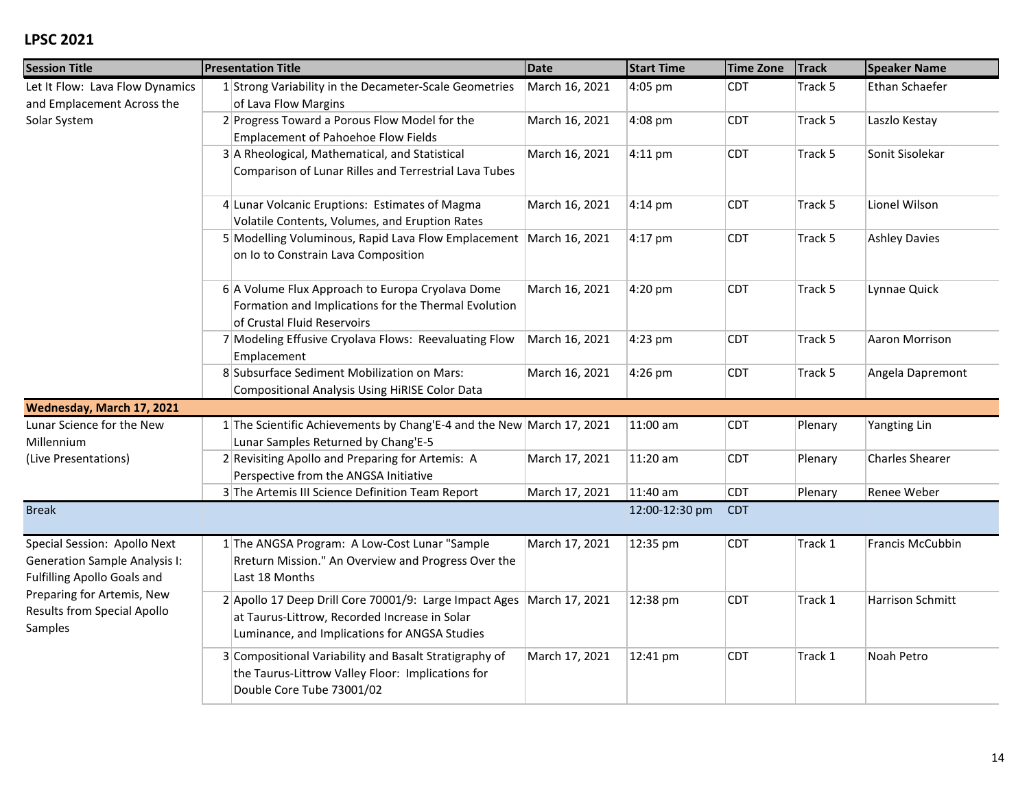| <b>Session Title</b>                                                                                       | <b>Presentation Title</b>                                                                                                                                | <b>Date</b>    | <b>Start Time</b> | <b>Time Zone</b> | <b>Track</b> | <b>Speaker Name</b>  |
|------------------------------------------------------------------------------------------------------------|----------------------------------------------------------------------------------------------------------------------------------------------------------|----------------|-------------------|------------------|--------------|----------------------|
| Let It Flow: Lava Flow Dynamics<br>and Emplacement Across the                                              | 1 Strong Variability in the Decameter-Scale Geometries<br>of Lava Flow Margins                                                                           | March 16, 2021 | 4:05 pm           | <b>CDT</b>       | Track 5      | Ethan Schaefer       |
| Solar System                                                                                               | 2 Progress Toward a Porous Flow Model for the<br>Emplacement of Pahoehoe Flow Fields                                                                     | March 16, 2021 | 4:08 pm           | <b>CDT</b>       | Track 5      | Laszlo Kestay        |
|                                                                                                            | 3 A Rheological, Mathematical, and Statistical<br>Comparison of Lunar Rilles and Terrestrial Lava Tubes                                                  | March 16, 2021 | $4:11$ pm         | <b>CDT</b>       | Track 5      | Sonit Sisolekar      |
|                                                                                                            | 4 Lunar Volcanic Eruptions: Estimates of Magma<br>Volatile Contents, Volumes, and Eruption Rates                                                         | March 16, 2021 | 4:14 pm           | <b>CDT</b>       | Track 5      | Lionel Wilson        |
|                                                                                                            | 5 Modelling Voluminous, Rapid Lava Flow Emplacement<br>on Io to Constrain Lava Composition                                                               | March 16, 2021 | 4:17 pm           | <b>CDT</b>       | Track 5      | <b>Ashley Davies</b> |
|                                                                                                            | 6 A Volume Flux Approach to Europa Cryolava Dome<br>Formation and Implications for the Thermal Evolution<br>of Crustal Fluid Reservoirs                  | March 16, 2021 | 4:20 pm           | <b>CDT</b>       | Track 5      | Lynnae Quick         |
|                                                                                                            | 7 Modeling Effusive Cryolava Flows: Reevaluating Flow<br>Emplacement                                                                                     | March 16, 2021 | 4:23 pm           | <b>CDT</b>       | Track 5      | Aaron Morrison       |
|                                                                                                            | 8 Subsurface Sediment Mobilization on Mars:<br>Compositional Analysis Using HiRISE Color Data                                                            | March 16, 2021 | 4:26 pm           | <b>CDT</b>       | Track 5      | Angela Dapremont     |
| Wednesday, March 17, 2021                                                                                  |                                                                                                                                                          |                |                   |                  |              |                      |
| Lunar Science for the New<br>Millennium                                                                    | 1 The Scientific Achievements by Chang'E-4 and the New March 17, 2021<br>Lunar Samples Returned by Chang'E-5                                             |                | 11:00 am          | <b>CDT</b>       | Plenary      | Yangting Lin         |
| (Live Presentations)                                                                                       | 2 Revisiting Apollo and Preparing for Artemis: A<br>Perspective from the ANGSA Initiative                                                                | March 17, 2021 | 11:20 am          | <b>CDT</b>       | Plenary      | Charles Shearer      |
|                                                                                                            | 3 The Artemis III Science Definition Team Report                                                                                                         | March 17, 2021 | 11:40 am          | <b>CDT</b>       | Plenary      | Renee Weber          |
| <b>Break</b>                                                                                               |                                                                                                                                                          |                | 12:00-12:30 pm    | <b>CDT</b>       |              |                      |
| Special Session: Apollo Next<br><b>Generation Sample Analysis I:</b><br><b>Fulfilling Apollo Goals and</b> | 1 The ANGSA Program: A Low-Cost Lunar "Sample<br>Rreturn Mission." An Overview and Progress Over the<br>Last 18 Months                                   | March 17, 2021 | 12:35 pm          | <b>CDT</b>       | Track 1      | Francis McCubbin     |
| Preparing for Artemis, New<br>Results from Special Apollo<br>Samples                                       | 2 Apollo 17 Deep Drill Core 70001/9: Large Impact Ages<br>at Taurus-Littrow, Recorded Increase in Solar<br>Luminance, and Implications for ANGSA Studies | March 17, 2021 | 12:38 pm          | <b>CDT</b>       | Track 1      | Harrison Schmitt     |
|                                                                                                            | 3 Compositional Variability and Basalt Stratigraphy of<br>the Taurus-Littrow Valley Floor: Implications for<br>Double Core Tube 73001/02                 | March 17, 2021 | 12:41 pm          | <b>CDT</b>       | Track 1      | Noah Petro           |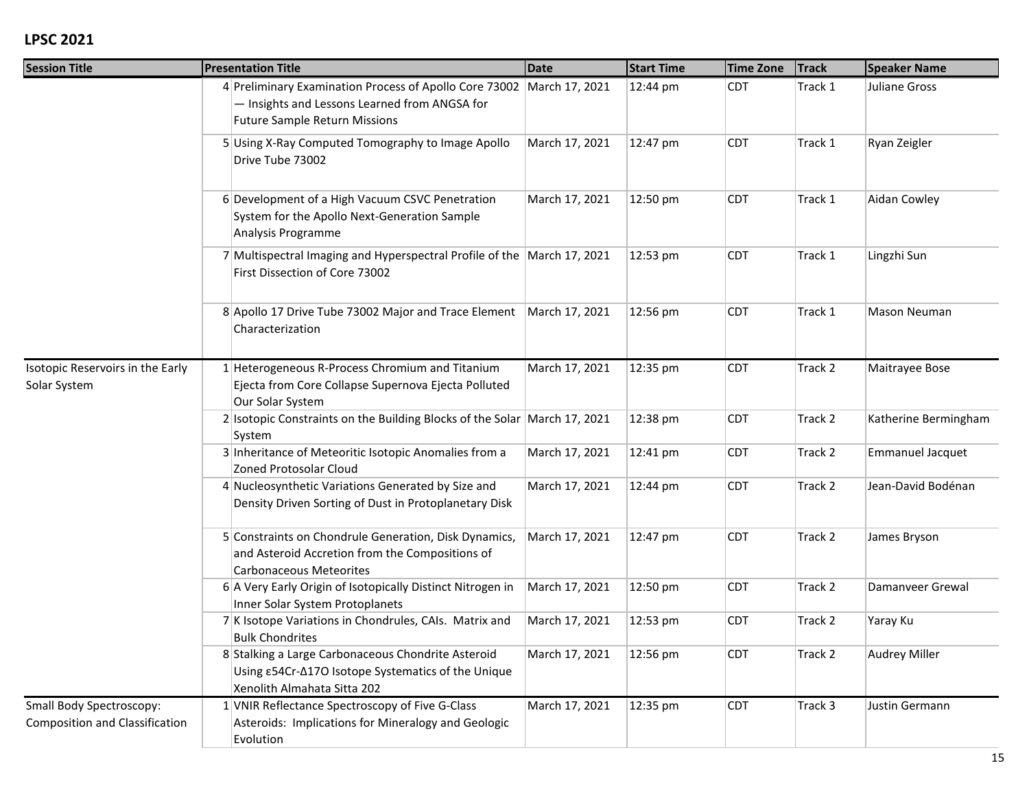| <b>Session Title</b>                                              | <b>Presentation Title</b>                                                                                                                                      | Date           | <b>Start Time</b> | <b>Time Zone</b> | <b>Track</b> | <b>Speaker Name</b>     |
|-------------------------------------------------------------------|----------------------------------------------------------------------------------------------------------------------------------------------------------------|----------------|-------------------|------------------|--------------|-------------------------|
|                                                                   | 4 Preliminary Examination Process of Apollo Core 73002 March 17, 2021<br>- Insights and Lessons Learned from ANGSA for<br><b>Future Sample Return Missions</b> |                | 12:44 pm          | <b>CDT</b>       | Track 1      | Juliane Gross           |
|                                                                   | 5 Using X-Ray Computed Tomography to Image Apollo<br>Drive Tube 73002                                                                                          | March 17, 2021 | 12:47 pm          | <b>CDT</b>       | Track 1      | Ryan Zeigler            |
|                                                                   | 6 Development of a High Vacuum CSVC Penetration<br>System for the Apollo Next-Generation Sample<br>Analysis Programme                                          | March 17, 2021 | 12:50 pm          | <b>CDT</b>       | Track 1      | Aidan Cowley            |
|                                                                   | 7 Multispectral Imaging and Hyperspectral Profile of the March 17, 2021<br>First Dissection of Core 73002                                                      |                | 12:53 pm          | <b>CDT</b>       | Track 1      | Lingzhi Sun             |
|                                                                   | 8 Apollo 17 Drive Tube 73002 Major and Trace Element   March 17, 2021<br>Characterization                                                                      |                | 12:56 pm          | <b>CDT</b>       | Track 1      | Mason Neuman            |
| Isotopic Reservoirs in the Early<br>Solar System                  | 1 Heterogeneous R-Process Chromium and Titanium<br>Ejecta from Core Collapse Supernova Ejecta Polluted<br>Our Solar System                                     | March 17, 2021 | 12:35 pm          | <b>CDT</b>       | Track 2      | Maitrayee Bose          |
|                                                                   | 2 Isotopic Constraints on the Building Blocks of the Solar March 17, 2021<br>System                                                                            |                | 12:38 pm          | <b>CDT</b>       | Track 2      | Katherine Bermingham    |
|                                                                   | 3 Inheritance of Meteoritic Isotopic Anomalies from a<br>Zoned Protosolar Cloud                                                                                | March 17, 2021 | 12:41 pm          | <b>CDT</b>       | Track 2      | <b>Emmanuel Jacquet</b> |
|                                                                   | 4 Nucleosynthetic Variations Generated by Size and<br>Density Driven Sorting of Dust in Protoplanetary Disk                                                    | March 17, 2021 | 12:44 pm          | <b>CDT</b>       | Track 2      | Jean-David Bodénan      |
|                                                                   | 5 Constraints on Chondrule Generation, Disk Dynamics,<br>and Asteroid Accretion from the Compositions of<br><b>Carbonaceous Meteorites</b>                     | March 17, 2021 | 12:47 pm          | <b>CDT</b>       | Track 2      | James Bryson            |
|                                                                   | 6 A Very Early Origin of Isotopically Distinct Nitrogen in<br>Inner Solar System Protoplanets                                                                  | March 17, 2021 | 12:50 pm          | <b>CDT</b>       | Track 2      | Damanyeer Grewal        |
|                                                                   | 7 K Isotope Variations in Chondrules, CAIs. Matrix and<br><b>Bulk Chondrites</b>                                                                               | March 17, 2021 | 12:53 pm          | <b>CDT</b>       | Track 2      | Yaray Ku                |
|                                                                   | 8 Stalking a Large Carbonaceous Chondrite Asteroid<br>Using $\epsilon$ 54Cr- $\Delta$ 170 Isotope Systematics of the Unique<br>Xenolith Almahata Sitta 202     | March 17, 2021 | 12:56 pm          | <b>CDT</b>       | Track 2      | <b>Audrey Miller</b>    |
| Small Body Spectroscopy:<br><b>Composition and Classification</b> | 1 VNIR Reflectance Spectroscopy of Five G-Class<br>Asteroids: Implications for Mineralogy and Geologic<br>Evolution                                            | March 17, 2021 | 12:35 pm          | <b>CDT</b>       | Track 3      | Justin Germann          |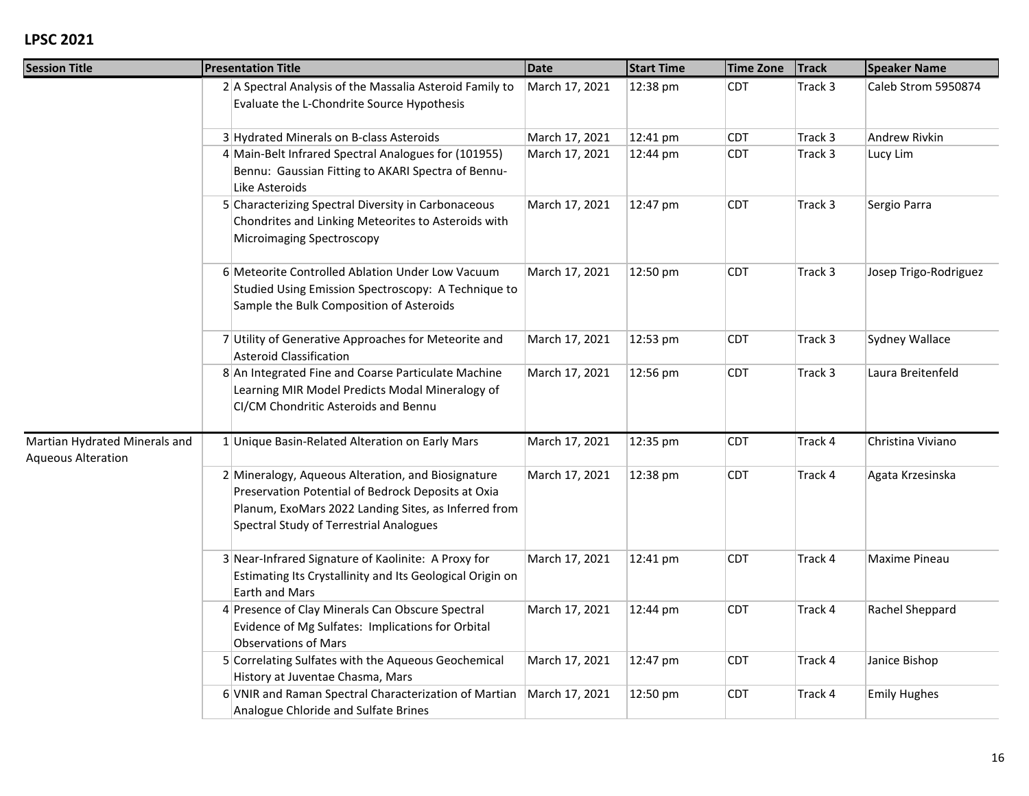| <b>Session Title</b>                                       | <b>Presentation Title</b>                                                                                                                                                                                   | <b>Date</b>    | <b>Start Time</b> | <b>Time Zone</b> | <b>Track</b> | <b>Speaker Name</b>   |
|------------------------------------------------------------|-------------------------------------------------------------------------------------------------------------------------------------------------------------------------------------------------------------|----------------|-------------------|------------------|--------------|-----------------------|
|                                                            | 2 A Spectral Analysis of the Massalia Asteroid Family to<br>Evaluate the L-Chondrite Source Hypothesis                                                                                                      | March 17, 2021 | 12:38 pm          | <b>CDT</b>       | Track 3      | Caleb Strom 5950874   |
|                                                            | 3 Hydrated Minerals on B-class Asteroids                                                                                                                                                                    | March 17, 2021 | 12:41 pm          | <b>CDT</b>       | Track 3      | Andrew Rivkin         |
|                                                            | 4 Main-Belt Infrared Spectral Analogues for (101955)<br>Bennu: Gaussian Fitting to AKARI Spectra of Bennu-<br>Like Asteroids                                                                                | March 17, 2021 | 12:44 pm          | CDT              | Track 3      | Lucy Lim              |
|                                                            | 5 Characterizing Spectral Diversity in Carbonaceous<br>Chondrites and Linking Meteorites to Asteroids with<br>Microimaging Spectroscopy                                                                     | March 17, 2021 | 12:47 pm          | <b>CDT</b>       | Track 3      | Sergio Parra          |
|                                                            | 6 Meteorite Controlled Ablation Under Low Vacuum<br>Studied Using Emission Spectroscopy: A Technique to<br>Sample the Bulk Composition of Asteroids                                                         | March 17, 2021 | 12:50 pm          | <b>CDT</b>       | Track 3      | Josep Trigo-Rodriguez |
|                                                            | 7 Utility of Generative Approaches for Meteorite and<br><b>Asteroid Classification</b>                                                                                                                      | March 17, 2021 | 12:53 pm          | CDT              | Track 3      | Sydney Wallace        |
|                                                            | 8 An Integrated Fine and Coarse Particulate Machine<br>Learning MIR Model Predicts Modal Mineralogy of<br>CI/CM Chondritic Asteroids and Bennu                                                              | March 17, 2021 | 12:56 pm          | CDT              | Track 3      | Laura Breitenfeld     |
| Martian Hydrated Minerals and<br><b>Aqueous Alteration</b> | 1 Unique Basin-Related Alteration on Early Mars                                                                                                                                                             | March 17, 2021 | 12:35 pm          | <b>CDT</b>       | Track 4      | Christina Viviano     |
|                                                            | 2 Mineralogy, Aqueous Alteration, and Biosignature<br>Preservation Potential of Bedrock Deposits at Oxia<br>Planum, ExoMars 2022 Landing Sites, as Inferred from<br>Spectral Study of Terrestrial Analogues | March 17, 2021 | 12:38 pm          | <b>CDT</b>       | Track 4      | Agata Krzesinska      |
|                                                            | 3 Near-Infrared Signature of Kaolinite: A Proxy for<br>Estimating Its Crystallinity and Its Geological Origin on<br>Earth and Mars                                                                          | March 17, 2021 | 12:41 pm          | CDT              | Track 4      | Maxime Pineau         |
|                                                            | 4 Presence of Clay Minerals Can Obscure Spectral<br>Evidence of Mg Sulfates: Implications for Orbital<br><b>Observations of Mars</b>                                                                        | March 17, 2021 | 12:44 pm          | <b>CDT</b>       | Track 4      | Rachel Sheppard       |
|                                                            | 5 Correlating Sulfates with the Aqueous Geochemical<br>History at Juventae Chasma, Mars                                                                                                                     | March 17, 2021 | 12:47 pm          | CDT              | Track 4      | Janice Bishop         |
|                                                            | 6 VNIR and Raman Spectral Characterization of Martian<br>Analogue Chloride and Sulfate Brines                                                                                                               | March 17, 2021 | 12:50 pm          | <b>CDT</b>       | Track 4      | <b>Emily Hughes</b>   |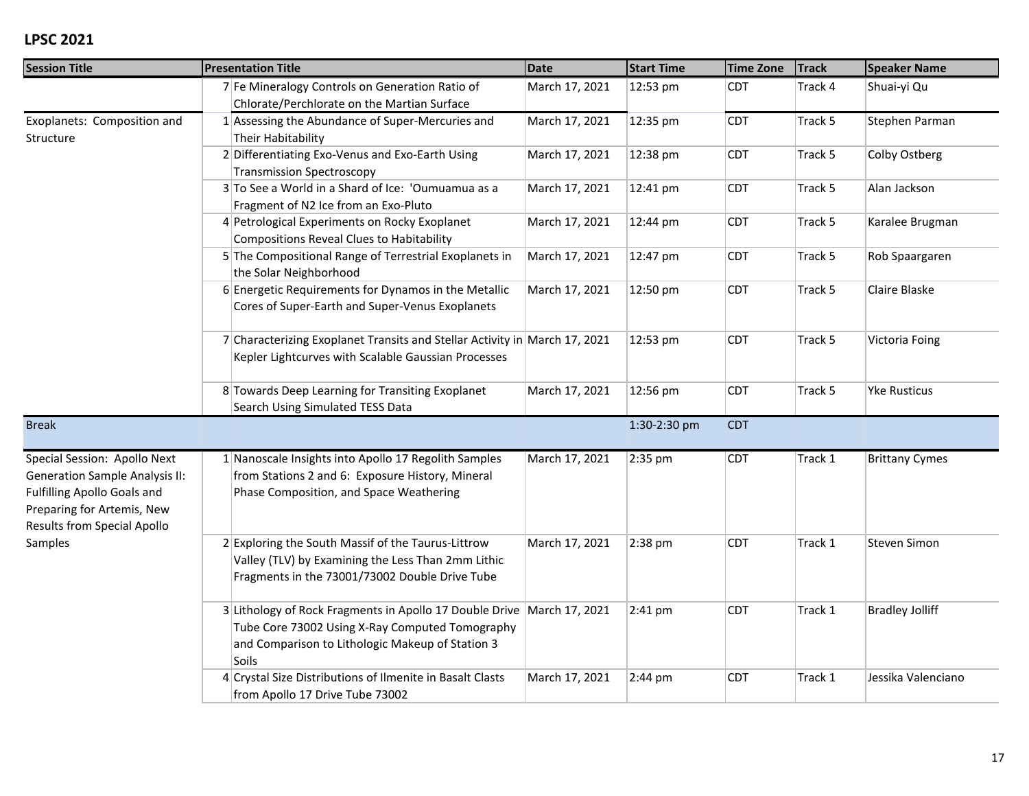| <b>Session Title</b>                                                                                                                                                     | <b>Presentation Title</b>                                                                                                                                                              | <b>Date</b>    | <b>Start Time</b> | <b>Time Zone</b> | <b>Track</b> | <b>Speaker Name</b>    |
|--------------------------------------------------------------------------------------------------------------------------------------------------------------------------|----------------------------------------------------------------------------------------------------------------------------------------------------------------------------------------|----------------|-------------------|------------------|--------------|------------------------|
|                                                                                                                                                                          | 7 Fe Mineralogy Controls on Generation Ratio of<br>Chlorate/Perchlorate on the Martian Surface                                                                                         | March 17, 2021 | 12:53 pm          | CDT              | Track 4      | Shuai-yi Qu            |
| Exoplanets: Composition and<br>Structure                                                                                                                                 | 1 Assessing the Abundance of Super-Mercuries and<br>Their Habitability                                                                                                                 | March 17, 2021 | 12:35 pm          | <b>CDT</b>       | Track 5      | Stephen Parman         |
|                                                                                                                                                                          | 2 Differentiating Exo-Venus and Exo-Earth Using<br><b>Transmission Spectroscopy</b>                                                                                                    | March 17, 2021 | 12:38 pm          | <b>CDT</b>       | Track 5      | Colby Ostberg          |
|                                                                                                                                                                          | 3 To See a World in a Shard of Ice: 'Oumuamua as a<br>Fragment of N2 Ice from an Exo-Pluto                                                                                             | March 17, 2021 | 12:41 pm          | <b>CDT</b>       | Track 5      | Alan Jackson           |
|                                                                                                                                                                          | 4 Petrological Experiments on Rocky Exoplanet<br>Compositions Reveal Clues to Habitability                                                                                             | March 17, 2021 | 12:44 pm          | <b>CDT</b>       | Track 5      | Karalee Brugman        |
|                                                                                                                                                                          | 5 The Compositional Range of Terrestrial Exoplanets in<br>the Solar Neighborhood                                                                                                       | March 17, 2021 | 12:47 pm          | <b>CDT</b>       | Track 5      | Rob Spaargaren         |
|                                                                                                                                                                          | 6 Energetic Requirements for Dynamos in the Metallic<br>Cores of Super-Earth and Super-Venus Exoplanets                                                                                | March 17, 2021 | 12:50 pm          | <b>CDT</b>       | Track 5      | Claire Blaske          |
|                                                                                                                                                                          | 7 Characterizing Exoplanet Transits and Stellar Activity in March 17, 2021<br>Kepler Lightcurves with Scalable Gaussian Processes                                                      |                | 12:53 pm          | <b>CDT</b>       | Track 5      | Victoria Foing         |
|                                                                                                                                                                          | 8 Towards Deep Learning for Transiting Exoplanet<br>Search Using Simulated TESS Data                                                                                                   | March 17, 2021 | 12:56 pm          | CDT              | Track 5      | <b>Yke Rusticus</b>    |
| <b>Break</b>                                                                                                                                                             |                                                                                                                                                                                        |                | 1:30-2:30 pm      | <b>CDT</b>       |              |                        |
| Special Session: Apollo Next<br><b>Generation Sample Analysis II:</b><br><b>Fulfilling Apollo Goals and</b><br>Preparing for Artemis, New<br>Results from Special Apollo | 1 Nanoscale Insights into Apollo 17 Regolith Samples<br>from Stations 2 and 6: Exposure History, Mineral<br>Phase Composition, and Space Weathering                                    | March 17, 2021 | 2:35 pm           | <b>CDT</b>       | Track 1      | <b>Brittany Cymes</b>  |
| Samples                                                                                                                                                                  | 2 Exploring the South Massif of the Taurus-Littrow<br>Valley (TLV) by Examining the Less Than 2mm Lithic<br>Fragments in the 73001/73002 Double Drive Tube                             | March 17, 2021 | 2:38 pm           | <b>CDT</b>       | Track 1      | Steven Simon           |
|                                                                                                                                                                          | 3 Lithology of Rock Fragments in Apollo 17 Double Drive March 17, 2021<br>Tube Core 73002 Using X-Ray Computed Tomography<br>and Comparison to Lithologic Makeup of Station 3<br>Soils |                | $2:41$ pm         | <b>CDT</b>       | Track 1      | <b>Bradley Jolliff</b> |
|                                                                                                                                                                          | 4 Crystal Size Distributions of Ilmenite in Basalt Clasts<br>from Apollo 17 Drive Tube 73002                                                                                           | March 17, 2021 | $2:44 \text{ pm}$ | <b>CDT</b>       | Track 1      | Jessika Valenciano     |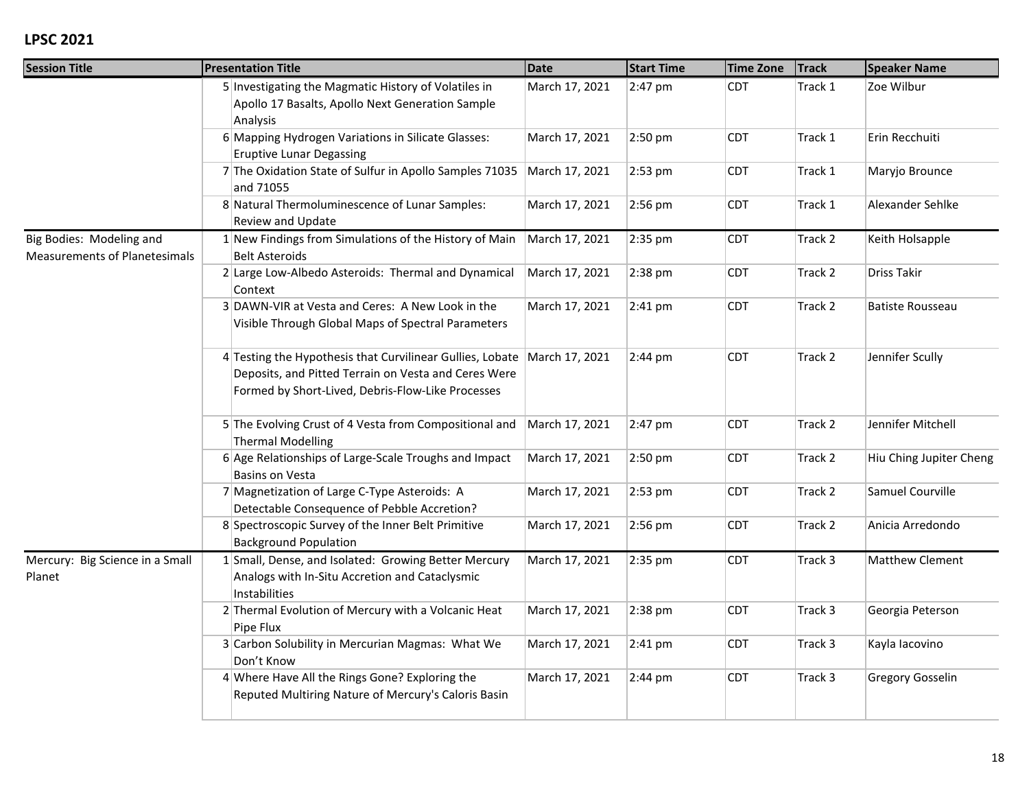| <b>Session Title</b>                                             | <b>Presentation Title</b>                                                                                                                                                               | <b>Date</b>    | <b>Start Time</b> | <b>Time Zone</b> | <b>Track</b> | <b>Speaker Name</b>     |
|------------------------------------------------------------------|-----------------------------------------------------------------------------------------------------------------------------------------------------------------------------------------|----------------|-------------------|------------------|--------------|-------------------------|
|                                                                  | 5 Investigating the Magmatic History of Volatiles in<br>Apollo 17 Basalts, Apollo Next Generation Sample<br>Analysis                                                                    | March 17, 2021 | 2:47 pm           | <b>CDT</b>       | Track 1      | Zoe Wilbur              |
|                                                                  | 6 Mapping Hydrogen Variations in Silicate Glasses:<br><b>Eruptive Lunar Degassing</b>                                                                                                   | March 17, 2021 | 2:50 pm           | <b>CDT</b>       | Track 1      | Erin Recchuiti          |
|                                                                  | 7 The Oxidation State of Sulfur in Apollo Samples 71035<br>and 71055                                                                                                                    | March 17, 2021 | 2:53 pm           | <b>CDT</b>       | Track 1      | Maryjo Brounce          |
|                                                                  | 8 Natural Thermoluminescence of Lunar Samples:<br>Review and Update                                                                                                                     | March 17, 2021 | $2:56$ pm         | <b>CDT</b>       | Track 1      | Alexander Sehlke        |
| Big Bodies: Modeling and<br><b>Measurements of Planetesimals</b> | 1 New Findings from Simulations of the History of Main<br><b>Belt Asteroids</b>                                                                                                         | March 17, 2021 | 2:35 pm           | <b>CDT</b>       | Track 2      | Keith Holsapple         |
|                                                                  | 2 Large Low-Albedo Asteroids: Thermal and Dynamical<br>Context                                                                                                                          | March 17, 2021 | 2:38 pm           | <b>CDT</b>       | Track 2      | <b>Driss Takir</b>      |
|                                                                  | 3 DAWN-VIR at Vesta and Ceres: A New Look in the<br>Visible Through Global Maps of Spectral Parameters                                                                                  | March 17, 2021 | $2:41$ pm         | <b>CDT</b>       | Track 2      | <b>Batiste Rousseau</b> |
|                                                                  | 4 Testing the Hypothesis that Curvilinear Gullies, Lobate   March 17, 2021<br>Deposits, and Pitted Terrain on Vesta and Ceres Were<br>Formed by Short-Lived, Debris-Flow-Like Processes |                | $2:44 \text{ pm}$ | <b>CDT</b>       | Track 2      | Jennifer Scully         |
|                                                                  | 5 The Evolving Crust of 4 Vesta from Compositional and<br><b>Thermal Modelling</b>                                                                                                      | March 17, 2021 | 2:47 pm           | <b>CDT</b>       | Track 2      | Jennifer Mitchell       |
|                                                                  | 6 Age Relationships of Large-Scale Troughs and Impact<br><b>Basins on Vesta</b>                                                                                                         | March 17, 2021 | 2:50 pm           | <b>CDT</b>       | Track 2      | Hiu Ching Jupiter Cheng |
|                                                                  | 7 Magnetization of Large C-Type Asteroids: A<br>Detectable Consequence of Pebble Accretion?                                                                                             | March 17, 2021 | 2:53 pm           | <b>CDT</b>       | Track 2      | Samuel Courville        |
|                                                                  | 8 Spectroscopic Survey of the Inner Belt Primitive<br><b>Background Population</b>                                                                                                      | March 17, 2021 | 2:56 pm           | <b>CDT</b>       | Track 2      | Anicia Arredondo        |
| Mercury: Big Science in a Small<br>Planet                        | 1 Small, Dense, and Isolated: Growing Better Mercury<br>Analogs with In-Situ Accretion and Cataclysmic<br>Instabilities                                                                 | March 17, 2021 | 2:35 pm           | <b>CDT</b>       | Track 3      | Matthew Clement         |
|                                                                  | 2 Thermal Evolution of Mercury with a Volcanic Heat<br>Pipe Flux                                                                                                                        | March 17, 2021 | 2:38 pm           | <b>CDT</b>       | Track 3      | Georgia Peterson        |
|                                                                  | 3 Carbon Solubility in Mercurian Magmas: What We<br>Don't Know                                                                                                                          | March 17, 2021 | $2:41$ pm         | <b>CDT</b>       | Track 3      | Kayla lacovino          |
|                                                                  | 4 Where Have All the Rings Gone? Exploring the<br>Reputed Multiring Nature of Mercury's Caloris Basin                                                                                   | March 17, 2021 | $2:44 \text{ pm}$ | <b>CDT</b>       | Track 3      | <b>Gregory Gosselin</b> |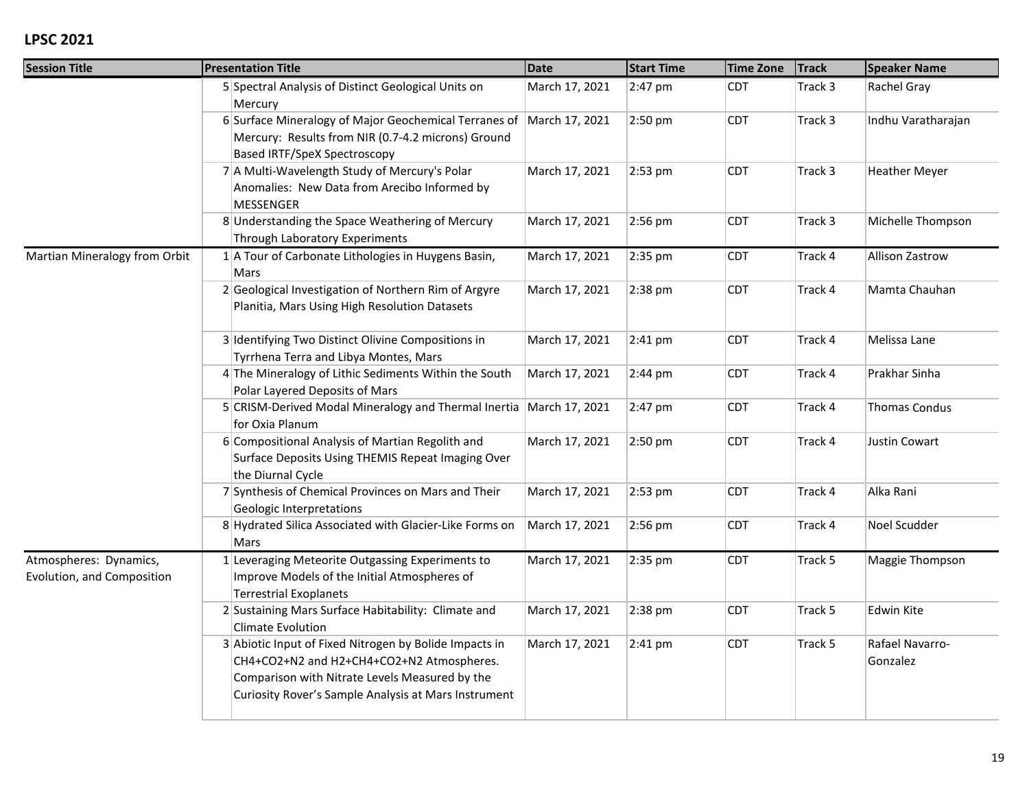| <b>Session Title</b>                                 | <b>Presentation Title</b>                                                                                                                                                                                     | <b>Date</b>    | <b>Start Time</b> | <b>Time Zone</b> | <b>Track</b> | <b>Speaker Name</b>         |
|------------------------------------------------------|---------------------------------------------------------------------------------------------------------------------------------------------------------------------------------------------------------------|----------------|-------------------|------------------|--------------|-----------------------------|
|                                                      | 5 Spectral Analysis of Distinct Geological Units on<br>Mercury                                                                                                                                                | March 17, 2021 | 2:47 pm           | <b>CDT</b>       | Track 3      | Rachel Gray                 |
|                                                      | 6 Surface Mineralogy of Major Geochemical Terranes of<br>Mercury: Results from NIR (0.7-4.2 microns) Ground<br>Based IRTF/SpeX Spectroscopy                                                                   | March 17, 2021 | 2:50 pm           | <b>CDT</b>       | Track 3      | Indhu Varatharajan          |
|                                                      | 7 A Multi-Wavelength Study of Mercury's Polar<br>Anomalies: New Data from Arecibo Informed by<br><b>MESSENGER</b>                                                                                             | March 17, 2021 | $2:53$ pm         | <b>CDT</b>       | Track 3      | <b>Heather Meyer</b>        |
|                                                      | 8 Understanding the Space Weathering of Mercury<br>Through Laboratory Experiments                                                                                                                             | March 17, 2021 | 2:56 pm           | <b>CDT</b>       | Track 3      | Michelle Thompson           |
| Martian Mineralogy from Orbit                        | $1$ A Tour of Carbonate Lithologies in Huygens Basin,<br>Mars                                                                                                                                                 | March 17, 2021 | 2:35 pm           | <b>CDT</b>       | Track 4      | <b>Allison Zastrow</b>      |
|                                                      | 2 Geological Investigation of Northern Rim of Argyre<br>Planitia, Mars Using High Resolution Datasets                                                                                                         | March 17, 2021 | 2:38 pm           | <b>CDT</b>       | Track 4      | Mamta Chauhan               |
|                                                      | 3 Identifying Two Distinct Olivine Compositions in<br>Tyrrhena Terra and Libya Montes, Mars                                                                                                                   | March 17, 2021 | $2:41$ pm         | <b>CDT</b>       | Track 4      | Melissa Lane                |
|                                                      | 4 The Mineralogy of Lithic Sediments Within the South<br>Polar Layered Deposits of Mars                                                                                                                       | March 17, 2021 | $2:44 \text{ pm}$ | <b>CDT</b>       | Track 4      | Prakhar Sinha               |
|                                                      | 5 CRISM-Derived Modal Mineralogy and Thermal Inertia March 17, 2021<br>for Oxia Planum                                                                                                                        |                | 2:47 pm           | <b>CDT</b>       | Track 4      | <b>Thomas Condus</b>        |
|                                                      | 6 Compositional Analysis of Martian Regolith and<br>Surface Deposits Using THEMIS Repeat Imaging Over<br>the Diurnal Cycle                                                                                    | March 17, 2021 | 2:50 pm           | <b>CDT</b>       | Track 4      | Justin Cowart               |
|                                                      | 7 Synthesis of Chemical Provinces on Mars and Their<br>Geologic Interpretations                                                                                                                               | March 17, 2021 | 2:53 pm           | <b>CDT</b>       | Track 4      | Alka Rani                   |
|                                                      | 8 Hydrated Silica Associated with Glacier-Like Forms on<br>Mars                                                                                                                                               | March 17, 2021 | 2:56 pm           | <b>CDT</b>       | Track 4      | Noel Scudder                |
| Atmospheres: Dynamics,<br>Evolution, and Composition | 1 Leveraging Meteorite Outgassing Experiments to<br>Improve Models of the Initial Atmospheres of<br><b>Terrestrial Exoplanets</b>                                                                             | March 17, 2021 | 2:35 pm           | <b>CDT</b>       | Track 5      | Maggie Thompson             |
|                                                      | 2 Sustaining Mars Surface Habitability: Climate and<br><b>Climate Evolution</b>                                                                                                                               | March 17, 2021 | $2:38$ pm         | <b>CDT</b>       | Track 5      | Edwin Kite                  |
|                                                      | 3 Abiotic Input of Fixed Nitrogen by Bolide Impacts in<br>CH4+CO2+N2 and H2+CH4+CO2+N2 Atmospheres.<br>Comparison with Nitrate Levels Measured by the<br>Curiosity Rover's Sample Analysis at Mars Instrument | March 17, 2021 | $2:41$ pm         | <b>CDT</b>       | Track 5      | Rafael Navarro-<br>Gonzalez |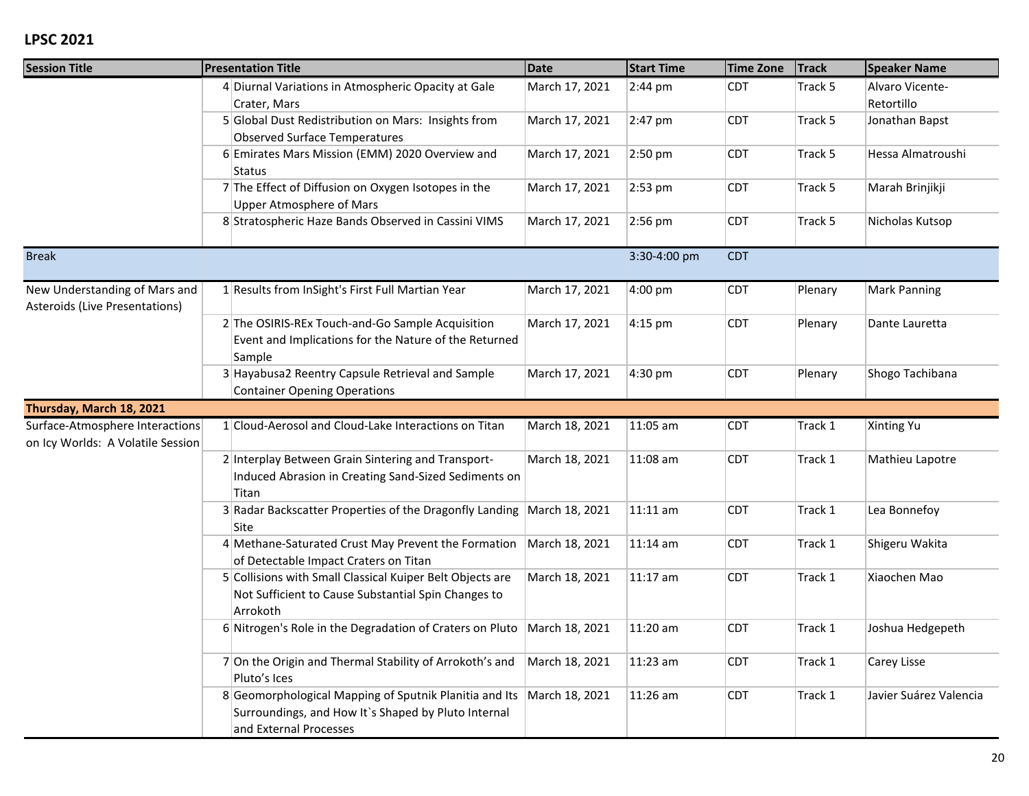| <b>Session Title</b>                                                 | <b>Presentation Title</b>                                                                                                               | Date           | <b>Start Time</b> | Time Zone  | <b>Track</b> | <b>Speaker Name</b>           |
|----------------------------------------------------------------------|-----------------------------------------------------------------------------------------------------------------------------------------|----------------|-------------------|------------|--------------|-------------------------------|
|                                                                      | 4 Diurnal Variations in Atmospheric Opacity at Gale<br>Crater, Mars                                                                     | March 17, 2021 | $2:44$ pm         | <b>CDT</b> | Track 5      | Alvaro Vicente-<br>Retortillo |
|                                                                      | 5 Global Dust Redistribution on Mars: Insights from<br><b>Observed Surface Temperatures</b>                                             | March 17, 2021 | 2:47 pm           | <b>CDT</b> | Track 5      | Jonathan Bapst                |
|                                                                      | 6 Emirates Mars Mission (EMM) 2020 Overview and<br>Status                                                                               | March 17, 2021 | 2:50 pm           | <b>CDT</b> | Track 5      | Hessa Almatroushi             |
|                                                                      | 7 The Effect of Diffusion on Oxygen Isotopes in the<br><b>Upper Atmosphere of Mars</b>                                                  | March 17, 2021 | 2:53 pm           | <b>CDT</b> | Track 5      | Marah Brinjikji               |
|                                                                      | 8 Stratospheric Haze Bands Observed in Cassini VIMS                                                                                     | March 17, 2021 | 2:56 pm           | <b>CDT</b> | Track 5      | Nicholas Kutsop               |
| <b>Break</b>                                                         |                                                                                                                                         |                | 3:30-4:00 pm      | <b>CDT</b> |              |                               |
| New Understanding of Mars and<br>Asteroids (Live Presentations)      | 1 Results from InSight's First Full Martian Year                                                                                        | March 17, 2021 | 4:00 pm           | <b>CDT</b> | Plenary      | <b>Mark Panning</b>           |
|                                                                      | 2 The OSIRIS-REx Touch-and-Go Sample Acquisition<br>Event and Implications for the Nature of the Returned<br>Sample                     | March 17, 2021 | $4:15$ pm         | <b>CDT</b> | Plenary      | Dante Lauretta                |
|                                                                      | 3 Hayabusa2 Reentry Capsule Retrieval and Sample<br><b>Container Opening Operations</b>                                                 | March 17, 2021 | 4:30 pm           | <b>CDT</b> | Plenary      | Shogo Tachibana               |
| Thursday, March 18, 2021                                             |                                                                                                                                         |                |                   |            |              |                               |
| Surface-Atmosphere Interactions<br>on Icy Worlds: A Volatile Session | 1 Cloud-Aerosol and Cloud-Lake Interactions on Titan                                                                                    | March 18, 2021 | 11:05 am          | <b>CDT</b> | Track 1      | Xinting Yu                    |
|                                                                      | 2 Interplay Between Grain Sintering and Transport-<br>Induced Abrasion in Creating Sand-Sized Sediments on<br>Titan                     | March 18, 2021 | 11:08 am          | CDT        | Track 1      | Mathieu Lapotre               |
|                                                                      | 3 Radar Backscatter Properties of the Dragonfly Landing<br>Site                                                                         | March 18, 2021 | $11:11$ am        | <b>CDT</b> | Track 1      | Lea Bonnefoy                  |
|                                                                      | 4 Methane-Saturated Crust May Prevent the Formation<br>of Detectable Impact Craters on Titan                                            | March 18, 2021 | 11:14 am          | <b>CDT</b> | Track 1      | Shigeru Wakita                |
|                                                                      | 5 Collisions with Small Classical Kuiper Belt Objects are<br>Not Sufficient to Cause Substantial Spin Changes to<br>Arrokoth            | March 18, 2021 | $11:17$ am        | <b>CDT</b> | Track 1      | Xiaochen Mao                  |
|                                                                      | 6 Nitrogen's Role in the Degradation of Craters on Pluto                                                                                | March 18, 2021 | 11:20 am          | <b>CDT</b> | Track 1      | Joshua Hedgepeth              |
|                                                                      | 7 On the Origin and Thermal Stability of Arrokoth's and<br>Pluto's Ices                                                                 | March 18, 2021 | 11:23 am          | CDT        | Track 1      | Carey Lisse                   |
|                                                                      | 8 Geomorphological Mapping of Sputnik Planitia and Its<br>Surroundings, and How It's Shaped by Pluto Internal<br>and External Processes | March 18, 2021 | 11:26 am          | <b>CDT</b> | Track 1      | Javier Suárez Valencia        |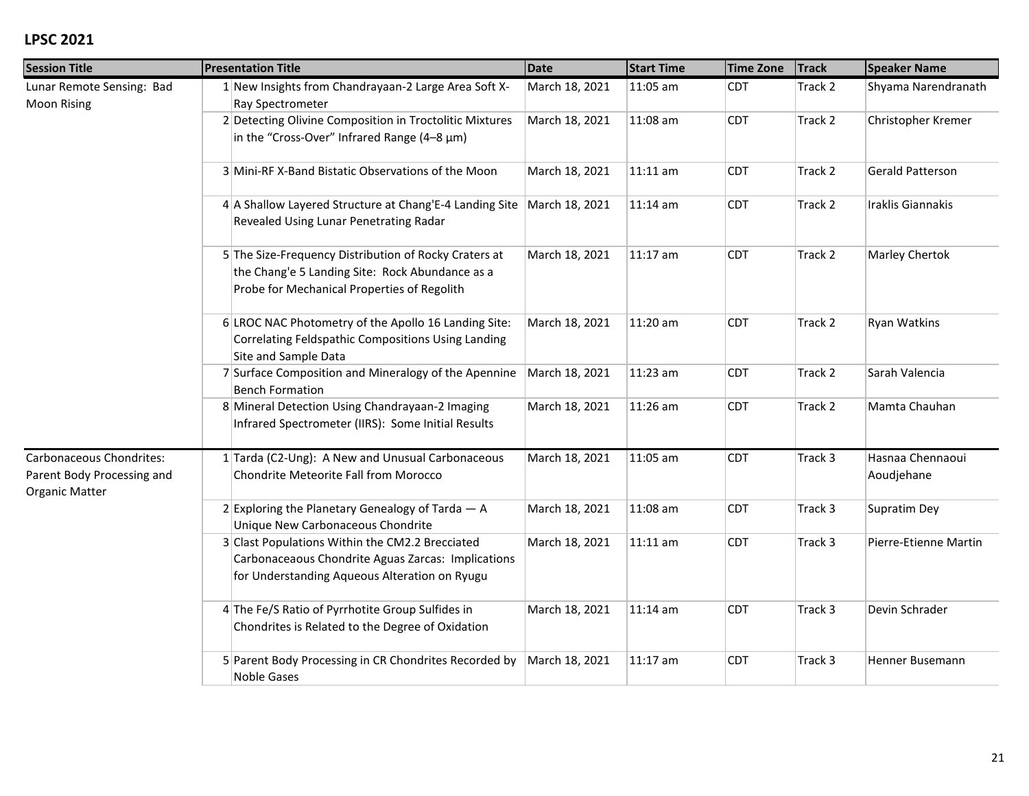| <b>Session Title</b>                                                            | <b>Presentation Title</b>                                                                                                                               | <b>Date</b>    | <b>Start Time</b> | <b>Time Zone</b> | <b>Track</b> | <b>Speaker Name</b>            |
|---------------------------------------------------------------------------------|---------------------------------------------------------------------------------------------------------------------------------------------------------|----------------|-------------------|------------------|--------------|--------------------------------|
| Lunar Remote Sensing: Bad<br>Moon Rising                                        | 1 New Insights from Chandrayaan-2 Large Area Soft X-<br>Ray Spectrometer                                                                                | March 18, 2021 | 11:05 am          | <b>CDT</b>       | Track 2      | Shyama Narendranath            |
|                                                                                 | 2 Detecting Olivine Composition in Troctolitic Mixtures<br>in the "Cross-Over" Infrared Range (4-8 µm)                                                  | March 18, 2021 | 11:08 am          | <b>CDT</b>       | Track 2      | Christopher Kremer             |
|                                                                                 | 3 Mini-RF X-Band Bistatic Observations of the Moon                                                                                                      | March 18, 2021 | 11:11 am          | <b>CDT</b>       | Track 2      | Gerald Patterson               |
|                                                                                 | 4 A Shallow Layered Structure at Chang'E-4 Landing Site<br>Revealed Using Lunar Penetrating Radar                                                       | March 18, 2021 | 11:14 am          | <b>CDT</b>       | Track 2      | Iraklis Giannakis              |
|                                                                                 | 5 The Size-Frequency Distribution of Rocky Craters at<br>the Chang'e 5 Landing Site: Rock Abundance as a<br>Probe for Mechanical Properties of Regolith | March 18, 2021 | 11:17 am          | <b>CDT</b>       | Track 2      | Marley Chertok                 |
|                                                                                 | 6 LROC NAC Photometry of the Apollo 16 Landing Site:<br>Correlating Feldspathic Compositions Using Landing<br>Site and Sample Data                      | March 18, 2021 | 11:20 am          | <b>CDT</b>       | Track 2      | Ryan Watkins                   |
|                                                                                 | 7 Surface Composition and Mineralogy of the Apennine<br><b>Bench Formation</b>                                                                          | March 18, 2021 | 11:23 am          | <b>CDT</b>       | Track 2      | Sarah Valencia                 |
|                                                                                 | 8 Mineral Detection Using Chandrayaan-2 Imaging<br>Infrared Spectrometer (IIRS): Some Initial Results                                                   | March 18, 2021 | 11:26 am          | <b>CDT</b>       | Track 2      | Mamta Chauhan                  |
| Carbonaceous Chondrites:<br>Parent Body Processing and<br><b>Organic Matter</b> | 1 Tarda (C2-Ung): A New and Unusual Carbonaceous<br><b>Chondrite Meteorite Fall from Morocco</b>                                                        | March 18, 2021 | 11:05 am          | <b>CDT</b>       | Track 3      | Hasnaa Chennaoui<br>Aoudjehane |
|                                                                                 | 2 Exploring the Planetary Genealogy of Tarda $-$ A<br>Unique New Carbonaceous Chondrite                                                                 | March 18, 2021 | 11:08 am          | <b>CDT</b>       | Track 3      | Supratim Dey                   |
|                                                                                 | 3 Clast Populations Within the CM2.2 Brecciated<br>Carbonaceaous Chondrite Aguas Zarcas: Implications<br>for Understanding Aqueous Alteration on Ryugu  | March 18, 2021 | 11:11 am          | <b>CDT</b>       | Track 3      | Pierre-Etienne Martin          |
|                                                                                 | 4 The Fe/S Ratio of Pyrrhotite Group Sulfides in<br>Chondrites is Related to the Degree of Oxidation                                                    | March 18, 2021 | 11:14 am          | <b>CDT</b>       | Track 3      | Devin Schrader                 |
|                                                                                 | 5 Parent Body Processing in CR Chondrites Recorded by<br><b>Noble Gases</b>                                                                             | March 18, 2021 | $11:17$ am        | <b>CDT</b>       | Track 3      | Henner Busemann                |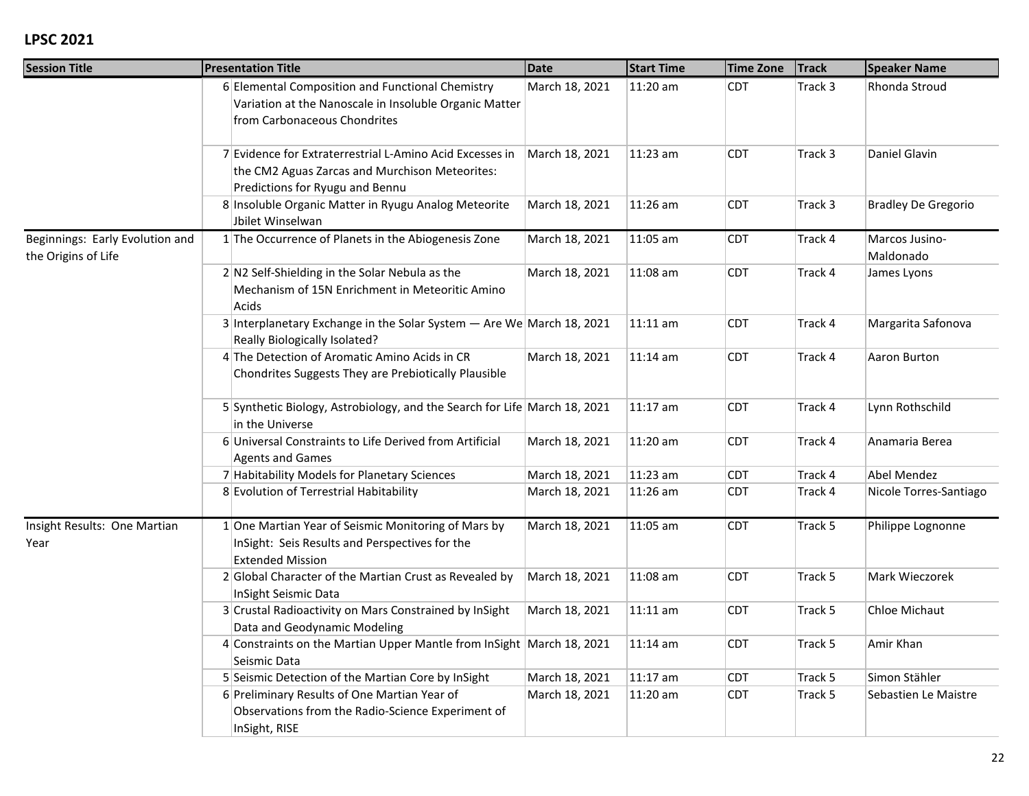| <b>Session Title</b>                                   | <b>Presentation Title</b>                                                                                                                     | Date           | <b>Start Time</b> | <b>Time Zone</b> | <b>Track</b> | <b>Speaker Name</b>         |
|--------------------------------------------------------|-----------------------------------------------------------------------------------------------------------------------------------------------|----------------|-------------------|------------------|--------------|-----------------------------|
|                                                        | 6 Elemental Composition and Functional Chemistry<br>Variation at the Nanoscale in Insoluble Organic Matter<br>from Carbonaceous Chondrites    | March 18, 2021 | 11:20 am          | <b>CDT</b>       | Track 3      | Rhonda Stroud               |
|                                                        | 7 Evidence for Extraterrestrial L-Amino Acid Excesses in<br>the CM2 Aguas Zarcas and Murchison Meteorites:<br>Predictions for Ryugu and Bennu | March 18, 2021 | $11:23$ am        | <b>CDT</b>       | Track 3      | Daniel Glavin               |
|                                                        | 8 Insoluble Organic Matter in Ryugu Analog Meteorite<br>Jbilet Winselwan                                                                      | March 18, 2021 | 11:26 am          | <b>CDT</b>       | Track 3      | <b>Bradley De Gregorio</b>  |
| Beginnings: Early Evolution and<br>the Origins of Life | 1 The Occurrence of Planets in the Abiogenesis Zone                                                                                           | March 18, 2021 | 11:05 am          | <b>CDT</b>       | Track 4      | Marcos Jusino-<br>Maldonado |
|                                                        | $2 N2$ Self-Shielding in the Solar Nebula as the<br>Mechanism of 15N Enrichment in Meteoritic Amino<br>Acids                                  | March 18, 2021 | 11:08 am          | <b>CDT</b>       | Track 4      | James Lyons                 |
|                                                        | 3 Interplanetary Exchange in the Solar System - Are We March 18, 2021<br>Really Biologically Isolated?                                        |                | 11:11 am          | <b>CDT</b>       | Track 4      | Margarita Safonova          |
|                                                        | 4 The Detection of Aromatic Amino Acids in CR<br>Chondrites Suggests They are Prebiotically Plausible                                         | March 18, 2021 | 11:14 am          | <b>CDT</b>       | Track 4      | Aaron Burton                |
|                                                        | 5 Synthetic Biology, Astrobiology, and the Search for Life March 18, 2021<br>in the Universe                                                  |                | 11:17 am          | <b>CDT</b>       | Track 4      | Lynn Rothschild             |
|                                                        | 6 Universal Constraints to Life Derived from Artificial<br><b>Agents and Games</b>                                                            | March 18, 2021 | 11:20 am          | <b>CDT</b>       | Track 4      | Anamaria Berea              |
|                                                        | 7 Habitability Models for Planetary Sciences                                                                                                  | March 18, 2021 | 11:23 am          | <b>CDT</b>       | Track 4      | Abel Mendez                 |
|                                                        | 8 Evolution of Terrestrial Habitability                                                                                                       | March 18, 2021 | 11:26 am          | <b>CDT</b>       | Track 4      | Nicole Torres-Santiago      |
| Insight Results: One Martian<br>Year                   | 1 One Martian Year of Seismic Monitoring of Mars by<br>InSight: Seis Results and Perspectives for the<br><b>Extended Mission</b>              | March 18, 2021 | 11:05 am          | <b>CDT</b>       | Track 5      | Philippe Lognonne           |
|                                                        | 2 Global Character of the Martian Crust as Revealed by<br>InSight Seismic Data                                                                | March 18, 2021 | 11:08 am          | <b>CDT</b>       | Track 5      | Mark Wieczorek              |
|                                                        | 3 Crustal Radioactivity on Mars Constrained by InSight<br>Data and Geodynamic Modeling                                                        | March 18, 2021 | $11:11$ am        | <b>CDT</b>       | Track 5      | Chloe Michaut               |
|                                                        | 4 Constraints on the Martian Upper Mantle from InSight March 18, 2021<br>Seismic Data                                                         |                | 11:14 am          | <b>CDT</b>       | Track 5      | Amir Khan                   |
|                                                        | 5 Seismic Detection of the Martian Core by InSight                                                                                            | March 18, 2021 | 11:17 am          | <b>CDT</b>       | Track 5      | Simon Stähler               |
|                                                        | 6 Preliminary Results of One Martian Year of<br>Observations from the Radio-Science Experiment of<br>InSight, RISE                            | March 18, 2021 | 11:20 am          | <b>CDT</b>       | Track 5      | Sebastien Le Maistre        |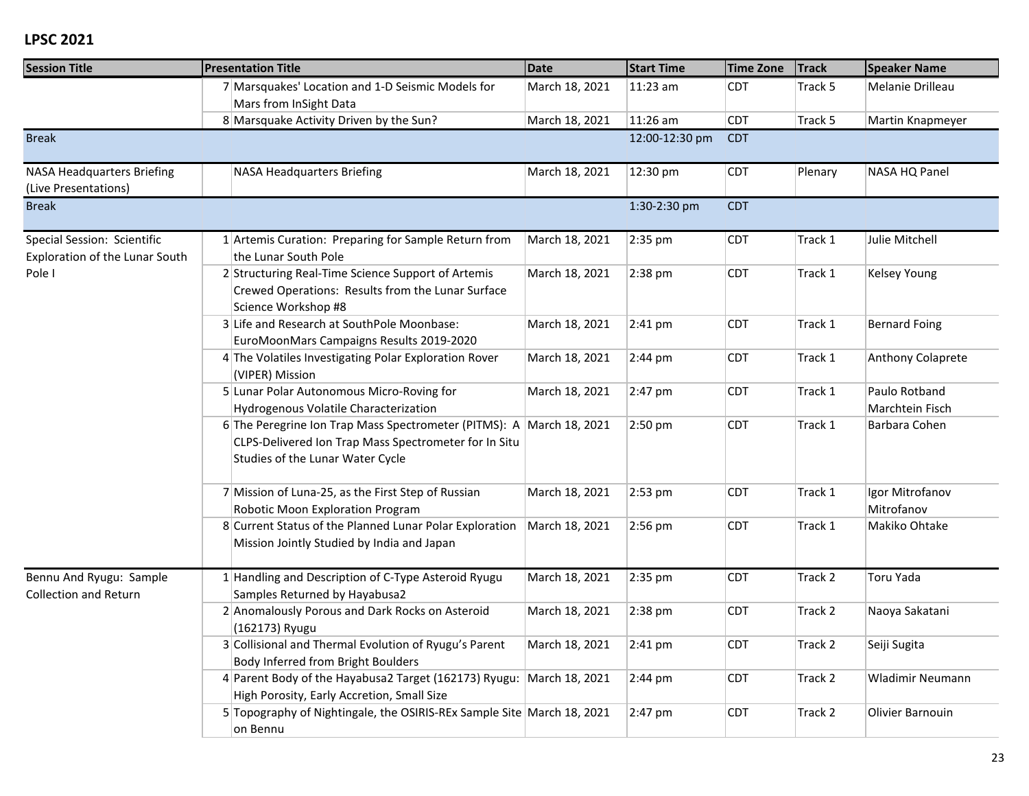| <b>Session Title</b>                                          | <b>Presentation Title</b>                                                                                                                                         | <b>Date</b>    | <b>Start Time</b> | <b>Time Zone</b> | <b>Track</b> | <b>Speaker Name</b>              |
|---------------------------------------------------------------|-------------------------------------------------------------------------------------------------------------------------------------------------------------------|----------------|-------------------|------------------|--------------|----------------------------------|
|                                                               | 7 Marsquakes' Location and 1-D Seismic Models for<br>Mars from InSight Data                                                                                       | March 18, 2021 | $ 11:23$ am       | <b>CDT</b>       | Track 5      | Melanie Drilleau                 |
|                                                               | 8 Marsquake Activity Driven by the Sun?                                                                                                                           | March 18, 2021 | 11:26 am          | CDT              | Track 5      | Martin Knapmeyer                 |
| <b>Break</b>                                                  |                                                                                                                                                                   |                | 12:00-12:30 pm    | <b>CDT</b>       |              |                                  |
| <b>NASA Headquarters Briefing</b><br>(Live Presentations)     | <b>NASA Headquarters Briefing</b>                                                                                                                                 | March 18, 2021 | 12:30 pm          | <b>CDT</b>       | Plenary      | NASA HQ Panel                    |
| <b>Break</b>                                                  |                                                                                                                                                                   |                | 1:30-2:30 pm      | <b>CDT</b>       |              |                                  |
| Special Session: Scientific<br>Exploration of the Lunar South | 1 Artemis Curation: Preparing for Sample Return from<br>the Lunar South Pole                                                                                      | March 18, 2021 | 2:35 pm           | <b>CDT</b>       | Track 1      | Julie Mitchell                   |
| Pole I                                                        | 2 Structuring Real-Time Science Support of Artemis<br>Crewed Operations: Results from the Lunar Surface<br>Science Workshop #8                                    | March 18, 2021 | 2:38 pm           | <b>CDT</b>       | Track 1      | Kelsey Young                     |
|                                                               | 3 Life and Research at SouthPole Moonbase:<br>EuroMoonMars Campaigns Results 2019-2020                                                                            | March 18, 2021 | $2:41$ pm         | <b>CDT</b>       | Track 1      | <b>Bernard Foing</b>             |
|                                                               | 4 The Volatiles Investigating Polar Exploration Rover<br>(VIPER) Mission                                                                                          | March 18, 2021 | $2:44$ pm         | <b>CDT</b>       | Track 1      | Anthony Colaprete                |
|                                                               | 5 Lunar Polar Autonomous Micro-Roving for<br>Hydrogenous Volatile Characterization                                                                                | March 18, 2021 | 2:47 pm           | <b>CDT</b>       | Track 1      | Paulo Rotband<br>Marchtein Fisch |
|                                                               | 6 The Peregrine Ion Trap Mass Spectrometer (PITMS): A March 18, 2021<br>CLPS-Delivered Ion Trap Mass Spectrometer for In Situ<br>Studies of the Lunar Water Cycle |                | $2:50$ pm         | <b>CDT</b>       | Track 1      | Barbara Cohen                    |
|                                                               | 7 Mission of Luna-25, as the First Step of Russian<br>Robotic Moon Exploration Program                                                                            | March 18, 2021 | 2:53 pm           | <b>CDT</b>       | Track 1      | Igor Mitrofanov<br>Mitrofanov    |
|                                                               | 8 Current Status of the Planned Lunar Polar Exploration<br>Mission Jointly Studied by India and Japan                                                             | March 18, 2021 | 2:56 pm           | CDT              | Track 1      | Makiko Ohtake                    |
| Bennu And Ryugu: Sample<br><b>Collection and Return</b>       | 1 Handling and Description of C-Type Asteroid Ryugu<br>Samples Returned by Hayabusa2                                                                              | March 18, 2021 | 2:35 pm           | <b>CDT</b>       | Track 2      | Toru Yada                        |
|                                                               | 2 Anomalously Porous and Dark Rocks on Asteroid<br>(162173) Ryugu                                                                                                 | March 18, 2021 | $2:38$ pm         | <b>CDT</b>       | Track 2      | Naoya Sakatani                   |
|                                                               | 3 Collisional and Thermal Evolution of Ryugu's Parent<br>Body Inferred from Bright Boulders                                                                       | March 18, 2021 | $ 2:41$ pm        | <b>CDT</b>       | Track 2      | Seiji Sugita                     |
|                                                               | 4 Parent Body of the Hayabusa2 Target (162173) Ryugu: March 18, 2021<br>High Porosity, Early Accretion, Small Size                                                |                | $2:44 \text{ pm}$ | <b>CDT</b>       | Track 2      | Wladimir Neumann                 |
|                                                               | 5 Topography of Nightingale, the OSIRIS-REx Sample Site March 18, 2021<br>on Bennu                                                                                |                | $2:47$ pm         | <b>CDT</b>       | Track 2      | Olivier Barnouin                 |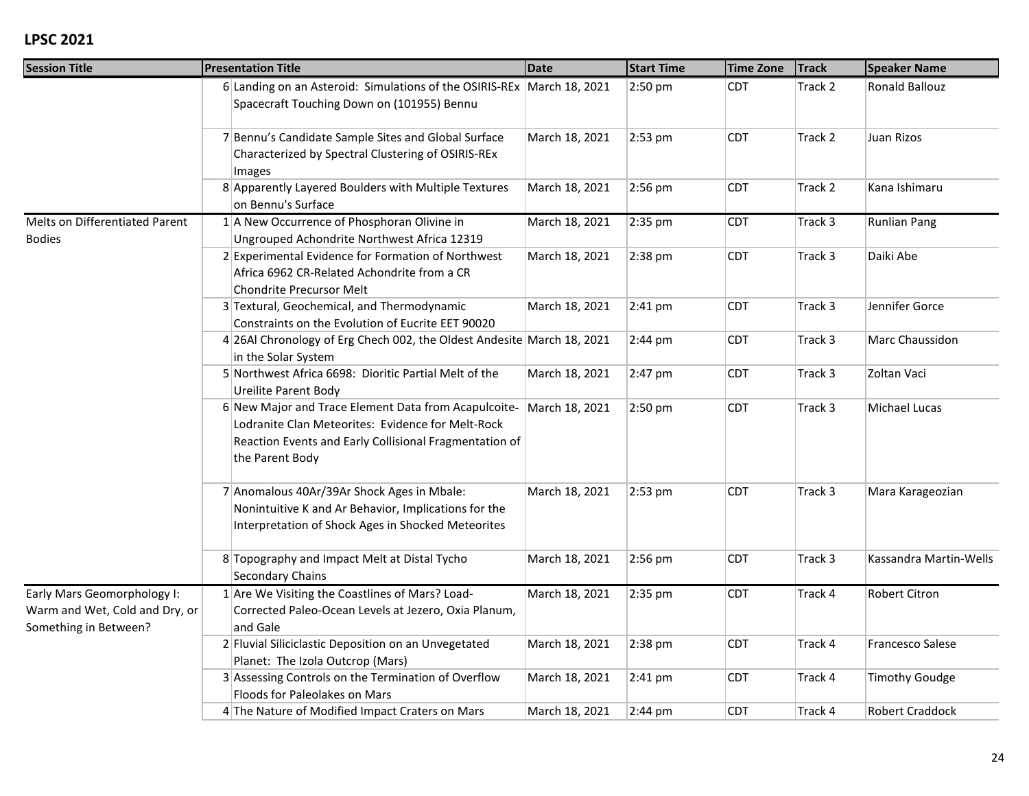| <b>Session Title</b>                                                                   | <b>Presentation Title</b>                                                                                                                                                              | <b>Date</b>    | <b>Start Time</b> | <b>Time Zone</b> | <b>Track</b> | <b>Speaker Name</b>     |
|----------------------------------------------------------------------------------------|----------------------------------------------------------------------------------------------------------------------------------------------------------------------------------------|----------------|-------------------|------------------|--------------|-------------------------|
|                                                                                        | 6 Landing on an Asteroid: Simulations of the OSIRIS-REx March 18, 2021<br>Spacecraft Touching Down on (101955) Bennu                                                                   |                | 2:50 pm           | <b>CDT</b>       | Track 2      | Ronald Ballouz          |
|                                                                                        | 7 Bennu's Candidate Sample Sites and Global Surface<br>Characterized by Spectral Clustering of OSIRIS-REx<br>Images                                                                    | March 18, 2021 | 2:53 pm           | <b>CDT</b>       | Track 2      | Juan Rizos              |
|                                                                                        | 8 Apparently Layered Boulders with Multiple Textures<br>on Bennu's Surface                                                                                                             | March 18, 2021 | 2:56 pm           | <b>CDT</b>       | Track 2      | Kana Ishimaru           |
| Melts on Differentiated Parent<br><b>Bodies</b>                                        | $1$ A New Occurrence of Phosphoran Olivine in<br>Ungrouped Achondrite Northwest Africa 12319                                                                                           | March 18, 2021 | 2:35 pm           | <b>CDT</b>       | Track 3      | <b>Runlian Pang</b>     |
|                                                                                        | 2 Experimental Evidence for Formation of Northwest<br>Africa 6962 CR-Related Achondrite from a CR<br>Chondrite Precursor Melt                                                          | March 18, 2021 | 2:38 pm           | <b>CDT</b>       | Track 3      | Daiki Abe               |
|                                                                                        | 3 Textural, Geochemical, and Thermodynamic<br>Constraints on the Evolution of Eucrite EET 90020                                                                                        | March 18, 2021 | $2:41$ pm         | <b>CDT</b>       | Track 3      | Jennifer Gorce          |
|                                                                                        | 4 26Al Chronology of Erg Chech 002, the Oldest Andesite March 18, 2021<br>in the Solar System                                                                                          |                | $2:44 \text{ pm}$ | <b>CDT</b>       | Track 3      | Marc Chaussidon         |
|                                                                                        | 5 Northwest Africa 6698: Dioritic Partial Melt of the<br><b>Ureilite Parent Body</b>                                                                                                   | March 18, 2021 | $2:47$ pm         | <b>CDT</b>       | Track 3      | Zoltan Vaci             |
|                                                                                        | 6 New Major and Trace Element Data from Acapulcoite-<br>Lodranite Clan Meteorites: Evidence for Melt-Rock<br>Reaction Events and Early Collisional Fragmentation of<br>the Parent Body | March 18, 2021 | $2:50$ pm         | <b>CDT</b>       | Track 3      | Michael Lucas           |
|                                                                                        | 7 Anomalous 40Ar/39Ar Shock Ages in Mbale:<br>Nonintuitive K and Ar Behavior, Implications for the<br>Interpretation of Shock Ages in Shocked Meteorites                               | March 18, 2021 | 2:53 pm           | <b>CDT</b>       | Track 3      | Mara Karageozian        |
|                                                                                        | 8 Topography and Impact Melt at Distal Tycho<br>Secondary Chains                                                                                                                       | March 18, 2021 | 2:56 pm           | <b>CDT</b>       | Track 3      | Kassandra Martin-Wells  |
| Early Mars Geomorphology I:<br>Warm and Wet, Cold and Dry, or<br>Something in Between? | 1 Are We Visiting the Coastlines of Mars? Load-<br>Corrected Paleo-Ocean Levels at Jezero, Oxia Planum,<br>and Gale                                                                    | March 18, 2021 | 2:35 pm           | <b>CDT</b>       | Track 4      | Robert Citron           |
|                                                                                        | 2 Fluvial Siliciclastic Deposition on an Unvegetated<br>Planet: The Izola Outcrop (Mars)                                                                                               | March 18, 2021 | 2:38 pm           | <b>CDT</b>       | Track 4      | <b>Francesco Salese</b> |
|                                                                                        | 3 Assessing Controls on the Termination of Overflow<br>Floods for Paleolakes on Mars                                                                                                   | March 18, 2021 | 2:41 pm           | <b>CDT</b>       | Track 4      | <b>Timothy Goudge</b>   |
|                                                                                        | 4 The Nature of Modified Impact Craters on Mars                                                                                                                                        | March 18, 2021 | $2:44 \text{ pm}$ | <b>CDT</b>       | Track 4      | Robert Craddock         |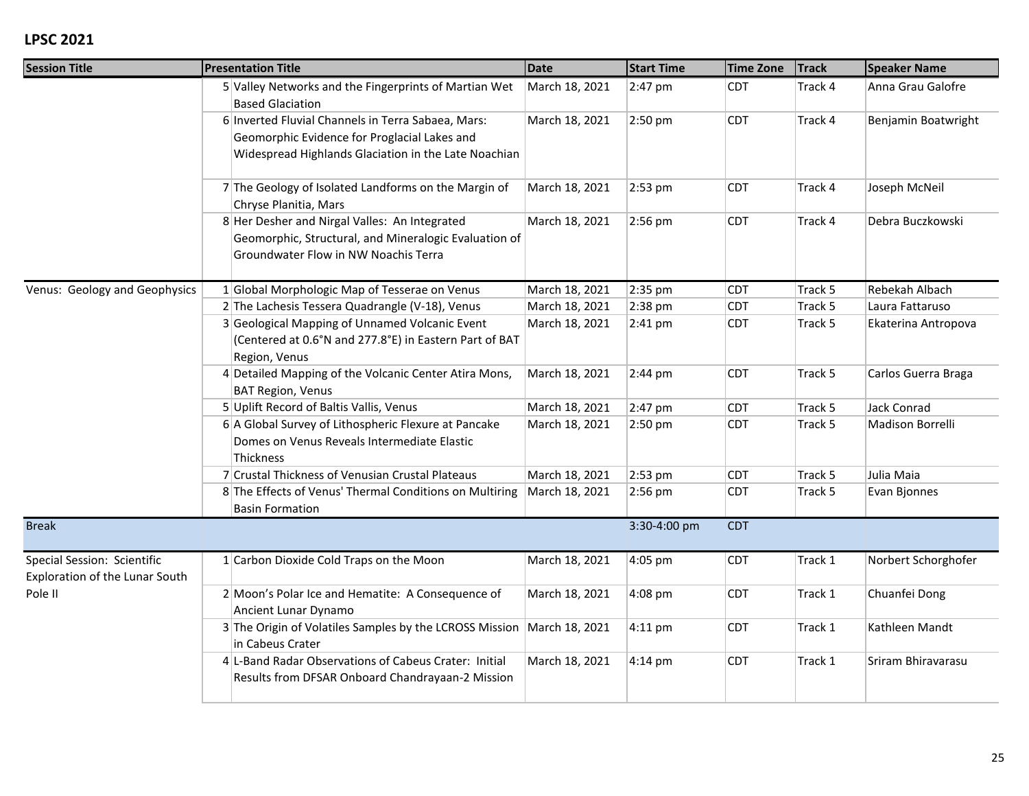| <b>Session Title</b>           | <b>Presentation Title</b>                                                                                 | <b>Date</b>    | <b>Start Time</b> | <b>Time Zone</b> | <b>Track</b> | <b>Speaker Name</b> |
|--------------------------------|-----------------------------------------------------------------------------------------------------------|----------------|-------------------|------------------|--------------|---------------------|
|                                | 5 Valley Networks and the Fingerprints of Martian Wet<br><b>Based Glaciation</b>                          | March 18, 2021 | 2:47 pm           | <b>CDT</b>       | Track 4      | Anna Grau Galofre   |
|                                | 6 Inverted Fluvial Channels in Terra Sabaea, Mars:                                                        | March 18, 2021 | 2:50 pm           | <b>CDT</b>       | Track 4      | Benjamin Boatwright |
|                                | Geomorphic Evidence for Proglacial Lakes and                                                              |                |                   |                  |              |                     |
|                                | Widespread Highlands Glaciation in the Late Noachian                                                      |                |                   |                  |              |                     |
|                                | 7 The Geology of Isolated Landforms on the Margin of<br>Chryse Planitia, Mars                             | March 18, 2021 | 2:53 pm           | <b>CDT</b>       | Track 4      | Joseph McNeil       |
|                                | 8 Her Desher and Nirgal Valles: An Integrated                                                             | March 18, 2021 | 2:56 pm           | <b>CDT</b>       | Track 4      | Debra Buczkowski    |
|                                | Geomorphic, Structural, and Mineralogic Evaluation of                                                     |                |                   |                  |              |                     |
|                                | Groundwater Flow in NW Noachis Terra                                                                      |                |                   |                  |              |                     |
| Venus: Geology and Geophysics  | 1 Global Morphologic Map of Tesserae on Venus                                                             | March 18, 2021 | 2:35 pm           | <b>CDT</b>       | Track 5      | Rebekah Albach      |
|                                | 2 The Lachesis Tessera Quadrangle (V-18), Venus                                                           | March 18, 2021 | 2:38 pm           | <b>CDT</b>       | Track 5      | Laura Fattaruso     |
|                                | 3 Geological Mapping of Unnamed Volcanic Event                                                            | March 18, 2021 | $2:41$ pm         | <b>CDT</b>       | Track 5      | Ekaterina Antropova |
|                                | (Centered at 0.6°N and 277.8°E) in Eastern Part of BAT<br>Region, Venus                                   |                |                   |                  |              |                     |
|                                | 4 Detailed Mapping of the Volcanic Center Atira Mons,                                                     | March 18, 2021 | $2:44 \text{ pm}$ | <b>CDT</b>       | Track 5      | Carlos Guerra Braga |
|                                | <b>BAT Region, Venus</b>                                                                                  |                |                   |                  |              |                     |
|                                | 5 Uplift Record of Baltis Vallis, Venus                                                                   | March 18, 2021 | 2:47 pm           | <b>CDT</b>       | Track 5      | Jack Conrad         |
|                                | 6 A Global Survey of Lithospheric Flexure at Pancake<br>Domes on Venus Reveals Intermediate Elastic       | March 18, 2021 | 2:50 pm           | <b>CDT</b>       | Track 5      | Madison Borrelli    |
|                                | Thickness                                                                                                 |                |                   |                  |              |                     |
|                                | 7 Crustal Thickness of Venusian Crustal Plateaus                                                          | March 18, 2021 | 2:53 pm           | <b>CDT</b>       | Track 5      | Julia Maia          |
|                                | 8 The Effects of Venus' Thermal Conditions on Multiring                                                   | March 18, 2021 | 2:56 pm           | <b>CDT</b>       | Track 5      | Evan Bjonnes        |
|                                | <b>Basin Formation</b>                                                                                    |                |                   |                  |              |                     |
| <b>Break</b>                   |                                                                                                           |                | 3:30-4:00 pm      | <b>CDT</b>       |              |                     |
| Special Session: Scientific    | 1 Carbon Dioxide Cold Traps on the Moon                                                                   | March 18, 2021 | 4:05 pm           | <b>CDT</b>       | Track 1      | Norbert Schorghofer |
| Exploration of the Lunar South |                                                                                                           |                |                   |                  |              |                     |
| Pole II                        | 2 Moon's Polar Ice and Hematite: A Consequence of<br>Ancient Lunar Dynamo                                 | March 18, 2021 | 4:08 pm           | <b>CDT</b>       | Track 1      | Chuanfei Dong       |
|                                | 3 The Origin of Volatiles Samples by the LCROSS Mission March 18, 2021<br>in Cabeus Crater                |                | $4:11$ pm         | <b>CDT</b>       | Track 1      | Kathleen Mandt      |
|                                | 4 L-Band Radar Observations of Cabeus Crater: Initial<br>Results from DFSAR Onboard Chandrayaan-2 Mission | March 18, 2021 | $4:14 \text{ pm}$ | <b>CDT</b>       | Track 1      | Sriram Bhiravarasu  |
|                                |                                                                                                           |                |                   |                  |              |                     |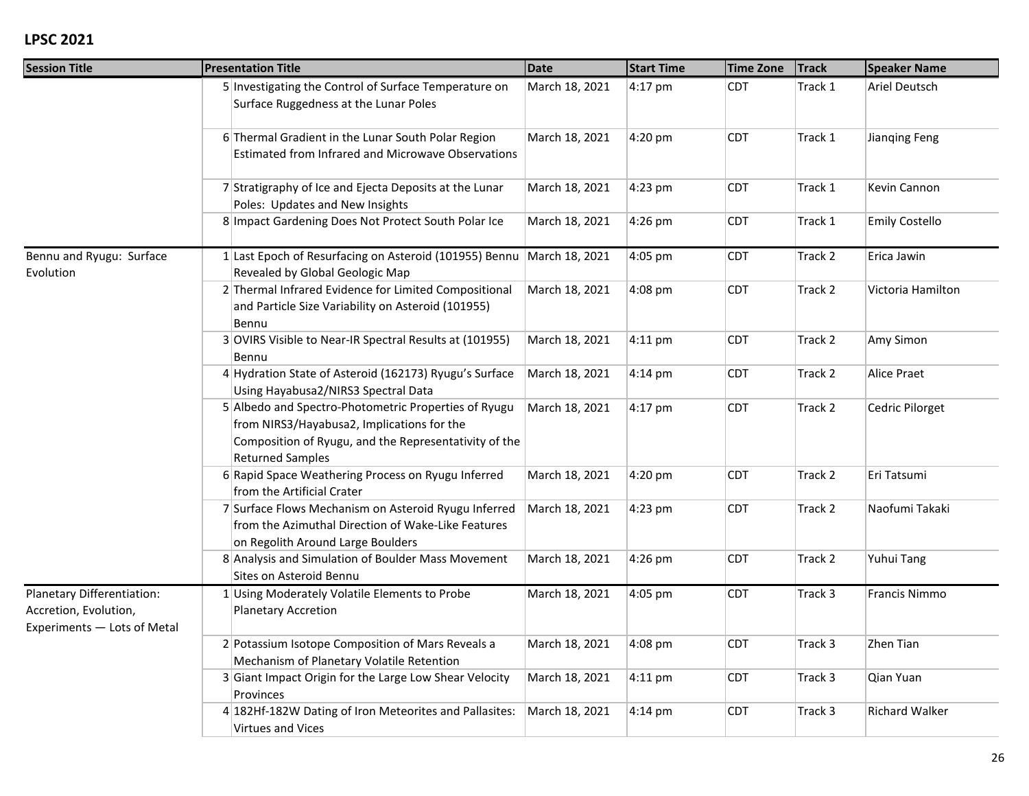| <b>Session Title</b>                                                               | <b>Presentation Title</b>                                                                                                                                                              | <b>Date</b>    | <b>Start Time</b> | <b>Time Zone</b> | <b>Track</b> | <b>Speaker Name</b>   |
|------------------------------------------------------------------------------------|----------------------------------------------------------------------------------------------------------------------------------------------------------------------------------------|----------------|-------------------|------------------|--------------|-----------------------|
|                                                                                    | 5 Investigating the Control of Surface Temperature on<br>Surface Ruggedness at the Lunar Poles                                                                                         | March 18, 2021 | 4:17 pm           | <b>CDT</b>       | Track 1      | Ariel Deutsch         |
|                                                                                    | 6 Thermal Gradient in the Lunar South Polar Region<br><b>Estimated from Infrared and Microwave Observations</b>                                                                        | March 18, 2021 | 4:20 pm           | <b>CDT</b>       | Track 1      | Jianging Feng         |
|                                                                                    | 7 Stratigraphy of Ice and Ejecta Deposits at the Lunar<br>Poles: Updates and New Insights                                                                                              | March 18, 2021 | 4:23 pm           | <b>CDT</b>       | Track 1      | Kevin Cannon          |
|                                                                                    | 8 Impact Gardening Does Not Protect South Polar Ice                                                                                                                                    | March 18, 2021 | 4:26 pm           | <b>CDT</b>       | Track 1      | Emily Costello        |
| Bennu and Ryugu: Surface<br>Evolution                                              | 1 Last Epoch of Resurfacing on Asteroid (101955) Bennu March 18, 2021<br>Revealed by Global Geologic Map                                                                               |                | 4:05 pm           | <b>CDT</b>       | Track 2      | Erica Jawin           |
|                                                                                    | 2 Thermal Infrared Evidence for Limited Compositional<br>and Particle Size Variability on Asteroid (101955)<br>Bennu                                                                   | March 18, 2021 | 4:08 pm           | <b>CDT</b>       | Track 2      | Victoria Hamilton     |
|                                                                                    | 3 OVIRS Visible to Near-IR Spectral Results at (101955)<br>Bennu                                                                                                                       | March 18, 2021 | $4:11$ pm         | <b>CDT</b>       | Track 2      | Amy Simon             |
|                                                                                    | 4 Hydration State of Asteroid (162173) Ryugu's Surface<br>Using Hayabusa2/NIRS3 Spectral Data                                                                                          | March 18, 2021 | $4:14 \text{ pm}$ | <b>CDT</b>       | Track 2      | <b>Alice Praet</b>    |
|                                                                                    | 5 Albedo and Spectro-Photometric Properties of Ryugu<br>from NIRS3/Hayabusa2, Implications for the<br>Composition of Ryugu, and the Representativity of the<br><b>Returned Samples</b> | March 18, 2021 | $4:17$ pm         | <b>CDT</b>       | Track 2      | Cedric Pilorget       |
|                                                                                    | 6 Rapid Space Weathering Process on Ryugu Inferred<br>from the Artificial Crater                                                                                                       | March 18, 2021 | 4:20 pm           | <b>CDT</b>       | Track 2      | Eri Tatsumi           |
|                                                                                    | 7 Surface Flows Mechanism on Asteroid Ryugu Inferred<br>from the Azimuthal Direction of Wake-Like Features<br>on Regolith Around Large Boulders                                        | March 18, 2021 | 4:23 pm           | <b>CDT</b>       | Track 2      | Naofumi Takaki        |
|                                                                                    | 8 Analysis and Simulation of Boulder Mass Movement<br>Sites on Asteroid Bennu                                                                                                          | March 18, 2021 | 4:26 pm           | <b>CDT</b>       | Track 2      | Yuhui Tang            |
| Planetary Differentiation:<br>Accretion, Evolution,<br>Experiments - Lots of Metal | 1 Using Moderately Volatile Elements to Probe<br>Planetary Accretion                                                                                                                   | March 18, 2021 | 4:05 pm           | <b>CDT</b>       | Track 3      | Francis Nimmo         |
|                                                                                    | 2 Potassium Isotope Composition of Mars Reveals a<br>Mechanism of Planetary Volatile Retention                                                                                         | March 18, 2021 | 4:08 pm           | <b>CDT</b>       | Track 3      | Zhen Tian             |
|                                                                                    | 3 Giant Impact Origin for the Large Low Shear Velocity<br>Provinces                                                                                                                    | March 18, 2021 | $4:11$ pm         | <b>CDT</b>       | Track 3      | Qian Yuan             |
|                                                                                    | 4 182Hf-182W Dating of Iron Meteorites and Pallasites:<br><b>Virtues and Vices</b>                                                                                                     | March 18, 2021 | $4:14 \text{ pm}$ | <b>CDT</b>       | Track 3      | <b>Richard Walker</b> |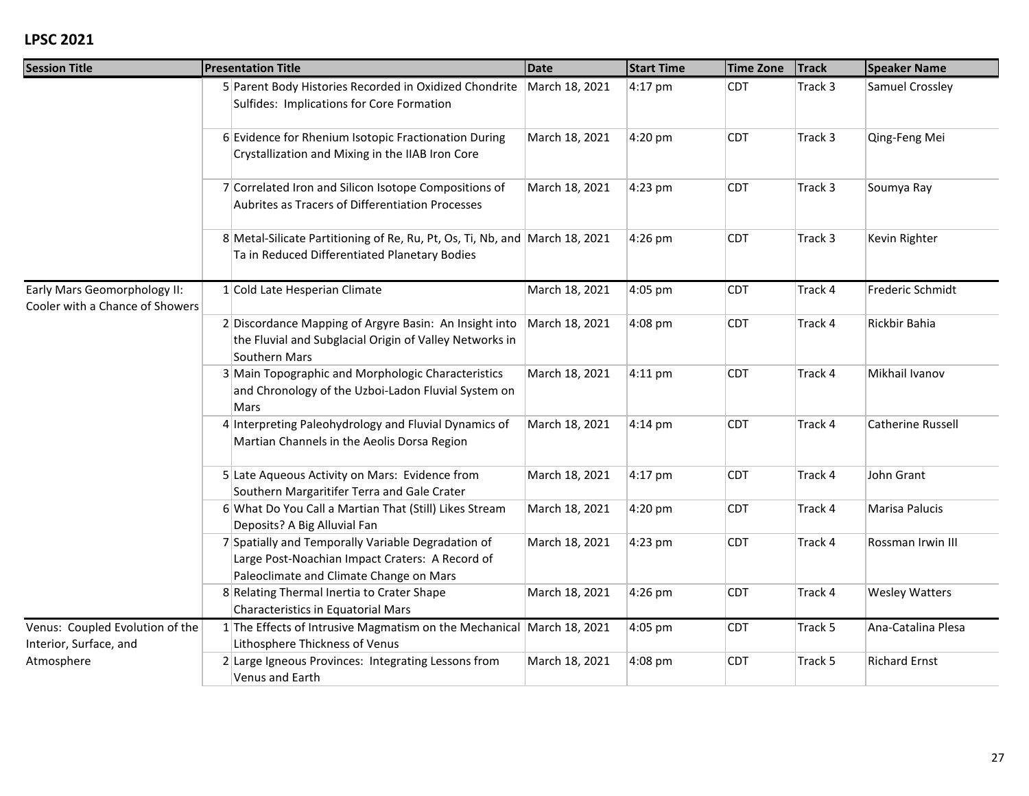| <b>Session Title</b>                                            | <b>Presentation Title</b>                                                                                                                        | <b>Date</b>    | <b>Start Time</b> | <b>Time Zone</b> | <b>Track</b> | <b>Speaker Name</b>      |
|-----------------------------------------------------------------|--------------------------------------------------------------------------------------------------------------------------------------------------|----------------|-------------------|------------------|--------------|--------------------------|
|                                                                 | 5 Parent Body Histories Recorded in Oxidized Chondrite March 18, 2021<br>Sulfides: Implications for Core Formation                               |                | $4:17$ pm         | CDT              | Track 3      | Samuel Crossley          |
|                                                                 | 6 Evidence for Rhenium Isotopic Fractionation During<br>Crystallization and Mixing in the IIAB Iron Core                                         | March 18, 2021 | 4:20 pm           | <b>CDT</b>       | Track 3      | Qing-Feng Mei            |
|                                                                 | 7 Correlated Iron and Silicon Isotope Compositions of<br>Aubrites as Tracers of Differentiation Processes                                        | March 18, 2021 | 4:23 pm           | <b>CDT</b>       | Track 3      | Soumya Ray               |
|                                                                 | 8 Metal-Silicate Partitioning of Re, Ru, Pt, Os, Ti, Nb, and March 18, 2021<br>Ta in Reduced Differentiated Planetary Bodies                     |                | 4:26 pm           | <b>CDT</b>       | Track 3      | Kevin Righter            |
| Early Mars Geomorphology II:<br>Cooler with a Chance of Showers | $1$ Cold Late Hesperian Climate                                                                                                                  | March 18, 2021 | 4:05 pm           | <b>CDT</b>       | Track 4      | Frederic Schmidt         |
|                                                                 | 2 Discordance Mapping of Argyre Basin: An Insight into<br>the Fluvial and Subglacial Origin of Valley Networks in<br>Southern Mars               | March 18, 2021 | 4:08 pm           | <b>CDT</b>       | Track 4      | Rickbir Bahia            |
|                                                                 | 3 Main Topographic and Morphologic Characteristics<br>and Chronology of the Uzboi-Ladon Fluvial System on<br>Mars                                | March 18, 2021 | $4:11$ pm         | <b>CDT</b>       | Track 4      | Mikhail Ivanov           |
|                                                                 | 4 Interpreting Paleohydrology and Fluvial Dynamics of<br>Martian Channels in the Aeolis Dorsa Region                                             | March 18, 2021 | $4:14 \text{ pm}$ | <b>CDT</b>       | Track 4      | <b>Catherine Russell</b> |
|                                                                 | 5 Late Aqueous Activity on Mars: Evidence from<br>Southern Margaritifer Terra and Gale Crater                                                    | March 18, 2021 | $4:17$ pm         | <b>CDT</b>       | Track 4      | John Grant               |
|                                                                 | 6 What Do You Call a Martian That (Still) Likes Stream<br>Deposits? A Big Alluvial Fan                                                           | March 18, 2021 | 4:20 pm           | <b>CDT</b>       | Track 4      | Marisa Palucis           |
|                                                                 | 7 Spatially and Temporally Variable Degradation of<br>Large Post-Noachian Impact Craters: A Record of<br>Paleoclimate and Climate Change on Mars | March 18, 2021 | 4:23 pm           | <b>CDT</b>       | Track 4      | Rossman Irwin III        |
|                                                                 | 8 Relating Thermal Inertia to Crater Shape<br>Characteristics in Equatorial Mars                                                                 | March 18, 2021 | 4:26 pm           | <b>CDT</b>       | Track 4      | <b>Wesley Watters</b>    |
| Venus: Coupled Evolution of the<br>Interior, Surface, and       | 1 The Effects of Intrusive Magmatism on the Mechanical March 18, 2021<br>Lithosphere Thickness of Venus                                          |                | 4:05 pm           | <b>CDT</b>       | Track 5      | Ana-Catalina Plesa       |
| Atmosphere                                                      | 2 Large Igneous Provinces: Integrating Lessons from<br>Venus and Earth                                                                           | March 18, 2021 | 4:08 pm           | <b>CDT</b>       | Track 5      | <b>Richard Ernst</b>     |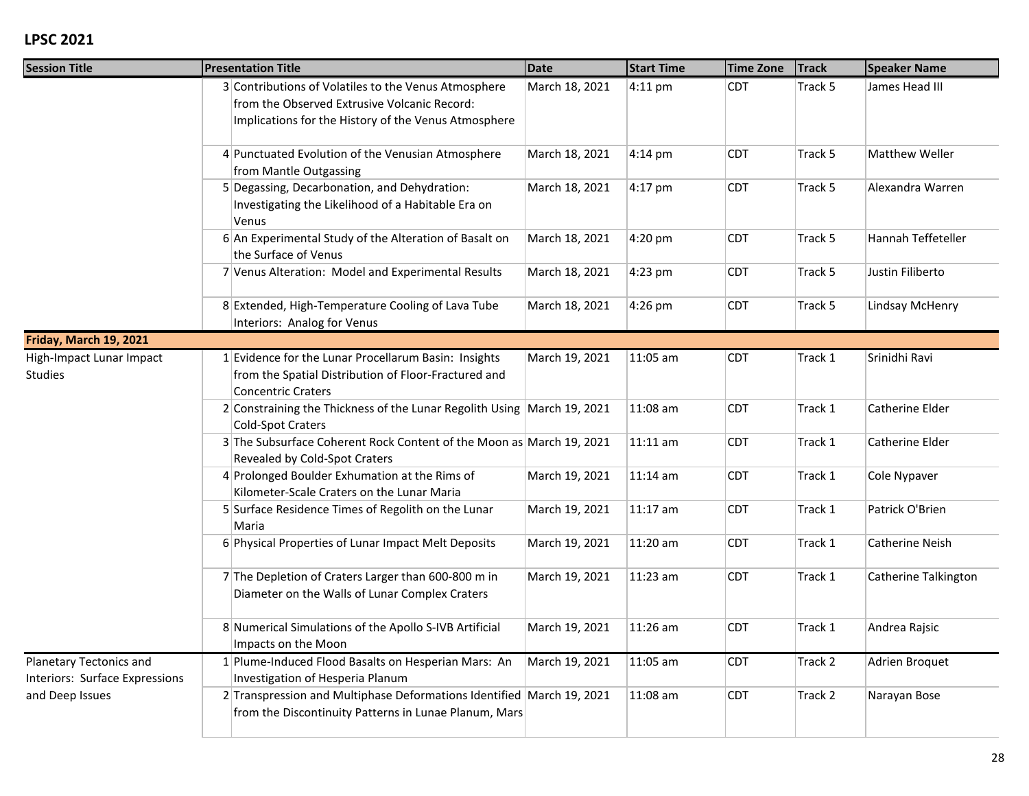| <b>Session Title</b>                                      | <b>Presentation Title</b>                                                                                                                                    | <b>Date</b>    | <b>Start Time</b> | <b>Time Zone</b> | <b>Track</b> | <b>Speaker Name</b>    |
|-----------------------------------------------------------|--------------------------------------------------------------------------------------------------------------------------------------------------------------|----------------|-------------------|------------------|--------------|------------------------|
|                                                           | 3 Contributions of Volatiles to the Venus Atmosphere<br>from the Observed Extrusive Volcanic Record:<br>Implications for the History of the Venus Atmosphere | March 18, 2021 | 4:11 pm           | <b>CDT</b>       | Track 5      | James Head III         |
|                                                           | 4 Punctuated Evolution of the Venusian Atmosphere<br>from Mantle Outgassing                                                                                  | March 18, 2021 | $4:14 \text{ pm}$ | <b>CDT</b>       | Track 5      | Matthew Weller         |
|                                                           | 5 Degassing, Decarbonation, and Dehydration:<br>Investigating the Likelihood of a Habitable Era on<br>Venus                                                  | March 18, 2021 | $4:17$ pm         | <b>CDT</b>       | Track 5      | Alexandra Warren       |
|                                                           | 6 An Experimental Study of the Alteration of Basalt on<br>the Surface of Venus                                                                               | March 18, 2021 | 4:20 pm           | <b>CDT</b>       | Track 5      | Hannah Teffeteller     |
|                                                           | 7 Venus Alteration: Model and Experimental Results                                                                                                           | March 18, 2021 | 4:23 pm           | <b>CDT</b>       | Track 5      | Justin Filiberto       |
|                                                           | 8 Extended, High-Temperature Cooling of Lava Tube<br>Interiors: Analog for Venus                                                                             | March 18, 2021 | 4:26 pm           | <b>CDT</b>       | Track 5      | Lindsay McHenry        |
| Friday, March 19, 2021                                    |                                                                                                                                                              |                |                   |                  |              |                        |
| High-Impact Lunar Impact<br><b>Studies</b>                | 1 Evidence for the Lunar Procellarum Basin: Insights<br>from the Spatial Distribution of Floor-Fractured and<br><b>Concentric Craters</b>                    | March 19, 2021 | 11:05 am          | <b>CDT</b>       | Track 1      | Srinidhi Ravi          |
|                                                           | 2 Constraining the Thickness of the Lunar Regolith Using March 19, 2021<br><b>Cold-Spot Craters</b>                                                          |                | 11:08 am          | <b>CDT</b>       | Track 1      | Catherine Elder        |
|                                                           | 3 The Subsurface Coherent Rock Content of the Moon as March 19, 2021<br>Revealed by Cold-Spot Craters                                                        |                | 11:11 am          | <b>CDT</b>       | Track 1      | Catherine Elder        |
|                                                           | 4 Prolonged Boulder Exhumation at the Rims of<br>Kilometer-Scale Craters on the Lunar Maria                                                                  | March 19, 2021 | 11:14 am          | <b>CDT</b>       | Track 1      | Cole Nypaver           |
|                                                           | 5 Surface Residence Times of Regolith on the Lunar<br>Maria                                                                                                  | March 19, 2021 | 11:17 am          | <b>CDT</b>       | Track 1      | Patrick O'Brien        |
|                                                           | 6 Physical Properties of Lunar Impact Melt Deposits                                                                                                          | March 19, 2021 | 11:20 am          | <b>CDT</b>       | Track 1      | <b>Catherine Neish</b> |
|                                                           | 7 The Depletion of Craters Larger than 600-800 m in<br>Diameter on the Walls of Lunar Complex Craters                                                        | March 19, 2021 | $11:23$ am        | <b>CDT</b>       | Track 1      | Catherine Talkington   |
|                                                           | 8 Numerical Simulations of the Apollo S-IVB Artificial<br>Impacts on the Moon                                                                                | March 19, 2021 | 11:26 am          | <b>CDT</b>       | Track 1      | Andrea Rajsic          |
| Planetary Tectonics and<br>Interiors: Surface Expressions | 1 Plume-Induced Flood Basalts on Hesperian Mars: An<br>Investigation of Hesperia Planum                                                                      | March 19, 2021 | 11:05 am          | <b>CDT</b>       | Track 2      | Adrien Broquet         |
| and Deep Issues                                           | 2 Transpression and Multiphase Deformations Identified March 19, 2021<br>from the Discontinuity Patterns in Lunae Planum, Mars                               |                | 11:08 am          | <b>CDT</b>       | Track 2      | Narayan Bose           |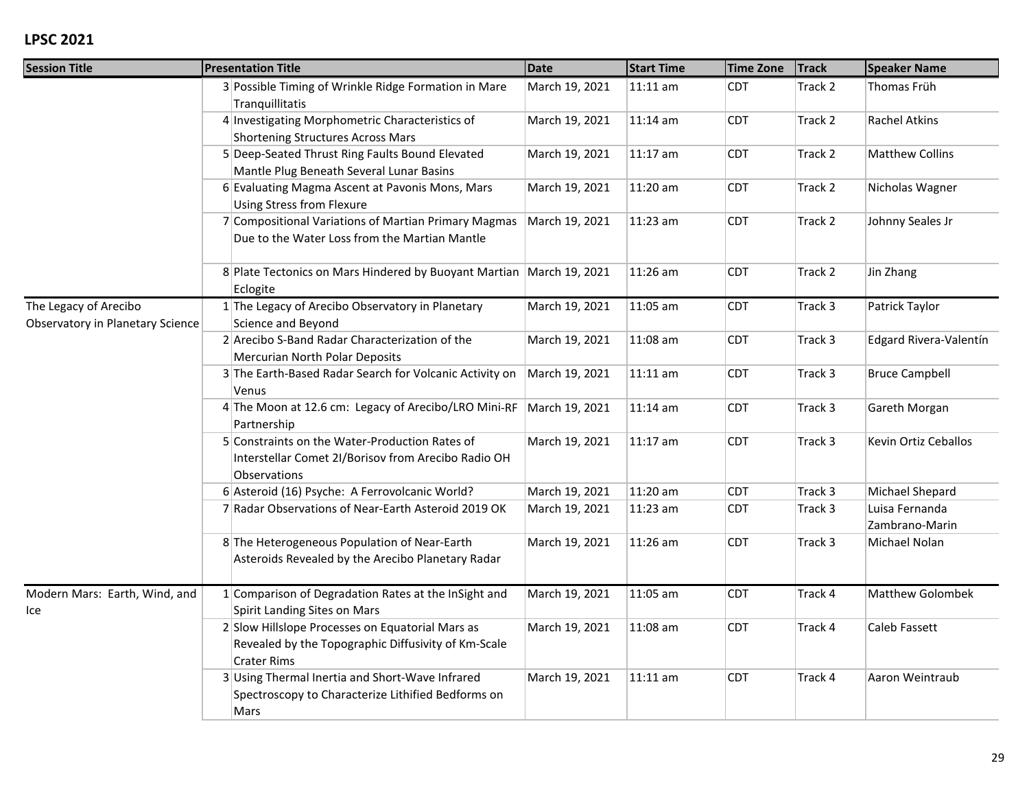| <b>Session Title</b>                                      | <b>Presentation Title</b>                                                                                              | <b>Date</b>    | <b>Start Time</b> | <b>Time Zone</b> | <b>Track</b> | <b>Speaker Name</b>              |
|-----------------------------------------------------------|------------------------------------------------------------------------------------------------------------------------|----------------|-------------------|------------------|--------------|----------------------------------|
|                                                           | 3 Possible Timing of Wrinkle Ridge Formation in Mare<br>Tranquillitatis                                                | March 19, 2021 | 11:11 am          | <b>CDT</b>       | Track 2      | Thomas Früh                      |
|                                                           | 4 Investigating Morphometric Characteristics of<br><b>Shortening Structures Across Mars</b>                            | March 19, 2021 | 11:14 am          | <b>CDT</b>       | Track 2      | <b>Rachel Atkins</b>             |
|                                                           | 5 Deep-Seated Thrust Ring Faults Bound Elevated<br>Mantle Plug Beneath Several Lunar Basins                            | March 19, 2021 | 11:17 am          | <b>CDT</b>       | Track 2      | <b>Matthew Collins</b>           |
|                                                           | 6 Evaluating Magma Ascent at Pavonis Mons, Mars<br><b>Using Stress from Flexure</b>                                    | March 19, 2021 | 11:20 am          | <b>CDT</b>       | Track 2      | Nicholas Wagner                  |
|                                                           | 7 Compositional Variations of Martian Primary Magmas<br>Due to the Water Loss from the Martian Mantle                  | March 19, 2021 | 11:23 am          | <b>CDT</b>       | Track 2      | Johnny Seales Jr                 |
|                                                           | 8 Plate Tectonics on Mars Hindered by Buoyant Martian   March 19, 2021<br>Eclogite                                     |                | 11:26 am          | <b>CDT</b>       | Track 2      | Jin Zhang                        |
| The Legacy of Arecibo<br>Observatory in Planetary Science | 1 The Legacy of Arecibo Observatory in Planetary<br>Science and Beyond                                                 | March 19, 2021 | 11:05 am          | <b>CDT</b>       | Track 3      | Patrick Taylor                   |
|                                                           | 2 Arecibo S-Band Radar Characterization of the<br>Mercurian North Polar Deposits                                       | March 19, 2021 | 11:08 am          | <b>CDT</b>       | Track 3      | Edgard Rivera-Valentín           |
|                                                           | 3 The Earth-Based Radar Search for Volcanic Activity on<br>Venus                                                       | March 19, 2021 | 11:11 am          | <b>CDT</b>       | Track 3      | <b>Bruce Campbell</b>            |
|                                                           | 4 The Moon at 12.6 cm: Legacy of Arecibo/LRO Mini-RF March 19, 2021<br>Partnership                                     |                | 11:14 am          | <b>CDT</b>       | Track 3      | Gareth Morgan                    |
|                                                           | 5 Constraints on the Water-Production Rates of<br>Interstellar Comet 2I/Borisov from Arecibo Radio OH<br>Observations  | March 19, 2021 | 11:17 am          | <b>CDT</b>       | Track 3      | Kevin Ortiz Ceballos             |
|                                                           | 6 Asteroid (16) Psyche: A Ferrovolcanic World?                                                                         | March 19, 2021 | 11:20 am          | <b>CDT</b>       | Track 3      | Michael Shepard                  |
|                                                           | 7 Radar Observations of Near-Earth Asteroid 2019 OK                                                                    | March 19, 2021 | 11:23 am          | <b>CDT</b>       | Track 3      | Luisa Fernanda<br>Zambrano-Marin |
|                                                           | 8 The Heterogeneous Population of Near-Earth<br>Asteroids Revealed by the Arecibo Planetary Radar                      | March 19, 2021 | 11:26 am          | <b>CDT</b>       | Track 3      | Michael Nolan                    |
| Modern Mars: Earth, Wind, and<br>Ice                      | 1 Comparison of Degradation Rates at the InSight and<br>Spirit Landing Sites on Mars                                   | March 19, 2021 | 11:05 am          | <b>CDT</b>       | Track 4      | Matthew Golombek                 |
|                                                           | 2 Slow Hillslope Processes on Equatorial Mars as<br>Revealed by the Topographic Diffusivity of Km-Scale<br>Crater Rims | March 19, 2021 | 11:08 am          | <b>CDT</b>       | Track 4      | Caleb Fassett                    |
|                                                           | 3 Using Thermal Inertia and Short-Wave Infrared<br>Spectroscopy to Characterize Lithified Bedforms on<br>Mars          | March 19, 2021 | 11:11 am          | <b>CDT</b>       | Track 4      | Aaron Weintraub                  |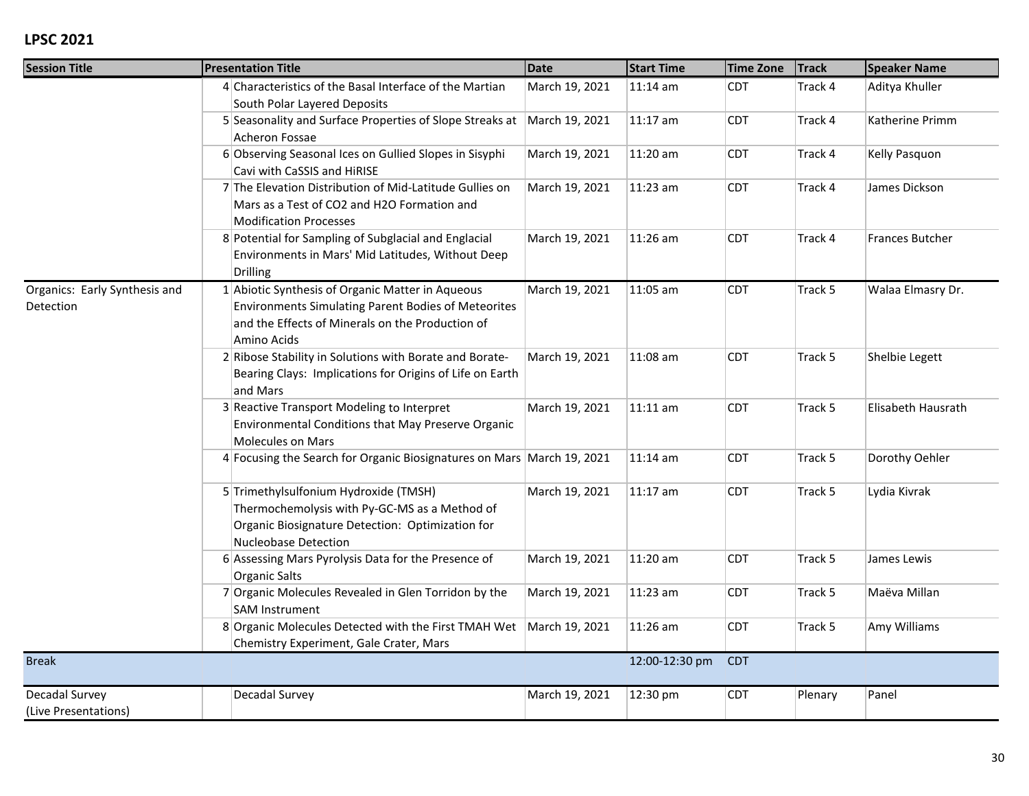| <b>Session Title</b>                       |  | <b>Presentation Title</b>                                                                                                                                                         | <b>Date</b>    | <b>Start Time</b> | <b>Time Zone</b> | <b>Track</b> | <b>Speaker Name</b>    |
|--------------------------------------------|--|-----------------------------------------------------------------------------------------------------------------------------------------------------------------------------------|----------------|-------------------|------------------|--------------|------------------------|
|                                            |  | 4 Characteristics of the Basal Interface of the Martian<br>South Polar Layered Deposits                                                                                           | March 19, 2021 | $11:14$ am        | <b>CDT</b>       | Track 4      | Aditya Khuller         |
|                                            |  | 5 Seasonality and Surface Properties of Slope Streaks at<br>Acheron Fossae                                                                                                        | March 19, 2021 | 11:17 am          | <b>CDT</b>       | Track 4      | Katherine Primm        |
|                                            |  | 6 Observing Seasonal Ices on Gullied Slopes in Sisyphi<br>Cavi with CaSSIS and HiRISE                                                                                             | March 19, 2021 | 11:20 am          | <b>CDT</b>       | Track 4      | Kelly Pasquon          |
|                                            |  | 7 The Elevation Distribution of Mid-Latitude Gullies on<br>Mars as a Test of CO2 and H2O Formation and<br><b>Modification Processes</b>                                           | March 19, 2021 | 11:23 am          | <b>CDT</b>       | Track 4      | James Dickson          |
|                                            |  | 8 Potential for Sampling of Subglacial and Englacial<br>Environments in Mars' Mid Latitudes, Without Deep<br>Drilling                                                             | March 19, 2021 | 11:26 am          | <b>CDT</b>       | Track 4      | <b>Frances Butcher</b> |
| Organics: Early Synthesis and<br>Detection |  | 1 Abiotic Synthesis of Organic Matter in Aqueous<br><b>Environments Simulating Parent Bodies of Meteorites</b><br>and the Effects of Minerals on the Production of<br>Amino Acids | March 19, 2021 | 11:05 am          | <b>CDT</b>       | Track 5      | Walaa Elmasry Dr.      |
|                                            |  | 2 Ribose Stability in Solutions with Borate and Borate-<br>Bearing Clays: Implications for Origins of Life on Earth<br>and Mars                                                   | March 19, 2021 | 11:08 am          | <b>CDT</b>       | Track 5      | Shelbie Legett         |
|                                            |  | 3 Reactive Transport Modeling to Interpret<br>Environmental Conditions that May Preserve Organic<br>Molecules on Mars                                                             | March 19, 2021 | $11:11$ am        | <b>CDT</b>       | Track 5      | Elisabeth Hausrath     |
|                                            |  | 4 Focusing the Search for Organic Biosignatures on Mars March 19, 2021                                                                                                            |                | 11:14 am          | <b>CDT</b>       | Track 5      | Dorothy Oehler         |
|                                            |  | 5 Trimethylsulfonium Hydroxide (TMSH)<br>Thermochemolysis with Py-GC-MS as a Method of<br>Organic Biosignature Detection: Optimization for<br>Nucleobase Detection                | March 19, 2021 | 11:17 am          | <b>CDT</b>       | Track 5      | Lydia Kivrak           |
|                                            |  | 6 Assessing Mars Pyrolysis Data for the Presence of<br>Organic Salts                                                                                                              | March 19, 2021 | 11:20 am          | <b>CDT</b>       | Track 5      | James Lewis            |
|                                            |  | 7 Organic Molecules Revealed in Glen Torridon by the<br><b>SAM Instrument</b>                                                                                                     | March 19, 2021 | 11:23 am          | <b>CDT</b>       | Track 5      | Maëva Millan           |
|                                            |  | 8 Organic Molecules Detected with the First TMAH Wet<br>Chemistry Experiment, Gale Crater, Mars                                                                                   | March 19, 2021 | 11:26 am          | <b>CDT</b>       | Track 5      | Amy Williams           |
| <b>Break</b>                               |  |                                                                                                                                                                                   |                | 12:00-12:30 pm    | <b>CDT</b>       |              |                        |
| Decadal Survey<br>(Live Presentations)     |  | Decadal Survey                                                                                                                                                                    | March 19, 2021 | 12:30 pm          | <b>CDT</b>       | Plenary      | Panel                  |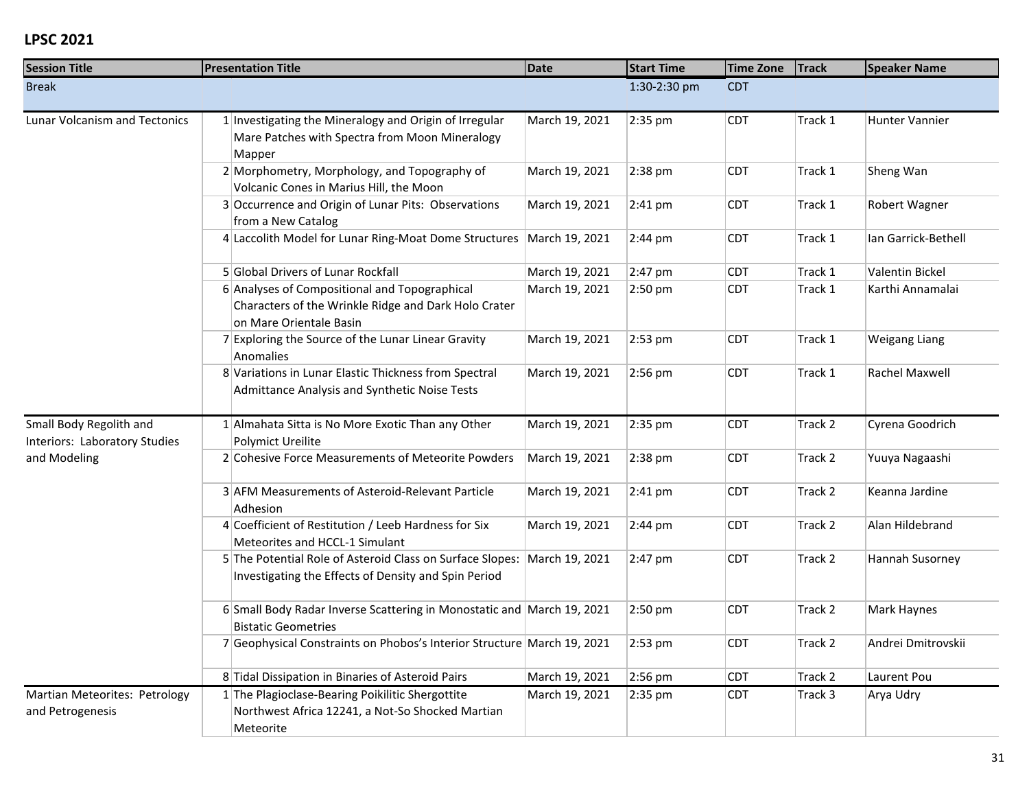| <b>Session Title</b>                                     | <b>Presentation Title</b>                                                                                                        | Date           | <b>Start Time</b> | <b>Time Zone</b> | <b>Track</b> | <b>Speaker Name</b>  |  |
|----------------------------------------------------------|----------------------------------------------------------------------------------------------------------------------------------|----------------|-------------------|------------------|--------------|----------------------|--|
| <b>Break</b>                                             |                                                                                                                                  |                | 1:30-2:30 pm      | <b>CDT</b>       |              |                      |  |
| <b>Lunar Volcanism and Tectonics</b>                     | 1 Investigating the Mineralogy and Origin of Irregular<br>Mare Patches with Spectra from Moon Mineralogy<br>Mapper               | March 19, 2021 | 2:35 pm           | <b>CDT</b>       | Track 1      | Hunter Vannier       |  |
|                                                          | 2 Morphometry, Morphology, and Topography of<br>Volcanic Cones in Marius Hill, the Moon                                          | March 19, 2021 | 2:38 pm           | <b>CDT</b>       | Track 1      | Sheng Wan            |  |
|                                                          | 3 Occurrence and Origin of Lunar Pits: Observations<br>from a New Catalog                                                        | March 19, 2021 | 2:41 pm           | <b>CDT</b>       | Track 1      | Robert Wagner        |  |
|                                                          | 4 Laccolith Model for Lunar Ring-Moat Dome Structures                                                                            | March 19, 2021 | 2:44 pm           | <b>CDT</b>       | Track 1      | Ian Garrick-Bethell  |  |
|                                                          | 5 Global Drivers of Lunar Rockfall                                                                                               | March 19, 2021 | 2:47 pm           | <b>CDT</b>       | Track 1      | Valentin Bickel      |  |
|                                                          | 6 Analyses of Compositional and Topographical<br>Characters of the Wrinkle Ridge and Dark Holo Crater<br>on Mare Orientale Basin | March 19, 2021 | 2:50 pm           | <b>CDT</b>       | Track 1      | Karthi Annamalai     |  |
|                                                          | 7 Exploring the Source of the Lunar Linear Gravity<br>Anomalies                                                                  | March 19, 2021 | 2:53 pm           | <b>CDT</b>       | Track 1      | <b>Weigang Liang</b> |  |
|                                                          | 8 Variations in Lunar Elastic Thickness from Spectral<br>Admittance Analysis and Synthetic Noise Tests                           | March 19, 2021 | 2:56 pm           | <b>CDT</b>       | Track 1      | Rachel Maxwell       |  |
| Small Body Regolith and<br>Interiors: Laboratory Studies | 1 Almahata Sitta is No More Exotic Than any Other<br><b>Polymict Ureilite</b>                                                    | March 19, 2021 | 2:35 pm           | <b>CDT</b>       | Track 2      | Cyrena Goodrich      |  |
| and Modeling                                             | 2 Cohesive Force Measurements of Meteorite Powders                                                                               | March 19, 2021 | 2:38 pm           | <b>CDT</b>       | Track 2      | Yuuya Nagaashi       |  |
|                                                          | 3 AFM Measurements of Asteroid-Relevant Particle<br>Adhesion                                                                     | March 19, 2021 | $2:41$ pm         | <b>CDT</b>       | Track 2      | Keanna Jardine       |  |
|                                                          | 4 Coefficient of Restitution / Leeb Hardness for Six<br>Meteorites and HCCL-1 Simulant                                           | March 19, 2021 | 2:44 pm           | <b>CDT</b>       | Track 2      | Alan Hildebrand      |  |
|                                                          | 5 The Potential Role of Asteroid Class on Surface Slopes:<br>Investigating the Effects of Density and Spin Period                | March 19, 2021 | 2:47 pm           | <b>CDT</b>       | Track 2      | Hannah Susorney      |  |
|                                                          | 6 Small Body Radar Inverse Scattering in Monostatic and March 19, 2021<br><b>Bistatic Geometries</b>                             |                | 2:50 pm           | <b>CDT</b>       | Track 2      | Mark Haynes          |  |
|                                                          | 7 Geophysical Constraints on Phobos's Interior Structure March 19, 2021                                                          |                | 2:53 pm           | <b>CDT</b>       | Track 2      | Andrei Dmitrovskii   |  |
|                                                          | 8 Tidal Dissipation in Binaries of Asteroid Pairs                                                                                | March 19, 2021 | 2:56 pm           | <b>CDT</b>       | Track 2      | Laurent Pou          |  |
| Martian Meteorites: Petrology<br>and Petrogenesis        | 1 The Plagioclase-Bearing Poikilitic Shergottite<br>Northwest Africa 12241, a Not-So Shocked Martian<br>Meteorite                | March 19, 2021 | 2:35 pm           | <b>CDT</b>       | Track 3      | Arya Udry            |  |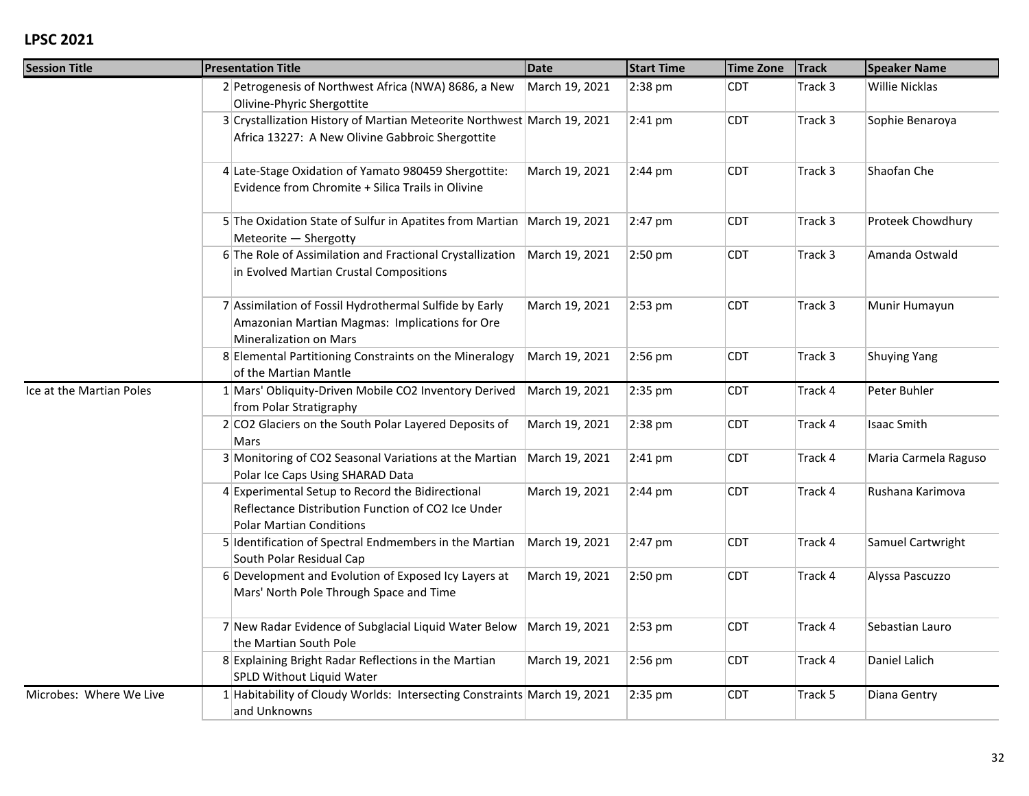| <b>Session Title</b>     | <b>Presentation Title</b>                                                                                                                 | <b>Date</b>    | <b>Start Time</b> | <b>Time Zone</b> | <b>Track</b> | <b>Speaker Name</b>  |
|--------------------------|-------------------------------------------------------------------------------------------------------------------------------------------|----------------|-------------------|------------------|--------------|----------------------|
|                          | 2 Petrogenesis of Northwest Africa (NWA) 8686, a New<br>Olivine-Phyric Shergottite                                                        | March 19, 2021 | 2:38 pm           | <b>CDT</b>       | Track 3      | Willie Nicklas       |
|                          | 3 Crystallization History of Martian Meteorite Northwest March 19, 2021<br>Africa 13227: A New Olivine Gabbroic Shergottite               |                | 2:41 pm           | <b>CDT</b>       | Track 3      | Sophie Benaroya      |
|                          | 4 Late-Stage Oxidation of Yamato 980459 Shergottite:<br>Evidence from Chromite + Silica Trails in Olivine                                 | March 19, 2021 | $2:44 \text{ pm}$ | CDT              | Track 3      | Shaofan Che          |
|                          | 5 The Oxidation State of Sulfur in Apatites from Martian March 19, 2021<br>Meteorite - Shergotty                                          |                | 2:47 pm           | <b>CDT</b>       | Track 3      | Proteek Chowdhury    |
|                          | 6 The Role of Assimilation and Fractional Crystallization<br>in Evolved Martian Crustal Compositions                                      | March 19, 2021 | 2:50 pm           | <b>CDT</b>       | Track 3      | Amanda Ostwald       |
|                          | 7 Assimilation of Fossil Hydrothermal Sulfide by Early<br>Amazonian Martian Magmas: Implications for Ore<br><b>Mineralization on Mars</b> | March 19, 2021 | $2:53$ pm         | CDT.             | Track 3      | Munir Humayun        |
|                          | 8 Elemental Partitioning Constraints on the Mineralogy<br>of the Martian Mantle                                                           | March 19, 2021 | 2:56 pm           | <b>CDT</b>       | Track 3      | <b>Shuying Yang</b>  |
| Ice at the Martian Poles | 1 Mars' Obliquity-Driven Mobile CO2 Inventory Derived<br>from Polar Stratigraphy                                                          | March 19, 2021 | 2:35 pm           | <b>CDT</b>       | Track 4      | Peter Buhler         |
|                          | 2 CO2 Glaciers on the South Polar Layered Deposits of<br>Mars                                                                             | March 19, 2021 | 2:38 pm           | <b>CDT</b>       | Track 4      | <b>Isaac Smith</b>   |
|                          | 3 Monitoring of CO2 Seasonal Variations at the Martian<br>Polar Ice Caps Using SHARAD Data                                                | March 19, 2021 | $2:41$ pm         | <b>CDT</b>       | Track 4      | Maria Carmela Raguso |
|                          | 4 Experimental Setup to Record the Bidirectional<br>Reflectance Distribution Function of CO2 Ice Under<br><b>Polar Martian Conditions</b> | March 19, 2021 | $2:44$ pm         | CDT.             | Track 4      | Rushana Karimova     |
|                          | 5 Identification of Spectral Endmembers in the Martian<br>South Polar Residual Cap                                                        | March 19, 2021 | 2:47 pm           | <b>CDT</b>       | Track 4      | Samuel Cartwright    |
|                          | 6 Development and Evolution of Exposed Icy Layers at<br>Mars' North Pole Through Space and Time                                           | March 19, 2021 | 2:50 pm           | <b>CDT</b>       | Track 4      | Alyssa Pascuzzo      |
|                          | 7 New Radar Evidence of Subglacial Liquid Water Below<br>the Martian South Pole                                                           | March 19, 2021 | 2:53 pm           | <b>CDT</b>       | Track 4      | Sebastian Lauro      |
|                          | 8 Explaining Bright Radar Reflections in the Martian<br>SPLD Without Liquid Water                                                         | March 19, 2021 | 2:56 pm           | <b>CDT</b>       | Track 4      | Daniel Lalich        |
| Microbes: Where We Live  | 1 Habitability of Cloudy Worlds: Intersecting Constraints March 19, 2021<br>and Unknowns                                                  |                | 2:35 pm           | CDT              | Track 5      | Diana Gentry         |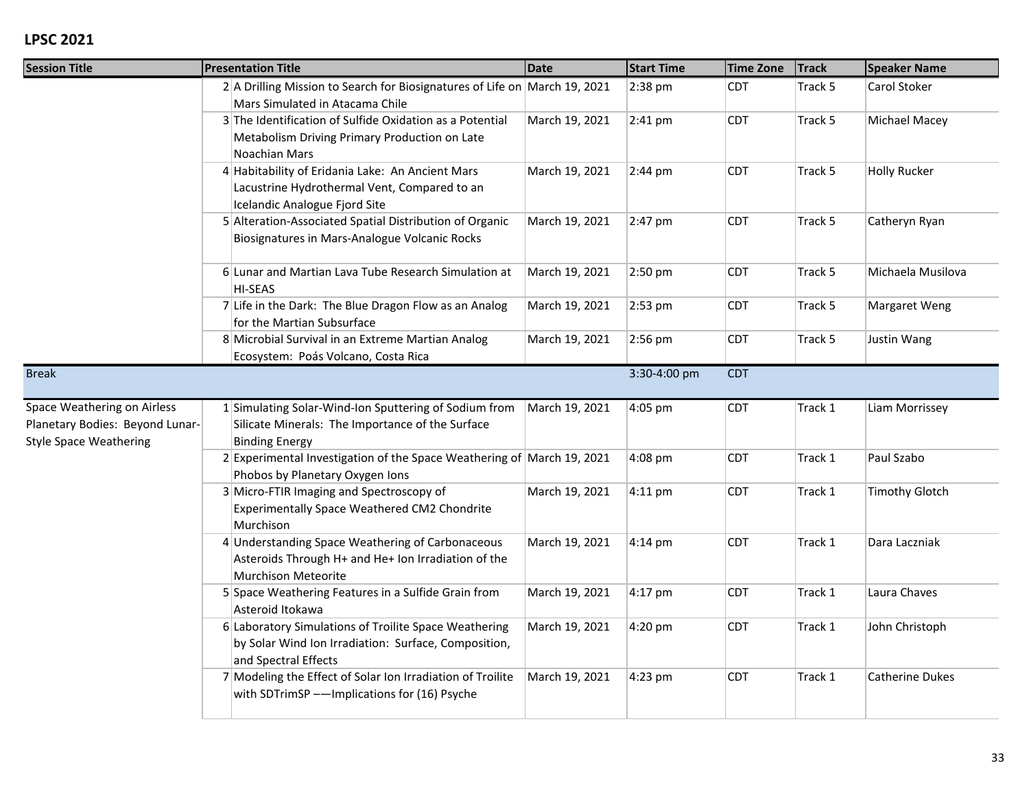| <b>Session Title</b>                                                                            | <b>Presentation Title</b>                                                                                                             | <b>Date</b><br><b>Start Time</b> |              | <b>Time Zone</b> | <b>Track</b> | <b>Speaker Name</b>    |  |
|-------------------------------------------------------------------------------------------------|---------------------------------------------------------------------------------------------------------------------------------------|----------------------------------|--------------|------------------|--------------|------------------------|--|
|                                                                                                 | 2 A Drilling Mission to Search for Biosignatures of Life on March 19, 2021<br>Mars Simulated in Atacama Chile                         |                                  | 2:38 pm      | <b>CDT</b>       | Track 5      | Carol Stoker           |  |
|                                                                                                 | 3 The Identification of Sulfide Oxidation as a Potential<br>Metabolism Driving Primary Production on Late<br>Noachian Mars            | March 19, 2021                   | 2:41 pm      | <b>CDT</b>       | Track 5      | Michael Macey          |  |
|                                                                                                 | 4 Habitability of Eridania Lake: An Ancient Mars<br>Lacustrine Hydrothermal Vent, Compared to an<br>Icelandic Analogue Fjord Site     | March 19, 2021                   | 2:44 pm      | <b>CDT</b>       | Track 5      | <b>Holly Rucker</b>    |  |
|                                                                                                 | 5 Alteration-Associated Spatial Distribution of Organic<br>Biosignatures in Mars-Analogue Volcanic Rocks                              | March 19, 2021                   | 2:47 pm      | <b>CDT</b>       | Track 5      | Catheryn Ryan          |  |
|                                                                                                 | 6 Lunar and Martian Lava Tube Research Simulation at<br><b>HI-SEAS</b>                                                                | March 19, 2021                   | 2:50 pm      | <b>CDT</b>       | Track 5      | Michaela Musilova      |  |
|                                                                                                 | 7 Life in the Dark: The Blue Dragon Flow as an Analog<br>for the Martian Subsurface                                                   | March 19, 2021                   | 2:53 pm      | <b>CDT</b>       | Track 5      | Margaret Weng          |  |
|                                                                                                 | 8 Microbial Survival in an Extreme Martian Analog<br>Ecosystem: Poás Volcano, Costa Rica                                              | March 19, 2021                   | 2:56 pm      | <b>CDT</b>       | Track 5      | Justin Wang            |  |
| <b>Break</b>                                                                                    |                                                                                                                                       |                                  | 3:30-4:00 pm | <b>CDT</b>       |              |                        |  |
| Space Weathering on Airless<br>Planetary Bodies: Beyond Lunar-<br><b>Style Space Weathering</b> | 1 Simulating Solar-Wind-Ion Sputtering of Sodium from<br>Silicate Minerals: The Importance of the Surface<br><b>Binding Energy</b>    | March 19, 2021                   | 4:05 pm      | <b>CDT</b>       | Track 1      | Liam Morrissey         |  |
|                                                                                                 | 2 Experimental Investigation of the Space Weathering of March 19, 2021<br>Phobos by Planetary Oxygen Ions                             |                                  | 4:08 pm      | <b>CDT</b>       | Track 1      | Paul Szabo             |  |
|                                                                                                 | 3 Micro-FTIR Imaging and Spectroscopy of<br>Experimentally Space Weathered CM2 Chondrite<br>Murchison                                 | March 19, 2021                   | $4:11$ pm    | <b>CDT</b>       | Track 1      | <b>Timothy Glotch</b>  |  |
|                                                                                                 | 4 Understanding Space Weathering of Carbonaceous<br>Asteroids Through H+ and He+ Ion Irradiation of the<br>Murchison Meteorite        | March 19, 2021                   | 4:14 pm      | <b>CDT</b>       | Track 1      | Dara Laczniak          |  |
|                                                                                                 | 5 Space Weathering Features in a Sulfide Grain from<br>Asteroid Itokawa                                                               | March 19, 2021                   | 4:17 pm      | <b>CDT</b>       | Track 1      | Laura Chaves           |  |
|                                                                                                 | 6 Laboratory Simulations of Troilite Space Weathering<br>by Solar Wind Ion Irradiation: Surface, Composition,<br>and Spectral Effects | March 19, 2021                   | 4:20 pm      | <b>CDT</b>       | Track 1      | John Christoph         |  |
|                                                                                                 | 7 Modeling the Effect of Solar Ion Irradiation of Troilite<br>with SDTrimSP -- Implications for (16) Psyche                           | March 19, 2021                   | 4:23 pm      | <b>CDT</b>       | Track 1      | <b>Catherine Dukes</b> |  |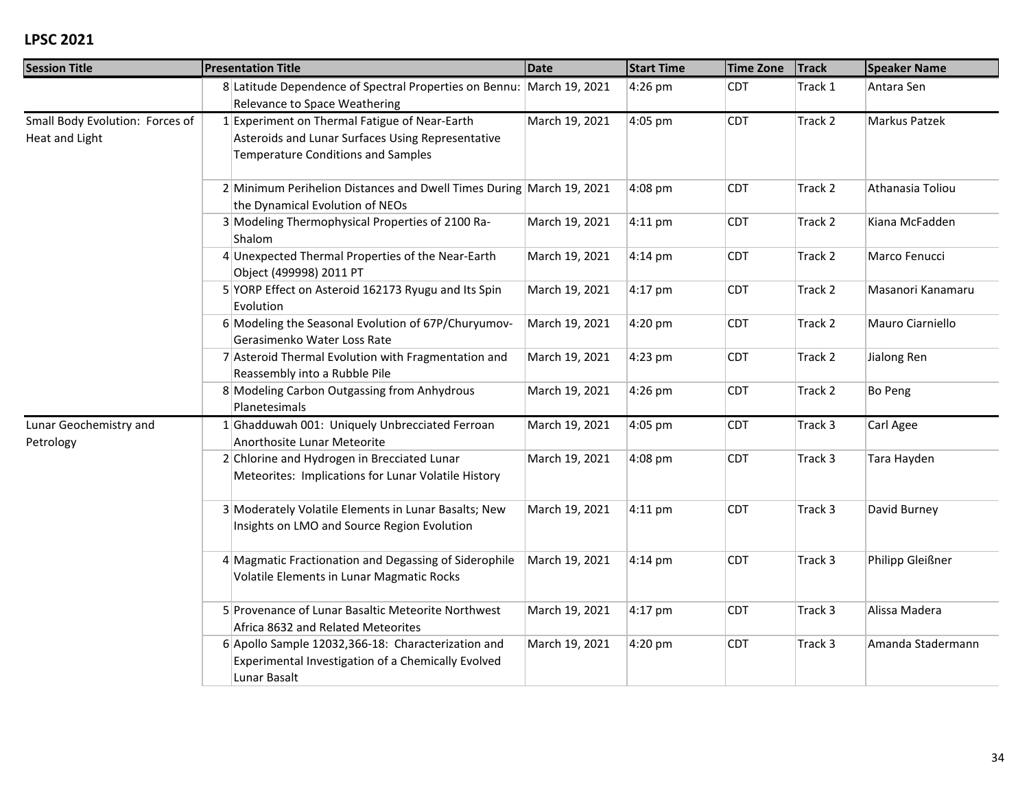| <b>Session Title</b>                              | <b>Presentation Title</b>                                                                                                                       | <b>Date</b>    | <b>Start Time</b> | <b>Time Zone</b> | <b>Track</b> | <b>Speaker Name</b> |
|---------------------------------------------------|-------------------------------------------------------------------------------------------------------------------------------------------------|----------------|-------------------|------------------|--------------|---------------------|
|                                                   | 8 Latitude Dependence of Spectral Properties on Bennu: March 19, 2021<br>Relevance to Space Weathering                                          |                | 4:26 pm           | <b>CDT</b>       | Track 1      | Antara Sen          |
| Small Body Evolution: Forces of<br>Heat and Light | 1 Experiment on Thermal Fatigue of Near-Earth<br>Asteroids and Lunar Surfaces Using Representative<br><b>Temperature Conditions and Samples</b> | March 19, 2021 | 4:05 pm           | <b>CDT</b>       | Track 2      | Markus Patzek       |
|                                                   | 2 Minimum Perihelion Distances and Dwell Times During March 19, 2021<br>the Dynamical Evolution of NEOs                                         |                | 4:08 pm           | <b>CDT</b>       | Track 2      | Athanasia Toliou    |
|                                                   | 3 Modeling Thermophysical Properties of 2100 Ra-<br>Shalom                                                                                      | March 19, 2021 | $4:11$ pm         | <b>CDT</b>       | Track 2      | Kiana McFadden      |
|                                                   | 4 Unexpected Thermal Properties of the Near-Earth<br>Object (499998) 2011 PT                                                                    | March 19, 2021 | $4:14 \text{ pm}$ | <b>CDT</b>       | Track 2      | Marco Fenucci       |
|                                                   | 5 YORP Effect on Asteroid 162173 Ryugu and Its Spin<br>Evolution                                                                                | March 19, 2021 | $4:17$ pm         | <b>CDT</b>       | Track 2      | Masanori Kanamaru   |
|                                                   | 6 Modeling the Seasonal Evolution of 67P/Churyumov-<br>Gerasimenko Water Loss Rate                                                              | March 19, 2021 | 4:20 pm           | <b>CDT</b>       | Track 2      | Mauro Ciarniello    |
|                                                   | 7 Asteroid Thermal Evolution with Fragmentation and<br>Reassembly into a Rubble Pile                                                            | March 19, 2021 | 4:23 pm           | <b>CDT</b>       | Track 2      | Jialong Ren         |
|                                                   | 8 Modeling Carbon Outgassing from Anhydrous<br>Planetesimals                                                                                    | March 19, 2021 | 4:26 pm           | <b>CDT</b>       | Track 2      | Bo Peng             |
| Lunar Geochemistry and<br>Petrology               | 1 Ghadduwah 001: Uniquely Unbrecciated Ferroan<br>Anorthosite Lunar Meteorite                                                                   | March 19, 2021 | 4:05 pm           | <b>CDT</b>       | Track 3      | Carl Agee           |
|                                                   | 2 Chlorine and Hydrogen in Brecciated Lunar<br>Meteorites: Implications for Lunar Volatile History                                              | March 19, 2021 | 4:08 pm           | <b>CDT</b>       | Track 3      | Tara Hayden         |
|                                                   | 3 Moderately Volatile Elements in Lunar Basalts; New<br>Insights on LMO and Source Region Evolution                                             | March 19, 2021 | $4:11$ pm         | <b>CDT</b>       | Track 3      | David Burney        |
|                                                   | 4 Magmatic Fractionation and Degassing of Siderophile<br>Volatile Elements in Lunar Magmatic Rocks                                              | March 19, 2021 | $4:14$ pm         | <b>CDT</b>       | Track 3      | Philipp Gleißner    |
|                                                   | 5 Provenance of Lunar Basaltic Meteorite Northwest<br>Africa 8632 and Related Meteorites                                                        | March 19, 2021 | $4:17$ pm         | <b>CDT</b>       | Track 3      | Alissa Madera       |
|                                                   | 6 Apollo Sample 12032, 366-18: Characterization and<br>Experimental Investigation of a Chemically Evolved<br>Lunar Basalt                       | March 19, 2021 | 4:20 pm           | <b>CDT</b>       | Track 3      | Amanda Stadermann   |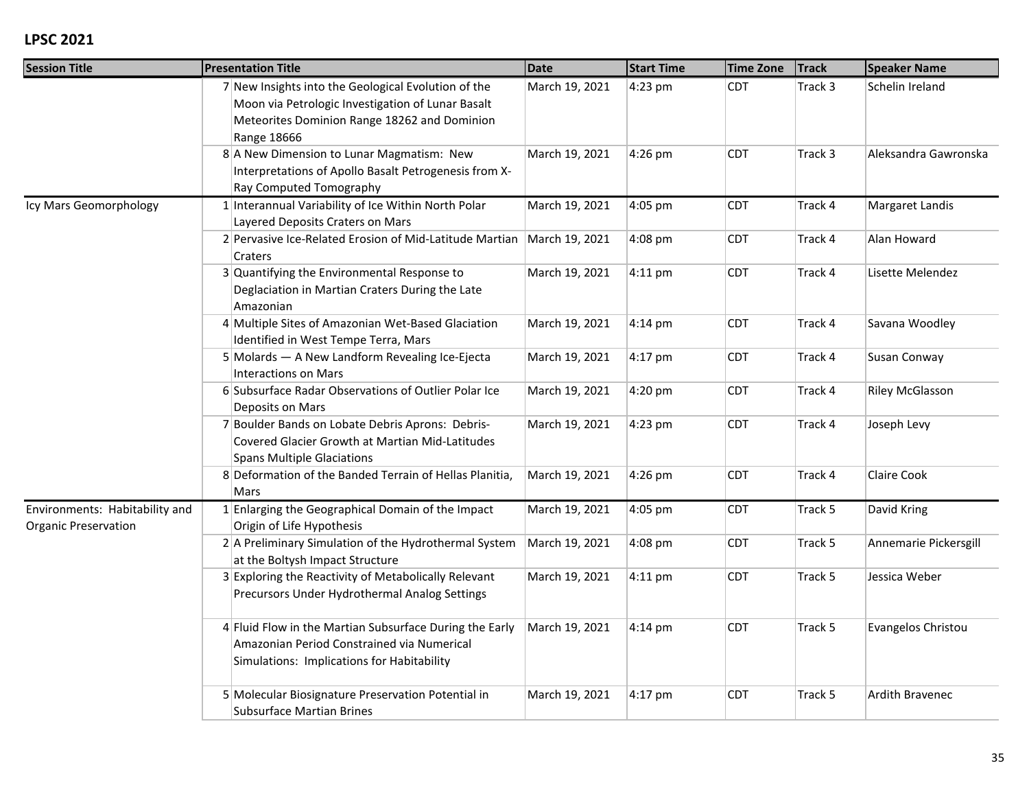| <b>Session Title</b>                                          | <b>Presentation Title</b>                                                                                                                                                      |                | <b>Date</b><br><b>Start Time</b><br><b>Time Zone</b> |            | <b>Track</b> | <b>Speaker Name</b>    |  |
|---------------------------------------------------------------|--------------------------------------------------------------------------------------------------------------------------------------------------------------------------------|----------------|------------------------------------------------------|------------|--------------|------------------------|--|
|                                                               | 7 New Insights into the Geological Evolution of the<br>Moon via Petrologic Investigation of Lunar Basalt<br>Meteorites Dominion Range 18262 and Dominion<br><b>Range 18666</b> | March 19, 2021 | 4:23 pm                                              | <b>CDT</b> | Track 3      | Schelin Ireland        |  |
|                                                               | 8 A New Dimension to Lunar Magmatism: New<br>Interpretations of Apollo Basalt Petrogenesis from X-<br>Ray Computed Tomography                                                  | March 19, 2021 | 4:26 pm                                              | <b>CDT</b> | Track 3      | Aleksandra Gawronska   |  |
| Icy Mars Geomorphology                                        | 1 Interannual Variability of Ice Within North Polar<br>Layered Deposits Craters on Mars                                                                                        | March 19, 2021 | 4:05 pm                                              | <b>CDT</b> | Track 4      | Margaret Landis        |  |
|                                                               | 2 Pervasive Ice-Related Erosion of Mid-Latitude Martian<br>Craters                                                                                                             | March 19, 2021 | 4:08 pm                                              | <b>CDT</b> | Track 4      | Alan Howard            |  |
|                                                               | $3$ Quantifying the Environmental Response to<br>Deglaciation in Martian Craters During the Late<br>Amazonian                                                                  | March 19, 2021 | $4:11$ pm                                            | <b>CDT</b> | Track 4      | Lisette Melendez       |  |
|                                                               | 4 Multiple Sites of Amazonian Wet-Based Glaciation<br>Identified in West Tempe Terra, Mars                                                                                     | March 19, 2021 | $4:14$ pm                                            | <b>CDT</b> | Track 4      | Savana Woodley         |  |
|                                                               | 5 Molards - A New Landform Revealing Ice-Ejecta<br><b>Interactions on Mars</b>                                                                                                 | March 19, 2021 | $4:17$ pm                                            | <b>CDT</b> | Track 4      | Susan Conway           |  |
|                                                               | 6 Subsurface Radar Observations of Outlier Polar Ice<br>Deposits on Mars                                                                                                       | March 19, 2021 | 4:20 pm                                              | <b>CDT</b> | Track 4      | <b>Riley McGlasson</b> |  |
|                                                               | 7 Boulder Bands on Lobate Debris Aprons: Debris-<br>Covered Glacier Growth at Martian Mid-Latitudes<br><b>Spans Multiple Glaciations</b>                                       | March 19, 2021 | 4:23 pm                                              | <b>CDT</b> | Track 4      | Joseph Levy            |  |
|                                                               | 8 Deformation of the Banded Terrain of Hellas Planitia,<br>Mars                                                                                                                | March 19, 2021 | 4:26 pm                                              | <b>CDT</b> | Track 4      | Claire Cook            |  |
| Environments: Habitability and<br><b>Organic Preservation</b> | 1 Enlarging the Geographical Domain of the Impact<br>Origin of Life Hypothesis                                                                                                 | March 19, 2021 | 4:05 pm                                              | <b>CDT</b> | Track 5      | David Kring            |  |
|                                                               | 2 A Preliminary Simulation of the Hydrothermal System<br>at the Boltysh Impact Structure                                                                                       | March 19, 2021 | 4:08 pm                                              | <b>CDT</b> | Track 5      | Annemarie Pickersgill  |  |
|                                                               | 3 Exploring the Reactivity of Metabolically Relevant<br>Precursors Under Hydrothermal Analog Settings                                                                          | March 19, 2021 | $4:11$ pm                                            | <b>CDT</b> | Track 5      | Jessica Weber          |  |
|                                                               | 4 Fluid Flow in the Martian Subsurface During the Early<br>Amazonian Period Constrained via Numerical<br>Simulations: Implications for Habitability                            | March 19, 2021 | $4:14 \text{ pm}$                                    | <b>CDT</b> | Track 5      | Evangelos Christou     |  |
|                                                               | 5 Molecular Biosignature Preservation Potential in<br><b>Subsurface Martian Brines</b>                                                                                         | March 19, 2021 | $4:17$ pm                                            | <b>CDT</b> | Track 5      | Ardith Bravenec        |  |